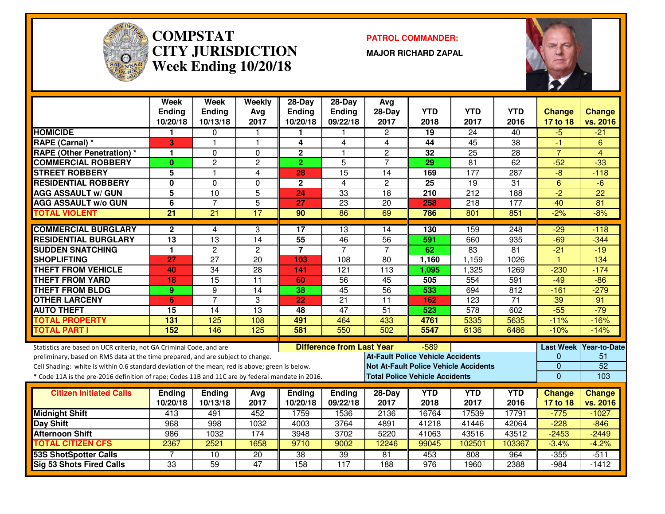

#### **COMPSTAT PATROL COMMANDER: CITY JURISDICTIONWeek Ending 10/20/18**

**MAJOR RICHARD ZAPAL**



|                                                                                                  | Week<br><b>Ending</b><br>10/20/18 | Week<br>Ending<br>10/13/18 | Weekly<br>Avg<br>2017 | 28-Day<br><b>Ending</b><br>10/20/18 | $28-Day$<br><b>Ending</b><br>09/22/18 | Avg<br>28-Day<br>2017                    | <b>YTD</b><br>2018 | <b>YTD</b><br>2017                           | <b>YTD</b><br>2016 | <b>Change</b><br>17 to 18 | <b>Change</b><br>vs. 2016 |
|--------------------------------------------------------------------------------------------------|-----------------------------------|----------------------------|-----------------------|-------------------------------------|---------------------------------------|------------------------------------------|--------------------|----------------------------------------------|--------------------|---------------------------|---------------------------|
| <b>HOMICIDE</b>                                                                                  | 1                                 | $\Omega$                   |                       | 1.                                  |                                       | $\overline{2}$                           | 19                 | 24                                           | 40                 | $-5$                      | $-21$                     |
| <b>RAPE (Carnal) *</b>                                                                           | 3                                 | $\overline{1}$             | $\mathbf{1}$          | 4                                   | 4                                     | 4                                        | 44                 | 45                                           | $\overline{38}$    | $-1$                      | 6                         |
| <b>RAPE (Other Penetration) *</b>                                                                | 1.                                | $\Omega$                   | $\Omega$              | $\overline{2}$                      | $\mathbf{1}$                          | $\overline{2}$                           | 32                 | $\overline{25}$                              | $\overline{28}$    | $\overline{7}$            | $\overline{4}$            |
| <b>COMMERCIAL ROBBERY</b>                                                                        | $\mathbf{0}$                      | $\overline{2}$             | $\overline{2}$        | $\overline{2}$                      | 5                                     | $\overline{7}$                           | 29                 | $\overline{81}$                              | 62                 | $-52$                     | $-33$                     |
| <b>STREET ROBBERY</b>                                                                            | 5                                 | 1                          | 4                     | 28                                  | $\overline{15}$                       | 14                                       | 169                | $\overline{177}$                             | 287                | $\overline{-8}$           | $-118$                    |
| <b>RESIDENTIAL ROBBERY</b>                                                                       | $\mathbf{0}$                      | $\Omega$                   | $\Omega$              | $\mathbf{2}$                        | $\overline{4}$                        | $\overline{c}$                           | 25                 | 19                                           | $\overline{31}$    | $6\phantom{1}$            | $-6$                      |
| <b>AGG ASSAULT w/ GUN</b>                                                                        | $\overline{\mathbf{5}}$           | $\overline{10}$            | $\overline{5}$        | 24                                  | $\overline{33}$                       | $\overline{18}$                          | 210                | $\overline{212}$                             | 188                | $-2$                      | $\overline{22}$           |
| <b>AGG ASSAULT w/o GUN</b>                                                                       | 6                                 | $\overline{7}$             | $\overline{5}$        | 27                                  | $\overline{23}$                       | 20                                       | 258                | 218                                          | 177                | 40                        | $\overline{81}$           |
| <b>TOTAL VIOLENT</b>                                                                             | $\overline{21}$                   | $\overline{21}$            | 17                    | 90                                  | $\overline{86}$                       | 69                                       | 786                | 801                                          | 851                | $-2%$                     | $-8%$                     |
| <b>COMMERCIAL BURGLARY</b>                                                                       | $\mathbf{2}$                      | 4                          | 3                     | 17                                  | 13                                    | 14                                       | 130                | 159                                          | 248                | $-29$                     | $-118$                    |
| <b>RESIDENTIAL BURGLARY</b>                                                                      | $\overline{13}$                   | $\overline{13}$            | 14                    | $\overline{55}$                     | 46                                    | 56                                       | 591                | 660                                          | 935                | $-69$                     | $-344$                    |
| <b>SUDDEN SNATCHING</b>                                                                          | $\blacksquare$                    | $\overline{2}$             | $\overline{2}$        | $\overline{7}$                      | $\overline{7}$                        | $\overline{7}$                           | 62                 | $\overline{83}$                              | $\overline{81}$    | $-21$                     | $-19$                     |
| <b>SHOPLIFTING</b>                                                                               | 27                                | $\overline{27}$            | $\overline{20}$       | 103                                 | 108                                   | $\overline{80}$                          | 1,160              | 1,159                                        | 1026               | $\overline{1}$            | 134                       |
| <b>THEFT FROM VEHICLE</b>                                                                        | 40                                | $\overline{34}$            | $\overline{28}$       | 141                                 | $\overline{121}$                      | $\overline{113}$                         | 1,095              | 1,325                                        | 1269               | $-230$                    | $-174$                    |
| <b>THEFT FROM YARD</b>                                                                           | 18                                | $\overline{15}$            | $\overline{11}$       | 60                                  | $\overline{56}$                       | 45                                       | 505                | 554                                          | 591                | $-49$                     | $-\frac{86}{5}$           |
| <b>THEFT FROM BLDG</b>                                                                           | 9                                 | 9                          | $\overline{14}$       | 38                                  | 45                                    | 56                                       | 533                | 694                                          | $\overline{812}$   | $-161$                    | $-279$                    |
| <b>OTHER LARCENY</b>                                                                             | 6                                 | $\overline{7}$             | 3                     | 22                                  | $\overline{21}$                       | $\overline{11}$                          | 162                | $\overline{123}$                             | $\overline{71}$    | 39                        | 91                        |
| <b>AUTO THEFT</b>                                                                                | 15                                | $\overline{14}$            | $\overline{13}$       | 48                                  | 47                                    | $\overline{51}$                          | 523                | 578                                          | 602                | $-55$                     | $-79$                     |
| <b>TOTAL PROPERTY</b>                                                                            | 131                               | 125                        | 108                   | 491                                 | 464                                   | 433                                      | 4761               | 5335                                         | 5635               | $-11%$                    | $-16%$                    |
| <b>TOTAL PART I</b>                                                                              | 152                               | 146                        | 125                   | 581                                 | 550                                   | 502                                      | 5547               | 6136                                         | 6486               | $-10%$                    | $-14%$                    |
| Statistics are based on UCR criteria, not GA Criminal Code, and are                              |                                   |                            |                       |                                     | <b>Difference from Last Year</b>      |                                          | $-589$             |                                              |                    |                           | Last Week   Year-to-Date  |
| preliminary, based on RMS data at the time prepared, and are subject to change.                  |                                   |                            |                       |                                     |                                       | <b>At-Fault Police Vehicle Accidents</b> |                    |                                              |                    | $\mathbf{0}$              | 51                        |
| Cell Shading: white is within 0.6 standard deviation of the mean; red is above; green is below.  |                                   |                            |                       |                                     |                                       |                                          |                    | <b>Not At-Fault Police Vehicle Accidents</b> |                    | $\overline{0}$            | $\overline{52}$           |
| * Code 11A is the pre-2016 definition of rape; Codes 11B and 11C are by federal mandate in 2016. |                                   |                            |                       |                                     |                                       | <b>Total Police Vehicle Accidents</b>    |                    |                                              |                    | $\overline{0}$            | 103                       |
| <b>Citizen Initiated Calls</b>                                                                   | Ending                            | <b>Ending</b>              | Avg                   | Ending                              | Ending                                | 28-Day                                   | YTD                | <b>YTD</b>                                   | <b>YTD</b>         | <b>Change</b>             | <b>Change</b>             |
|                                                                                                  | 10/20/18                          | 10/13/18                   | 2017                  | 10/20/18                            | 09/22/18                              | 2017                                     | 2018               | 2017                                         | 2016               | 17 to 18                  | vs. 2016                  |
| <b>Midnight Shift</b>                                                                            | 413                               | 491                        | 452                   | 1759                                | 1536                                  | 2136                                     | 16764              | 17539                                        | 17791              | $-775$                    | $-1027$                   |
| <b>Day Shift</b>                                                                                 | 968                               | 998                        | 1032                  | 4003                                | 3764                                  | 4891                                     | 41218              | 41446                                        | 42064              | $-228$                    | $-846$                    |
| <b>Afternoon Shift</b>                                                                           | 986                               | 1032                       | 174                   | 3948                                | 3702                                  | 5220                                     | 41063              | 43516                                        | 43512              | $-2453$                   | $-2449$                   |
| <b>TOTAL CITIZEN CFS</b>                                                                         | 2367                              | 2521                       | 1658                  | 9710                                | 9002                                  | 12246                                    | 99045              | 102501                                       | 103367             | $-3.4%$                   | $-4.2%$                   |
| <b>53S ShotSpotter Calls</b>                                                                     |                                   | 10                         | $\overline{20}$       | $\overline{38}$                     | 39                                    | 81                                       | 453                | 808                                          | 964                | $-355$                    | $-511$                    |
| <b>Sig 53 Shots Fired Calls</b>                                                                  | $\overline{33}$                   | 59                         | 47                    | 158                                 | 117                                   | 188                                      | 976                | 1960                                         | 2388               | $-984$                    | $-1412$                   |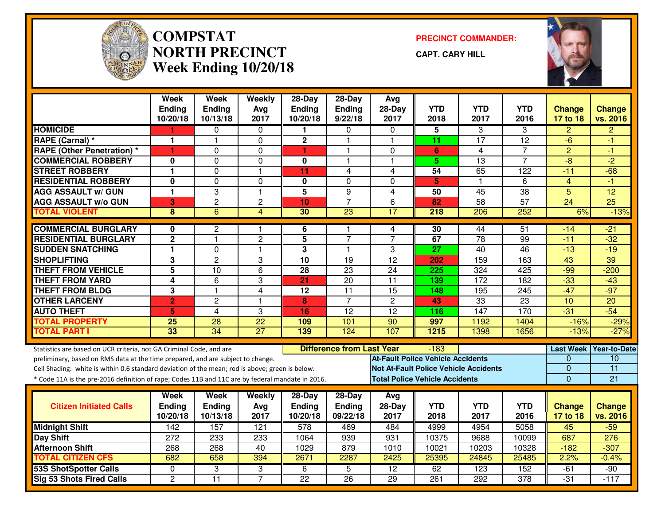

#### **COMPSTAT PRECINCT COMMANDER: NORTH PRECINCTWeek Ending 10/20/18**

**CAPT. CARY HILL**



|                                                                                                                                                                                    | <b>Week</b><br><b>Ending</b> | <b>Week</b><br><b>Ending</b> | Weekly<br>Avg           | 28-Day<br><b>Ending</b> | $28-Dav$<br><b>Ending</b>        | Avg<br>28-Day                    | <b>YTD</b>                                         | <b>YTD</b>           | <b>YTD</b>           | <b>Change</b>          | <b>Change</b>                   |
|------------------------------------------------------------------------------------------------------------------------------------------------------------------------------------|------------------------------|------------------------------|-------------------------|-------------------------|----------------------------------|----------------------------------|----------------------------------------------------|----------------------|----------------------|------------------------|---------------------------------|
| <b>HOMICIDE</b>                                                                                                                                                                    | 10/20/18                     | 10/13/18                     | 2017                    | 10/20/18<br>1           | 9/22/18                          | 2017<br>$\Omega$                 | 2018                                               | 2017                 | 2016                 | 17 to 18               | vs. 2016                        |
| <b>RAPE (Carnal) *</b>                                                                                                                                                             | 1<br>1                       | 0<br>1                       | $\Omega$<br>$\Omega$    | $\mathbf 2$             | $\Omega$<br>1                    | $\mathbf 1$                      | 5<br>11                                            | 3<br>$\overline{17}$ | 3<br>$\overline{12}$ | $\overline{2}$<br>$-6$ | $\overline{2}$<br>-1            |
|                                                                                                                                                                                    |                              |                              |                         |                         | 1                                |                                  |                                                    |                      |                      |                        |                                 |
| <b>RAPE (Other Penetration)*</b><br><b>COMMERCIAL ROBBERY</b>                                                                                                                      | 1<br>$\bf{0}$                | 0<br>0                       | $\mathbf 0$<br>$\Omega$ | 1<br>$\bf{0}$           | 1                                | $\Omega$<br>$\blacktriangleleft$ | 6<br>$\overline{5}$                                | 4<br>13              | 7<br>$\overline{7}$  | $\overline{2}$<br>$-8$ | $-1$<br>$-2$                    |
| <b>STREET ROBBERY</b>                                                                                                                                                              | $\mathbf{1}$                 | 0                            | $\mathbf{1}$            | 11                      | 4                                | 4                                | 54                                                 | 65                   | 122                  | $-11$                  | $-68$                           |
| <b>RESIDENTIAL ROBBERY</b>                                                                                                                                                         | 0                            | 0                            |                         |                         | $\Omega$                         | $\Omega$                         |                                                    | $\mathbf 1$          |                      | $\overline{4}$         | $-1$                            |
| <b>AGG ASSAULT w/ GUN</b>                                                                                                                                                          | 1                            | 3                            | 0<br>$\overline{1}$     | 0<br>$\overline{5}$     | $\overline{9}$                   | $\overline{4}$                   | 5<br>$\overline{50}$                               | 45                   | 6<br>38              | $\overline{5}$         | $\overline{12}$                 |
| <b>AGG ASSAULT w/o GUN</b>                                                                                                                                                         | 3                            | $\overline{c}$               | $\overline{c}$          | 10                      | $\overline{7}$                   | 6                                | 82                                                 | 58                   | 57                   | $\overline{24}$        | $\overline{25}$                 |
| <b>TOTAL VIOLENT</b>                                                                                                                                                               | 8                            | 6                            | $\overline{4}$          | 30                      | 23                               | 17                               | 218                                                | 206                  | 252                  | 6%                     | $-13%$                          |
|                                                                                                                                                                                    |                              |                              |                         |                         |                                  |                                  |                                                    |                      |                      |                        |                                 |
| <b>COMMERCIAL BURGLARY</b>                                                                                                                                                         | 0                            | $\overline{c}$               | -1                      | 6                       |                                  | 4                                | 30                                                 | 44                   | 51                   | $-14$                  | -21                             |
| <b>RESIDENTIAL BURGLARY</b>                                                                                                                                                        | $\mathbf 2$                  | $\mathbf{1}$                 | $\overline{c}$          | 5                       | $\overline{7}$                   | $\overline{7}$                   | 67                                                 | $\overline{78}$      | 99                   | $-11$                  | $-32$                           |
| <b>SUDDEN SNATCHING</b>                                                                                                                                                            | 1                            | 0                            | $\mathbf{1}$            | 3                       | $\mathbf{1}$                     | 3                                | 27                                                 | 40                   | 46                   | $-13$                  | $-19$                           |
| <b>SHOPLIFTING</b>                                                                                                                                                                 | 3                            | $\overline{2}$               | 3                       | 10                      | 19                               | $\overline{12}$                  | 202                                                | 159                  | 163                  | 43                     | 39                              |
| <b>THEFT FROM VEHICLE</b>                                                                                                                                                          | 5                            | 10                           | 6                       | $\overline{28}$         | $\overline{23}$                  | 24                               | 225                                                | 324                  | 425                  | $-99$                  | $-200$                          |
| <b>THEFT FROM YARD</b>                                                                                                                                                             | 4                            | 6                            | 3                       | 21                      | 20                               | 11                               | 139                                                | 172                  | 182                  | $-33$                  | $-43$                           |
| <b>THEFT FROM BLDG</b>                                                                                                                                                             | 3                            | $\overline{\mathbf{1}}$      | 4                       | $\overline{12}$         | $\overline{11}$                  | 15                               | 148                                                | 195                  | $\overline{245}$     | $-47$                  | $-97$                           |
| <b>OTHER LARCENY</b>                                                                                                                                                               | $\overline{2}$               | $\overline{c}$               | $\mathbf{1}$            | 8                       | $\overline{7}$                   | $\overline{2}$                   | 43                                                 | 33                   | 23                   | 10                     | 20                              |
| <b>AUTO THEFT</b>                                                                                                                                                                  | 5                            | 4                            | 3                       | 16                      | 12                               | 12                               | 116                                                | 147                  | 170                  | $-31$                  | $-54$                           |
| <b>TOTAL PROPERTY</b>                                                                                                                                                              | 25                           | $\overline{28}$              | $\overline{22}$         | 109                     | 101                              | $\overline{90}$                  | 997                                                | 1192                 | 1404                 | $-16%$                 | $-29%$                          |
| <b>TOTAL PART I</b>                                                                                                                                                                | 33                           | $\overline{34}$              | $\overline{27}$         | 139                     | 124                              | 107                              | 1215                                               | 1398                 | 1656                 | $-13%$                 | $-27%$                          |
|                                                                                                                                                                                    |                              |                              |                         |                         | <b>Difference from Last Year</b> |                                  |                                                    |                      |                      |                        |                                 |
| Statistics are based on UCR criteria, not GA Criminal Code, and are                                                                                                                |                              |                              |                         |                         |                                  |                                  | $-183$<br><b>At-Fault Police Vehicle Accidents</b> |                      |                      | <b>Last Week</b><br>0  | Year-to-Date<br>$\overline{10}$ |
| preliminary, based on RMS data at the time prepared, and are subject to change.<br>Cell Shading: white is within 0.6 standard deviation of the mean; red is above; green is below. |                              |                              |                         |                         |                                  |                                  | <b>Not At-Fault Police Vehicle Accidents</b>       |                      |                      | $\mathbf 0$            | $\overline{11}$                 |
| * Code 11A is the pre-2016 definition of rape; Codes 11B and 11C are by federal mandate in 2016.                                                                                   |                              |                              |                         |                         |                                  |                                  | <b>Total Police Vehicle Accidents</b>              |                      |                      | $\Omega$               | 21                              |
|                                                                                                                                                                                    |                              |                              |                         |                         |                                  |                                  |                                                    |                      |                      |                        |                                 |
|                                                                                                                                                                                    | Week                         | <b>Week</b>                  | Weekly                  | 28-Day                  | $28-Day$                         | Avg                              |                                                    |                      |                      |                        |                                 |
| <b>Citizen Initiated Calls</b>                                                                                                                                                     | <b>Ending</b>                | <b>Ending</b>                | Avg                     | <b>Ending</b>           | Ending                           | 28-Day                           | <b>YTD</b>                                         | <b>YTD</b>           | <b>YTD</b>           | <b>Change</b>          | <b>Change</b>                   |
|                                                                                                                                                                                    | 10/20/18                     | 10/13/18                     | 2017                    | 10/20/18                | 09/22/18                         | 2017                             | 2018                                               | 2017                 | 2016                 | 17 to 18               | vs. 2016                        |
| <b>Midnight Shift</b>                                                                                                                                                              | $\overline{142}$             | 157                          | 121                     | 578                     | 469                              | 484                              | 4999                                               | 4954                 | 5058                 | 45                     | $-59$                           |
| <b>Day Shift</b>                                                                                                                                                                   | 272                          | 233                          | 233                     | 1064                    | 939                              | 931                              | 10375                                              | 9688                 | 10099                | 687                    | 276                             |
| <b>Afternoon Shift</b>                                                                                                                                                             | 268                          | 268                          | 40                      | 1029                    | 879                              | 1010                             | 10021                                              | 10203                | 10328                | $-182$                 | $-307$                          |
| <b>TOTAL CITIZEN CFS</b>                                                                                                                                                           | 682                          | 658                          | 394                     | 2671                    | 2287                             | 2425                             | 25395                                              | 24845                | 25485                | 2.2%                   | $-0.4%$                         |
| <b>53S ShotSpotter Calls</b>                                                                                                                                                       | 0                            | 3                            | 3                       | 6                       | 5                                | $\overline{12}$                  | 62                                                 | $\overline{123}$     | 152                  | $-61$                  | $-90$                           |
| Sig 53 Shots Fired Calls                                                                                                                                                           | $\overline{c}$               | $\overline{11}$              | $\overline{7}$          | 22                      | 26                               | 29                               | 261                                                | 292                  | 378                  | $-31$                  | $-117$                          |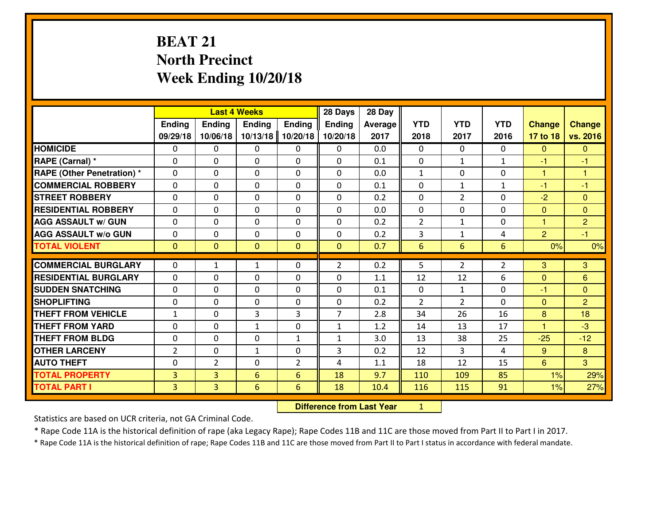# **BEAT 21 North PrecinctWeek Ending 10/20/18**

|                                  | <b>Last 4 Weeks</b> |                                  |                 |                | 28 Days        | 28 Day         |                |                |                |                      |                |
|----------------------------------|---------------------|----------------------------------|-----------------|----------------|----------------|----------------|----------------|----------------|----------------|----------------------|----------------|
|                                  | <b>Ending</b>       | <b>Ending</b>                    | <b>Ending</b>   | <b>Ending</b>  | <b>Ending</b>  | <b>Average</b> | <b>YTD</b>     | <b>YTD</b>     | <b>YTD</b>     | <b>Change</b>        | <b>Change</b>  |
|                                  | 09/29/18            | 10/06/18                         | 10/13/18        | 10/20/18       | 10/20/18       | 2017           | 2018           | 2017           | 2016           | 17 to 18             | vs. 2016       |
| <b>HOMICIDE</b>                  | $\mathbf{0}$        | 0                                | 0               | 0              | $\Omega$       | 0.0            | $\mathbf 0$    | 0              | 0              | $\mathbf{0}$         | $\overline{0}$ |
| RAPE (Carnal) *                  | 0                   | 0                                | $\mathbf 0$     | $\Omega$       | 0              | 0.1            | $\mathbf 0$    | $\mathbf{1}$   | $\mathbf{1}$   | $-1$                 | $-1$           |
| <b>RAPE (Other Penetration)*</b> | 0                   | 0                                | $\mathbf 0$     | 0              | 0              | 0.0            | $\mathbf{1}$   | 0              | 0              | $\mathbf{1}$         | 1              |
| <b>COMMERCIAL ROBBERY</b>        | $\mathbf 0$         | 0                                | $\mathbf 0$     | 0              | 0              | 0.1            | $\mathbf 0$    | $\mathbf{1}$   | $\mathbf{1}$   | $-1$                 | $-1$           |
| <b>STREET ROBBERY</b>            | $\Omega$            | 0                                | 0               | $\Omega$       | 0              | 0.2            | $\mathbf{0}$   | $\overline{2}$ | 0              | $-2$                 | $\mathbf{0}$   |
| <b>RESIDENTIAL ROBBERY</b>       | 0                   | 0                                | $\mathbf 0$     | $\mathbf 0$    | 0              | 0.0            | $\mathbf 0$    | 0              | 0              | $\mathbf{0}$         | $\overline{0}$ |
| <b>AGG ASSAULT w/ GUN</b>        | 0                   | 0                                | $\mathbf 0$     | $\mathbf{0}$   | 0              | 0.2            | $\overline{2}$ | $\mathbf{1}$   | 0              | $\mathbf{1}$         | $\overline{2}$ |
| <b>AGG ASSAULT W/o GUN</b>       | $\mathbf 0$         | 0                                | $\mathbf 0$     | 0              | 0              | 0.2            | 3              | 1              | 4              | $\overline{2}$       | $-1$           |
| <b>TOTAL VIOLENT</b>             | $\mathbf{0}$        | $\overline{0}$                   | $\overline{0}$  | $\mathbf{0}$   | $\mathbf{0}$   | 0.7            | 6              | 6              | $6\phantom{1}$ | 0%                   | 0%             |
| <b>COMMERCIAL BURGLARY</b>       | $\mathbf{0}$        | 1                                | 1               | 0              | $\overline{2}$ | 0.2            | 5.             | $\overline{2}$ | $\overline{2}$ | 3                    | 3              |
| <b>RESIDENTIAL BURGLARY</b>      | $\mathbf{0}$        | 0                                | $\mathbf 0$     | 0              | 0              | 1.1            | 12             | 12             | 6              | $\mathbf{0}$         | 6              |
| <b>SUDDEN SNATCHING</b>          | 0                   | 0                                | $\mathbf 0$     | 0              | 0              | 0.1            | $\mathbf{0}$   | $\mathbf{1}$   | 0              | $-1$                 | $\mathbf{0}$   |
| <b>SHOPLIFTING</b>               | $\mathbf{0}$        | 0                                | $\mathbf 0$     | 0              | 0              | 0.2            | $\overline{2}$ | 2              | 0              | $\Omega$             | $\overline{2}$ |
| <b>THEFT FROM VEHICLE</b>        | $\mathbf{1}$        | 0                                | 3               | 3              | $\overline{7}$ | 2.8            | 34             | 26             | 16             | 8                    | 18             |
| <b>THEFT FROM YARD</b>           | 0                   | 0                                | $\mathbf{1}$    | 0              | $\mathbf{1}$   | 1.2            | 14             | 13             | 17             | $\blacktriangleleft$ | $-3$           |
| <b>THEFT FROM BLDG</b>           | 0                   | 0                                | $\mathbf 0$     | $\mathbf{1}$   | $\mathbf{1}$   | 3.0            | 13             | 38             | 25             | $-25$                | $-12$          |
| <b>OTHER LARCENY</b>             | $\overline{2}$      | 0                                | 1               | 0              | 3              | 0.2            | 12             | $\mathbf{3}$   | 4              | 9                    | 8              |
| <b>AUTO THEFT</b>                | 0                   | $\overline{2}$                   | $\mathbf 0$     | $\overline{2}$ | 4              | 1.1            | 18             | 12             | 15             | 6 <sup>°</sup>       | $\overline{3}$ |
| <b>TOTAL PROPERTY</b>            | $\overline{3}$      | $\overline{3}$                   | $6\overline{6}$ | 6              | 18             | 9.7            | 110            | 109            | 85             | 1%                   | 29%            |
| <b>TOTAL PART I</b>              | $\overline{3}$      | $\overline{3}$                   | 6               | $6\phantom{1}$ | 18             | 10.4           | 116            | 115            | 91             | 1%                   | 27%            |
|                                  |                     | <b>Difference from Last Year</b> |                 | $\mathbf{1}$   |                |                |                |                |                |                      |                |

 **Difference from Last Year**

Statistics are based on UCR criteria, not GA Criminal Code.

\* Rape Code 11A is the historical definition of rape (aka Legacy Rape); Rape Codes 11B and 11C are those moved from Part II to Part I in 2017.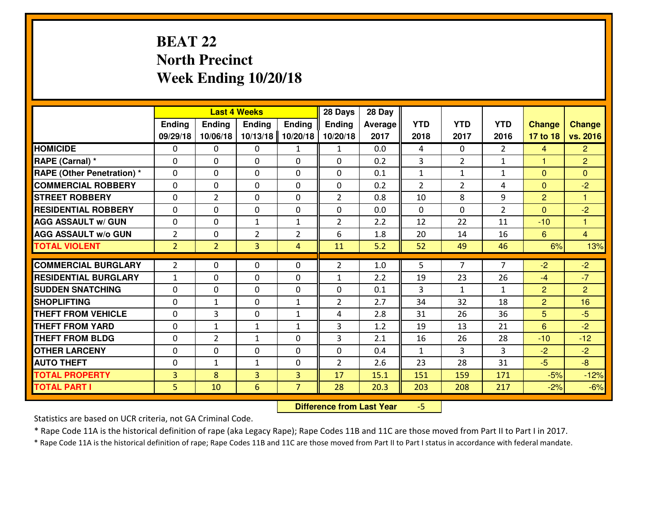# **BEAT 22 North PrecinctWeek Ending 10/20/18**

|                                   |                |                | <b>Last 4 Weeks</b> |                | 28 Days        | 28 Day         |                |                |                |                |                |
|-----------------------------------|----------------|----------------|---------------------|----------------|----------------|----------------|----------------|----------------|----------------|----------------|----------------|
|                                   | Ending         | Ending         | <b>Ending</b>       | <b>Ending</b>  | <b>Ending</b>  | <b>Average</b> | <b>YTD</b>     | <b>YTD</b>     | <b>YTD</b>     | <b>Change</b>  | <b>Change</b>  |
|                                   | 09/29/18       | 10/06/18       | 10/13/18            | 10/20/18       | 10/20/18       | 2017           | 2018           | 2017           | 2016           | 17 to 18       | vs. 2016       |
| <b>HOMICIDE</b>                   | $\Omega$       | 0              | 0                   | $\mathbf{1}$   | 1              | 0.0            | 4              | $\Omega$       | $\mathfrak{D}$ | 4              | $\overline{2}$ |
| RAPE (Carnal) *                   | $\mathbf{0}$   | 0              | $\mathbf{0}$        | 0              | $\Omega$       | 0.2            | 3              | $\overline{2}$ | $\mathbf{1}$   | $\mathbf{1}$   | $\overline{2}$ |
| <b>RAPE (Other Penetration) *</b> | $\Omega$       | 0              | $\mathbf{0}$        | $\Omega$       | $\Omega$       | 0.1            | $\mathbf{1}$   | $\mathbf{1}$   | $\mathbf{1}$   | $\Omega$       | $\Omega$       |
| <b>COMMERCIAL ROBBERY</b>         | $\mathbf{0}$   | 0              | 0                   | 0              | $\Omega$       | 0.2            | $\overline{2}$ | $\overline{2}$ | 4              | $\mathbf{0}$   | $-2$           |
| <b>STREET ROBBERY</b>             | 0              | $\overline{2}$ | $\mathbf 0$         | 0              | $\overline{2}$ | 0.8            | 10             | 8              | 9              | $\overline{2}$ | 1              |
| <b>RESIDENTIAL ROBBERY</b>        | $\Omega$       | $\Omega$       | $\mathbf 0$         | $\Omega$       | 0              | 0.0            | $\Omega$       | $\Omega$       | $\overline{2}$ | $\overline{0}$ | $-2$           |
| <b>AGG ASSAULT w/ GUN</b>         | 0              | 0              | $\mathbf{1}$        | $\mathbf{1}$   | $\overline{2}$ | 2.2            | 12             | 22             | 11             | $-10$          | $\mathbf{1}$   |
| <b>AGG ASSAULT W/o GUN</b>        | $\overline{2}$ | 0              | $\overline{2}$      | $\overline{2}$ | 6              | 1.8            | 20             | 14             | 16             | $6\phantom{1}$ | $\overline{4}$ |
| <b>TOTAL VIOLENT</b>              | $\overline{2}$ | $\overline{2}$ | 3                   | $\overline{4}$ | 11             | 5.2            | 52             | 49             | 46             | 6%             | 13%            |
| <b>COMMERCIAL BURGLARY</b>        | $\overline{2}$ | 0              | $\mathbf{0}$        | $\Omega$       | $\overline{2}$ | 1.0            | 5              | $\overline{7}$ | $\overline{7}$ | $-2$           | $-2$           |
| <b>RESIDENTIAL BURGLARY</b>       | $\mathbf{1}$   | 0              | $\mathbf 0$         | 0              | $\mathbf{1}$   | 2.2            | 19             | 23             | 26             | $-4$           | $-7$           |
| <b>SUDDEN SNATCHING</b>           | 0              | 0              | $\mathbf 0$         | 0              | 0              | 0.1            | 3              | $\mathbf{1}$   | $\mathbf{1}$   | 2              | $\overline{2}$ |
| <b>SHOPLIFTING</b>                | 0              | $\mathbf{1}$   | $\mathbf 0$         | $\mathbf{1}$   | $\overline{2}$ | 2.7            | 34             | 32             | 18             | $\overline{2}$ | 16             |
| <b>THEFT FROM VEHICLE</b>         | $\Omega$       | 3              | $\mathbf 0$         | $\mathbf{1}$   | 4              | 2.8            | 31             | 26             | 36             | 5              | $-5$           |
| <b>THEFT FROM YARD</b>            | 0              | $\mathbf{1}$   | $\mathbf{1}$        | $\mathbf{1}$   | 3              | 1.2            | 19             | 13             | 21             | 6              | $-2$           |
| <b>THEFT FROM BLDG</b>            | 0              | $\overline{2}$ | 1                   | 0              | 3              | 2.1            | 16             | 26             | 28             | $-10$          | $-12$          |
| <b>OTHER LARCENY</b>              | 0              | 0              | $\mathbf 0$         | 0              | 0              | 0.4            | $\mathbf{1}$   | 3              | 3              | $-2$           | $-2$           |
| <b>AUTO THEFT</b>                 | $\mathbf{0}$   | $\mathbf{1}$   | $\mathbf{1}$        | 0              | $\overline{2}$ | 2.6            | 23             | 28             | 31             | $-5$           | $-8$           |
| <b>TOTAL PROPERTY</b>             | 3              | 8              | $\overline{3}$      | 3              | 17             | 15.1           | 151            | 159            | 171            | $-5%$          | $-12%$         |
| <b>TOTAL PART I</b>               | 5              | 10             | 6                   | $\overline{7}$ | 28             | 20.3           | 203            | 208            | 217            | $-2%$          | $-6%$          |
|                                   |                |                |                     |                |                |                |                |                |                |                |                |

 **Difference from Last Year**-5

Statistics are based on UCR criteria, not GA Criminal Code.

\* Rape Code 11A is the historical definition of rape (aka Legacy Rape); Rape Codes 11B and 11C are those moved from Part II to Part I in 2017.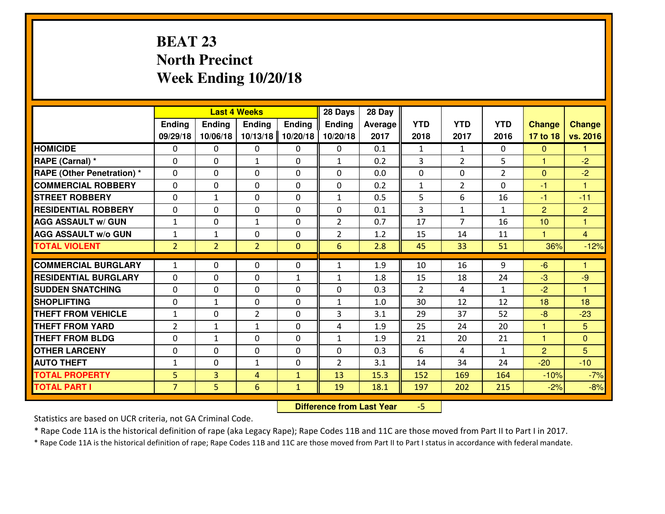# **BEAT 23 North PrecinctWeek Ending 10/20/18**

|                             |                |                | <b>Last 4 Weeks</b> |               | 28 Days        | 28 Day  |                |                |                |                |                      |
|-----------------------------|----------------|----------------|---------------------|---------------|----------------|---------|----------------|----------------|----------------|----------------|----------------------|
|                             | Ending         | Ending         | <b>Ending</b>       | <b>Ending</b> | <b>Ending</b>  | Average | <b>YTD</b>     | <b>YTD</b>     | <b>YTD</b>     | <b>Change</b>  | <b>Change</b>        |
|                             | 09/29/18       | 10/06/18       | 10/13/18            | 10/20/18      | 10/20/18       | 2017    | 2018           | 2017           | 2016           | 17 to 18       | vs. 2016             |
| <b>HOMICIDE</b>             | $\Omega$       | 0              | 0                   | 0             | 0              | 0.1     | 1              | $\mathbf{1}$   | 0              | $\Omega$       | 1                    |
| RAPE (Carnal) *             | $\mathbf{0}$   | 0              | $\mathbf{1}$        | 0             | $\mathbf{1}$   | 0.2     | 3              | $\overline{2}$ | 5              | $\mathbf{1}$   | $-2$                 |
| RAPE (Other Penetration) *  | $\Omega$       | 0              | $\mathbf{0}$        | $\Omega$      | $\Omega$       | 0.0     | $\mathbf{0}$   | 0              | $\overline{2}$ | $\Omega$       | $-2$                 |
| <b>COMMERCIAL ROBBERY</b>   | 0              | 0              | $\mathbf 0$         | 0             | 0              | 0.2     | $\mathbf{1}$   | $\overline{2}$ | 0              | $-1$           | $\blacktriangleleft$ |
| <b>STREET ROBBERY</b>       | 0              | $\mathbf{1}$   | $\mathbf 0$         | 0             | $\mathbf{1}$   | 0.5     | 5              | 6              | 16             | $-1$           | $-11$                |
| <b>RESIDENTIAL ROBBERY</b>  | $\Omega$       | $\Omega$       | $\mathbf 0$         | $\Omega$      | 0              | 0.1     | $\overline{3}$ | $\mathbf{1}$   | $\mathbf{1}$   | $\overline{2}$ | $\overline{2}$       |
| <b>AGG ASSAULT w/ GUN</b>   | $1\,$          | 0              | $\mathbf{1}$        | 0             | $\overline{2}$ | 0.7     | 17             | $\overline{7}$ | 16             | 10             | $\mathbf{1}$         |
| <b>AGG ASSAULT W/o GUN</b>  | $1\,$          | $\mathbf{1}$   | $\mathbf 0$         | $\mathbf 0$   | $\overline{2}$ | 1.2     | 15             | 14             | 11             | $\mathbf{1}$   | $\overline{4}$       |
| <b>TOTAL VIOLENT</b>        | $\overline{2}$ | $\overline{2}$ | $\overline{2}$      | $\mathbf{0}$  | 6              | 2.8     | 45             | 33             | 51             | 36%            | $-12%$               |
| <b>COMMERCIAL BURGLARY</b>  | $\mathbf{1}$   | 0              | $\mathbf{0}$        | $\Omega$      | $\mathbf{1}$   | 1.9     | 10             | 16             | 9              | $-6$           | 1                    |
| <b>RESIDENTIAL BURGLARY</b> | 0              | 0              | $\mathbf 0$         | $\mathbf{1}$  | $\mathbf{1}$   | 1.8     | 15             | 18             | 24             | -3             | $-9$                 |
| <b>SUDDEN SNATCHING</b>     | 0              | 0              | 0                   | 0             | 0              | 0.3     | 2              | 4              | $\mathbf{1}$   | $-2$           | 1                    |
| <b>SHOPLIFTING</b>          | 0              | 1              | $\mathbf 0$         | 0             | $\mathbf{1}$   | 1.0     | 30             | 12             | 12             | 18             | 18                   |
| <b>THEFT FROM VEHICLE</b>   | $\mathbf{1}$   | 0              | $\overline{2}$      | 0             | 3              | 3.1     | 29             | 37             | 52             | $-8$           | $-23$                |
| <b>THEFT FROM YARD</b>      | $\overline{2}$ | $\mathbf{1}$   | $\mathbf{1}$        | 0             | 4              | 1.9     | 25             | 24             | 20             | $\mathbf{1}$   | 5                    |
| <b>THEFT FROM BLDG</b>      | 0              | $\mathbf{1}$   | $\mathbf 0$         | 0             | $\mathbf{1}$   | 1.9     | 21             | 20             | 21             | $\mathbf{1}$   | $\overline{0}$       |
| <b>OTHER LARCENY</b>        | 0              | 0              | $\mathbf 0$         | 0             | 0              | 0.3     | 6              | 4              | $\mathbf{1}$   | $\overline{2}$ | 5                    |
| <b>AUTO THEFT</b>           | $\mathbf{1}$   | 0              | $\mathbf{1}$        | 0             | $\overline{2}$ | 3.1     | 14             | 34             | 24             | $-20$          | $-10$                |
| <b>TOTAL PROPERTY</b>       | 5              | 3              | 4                   | $\mathbf{1}$  | 13             | 15.3    | 152            | 169            | 164            | $-10%$         | $-7%$                |
| <b>TOTAL PART I</b>         | $\overline{7}$ | 5              | 6                   | $\mathbf{1}$  | 19             | 18.1    | 197            | 202            | 215            | $-2%$          | $-8%$                |
|                             |                |                |                     |               |                |         |                |                |                |                |                      |

 **Difference from Last Year**-5

Statistics are based on UCR criteria, not GA Criminal Code.

\* Rape Code 11A is the historical definition of rape (aka Legacy Rape); Rape Codes 11B and 11C are those moved from Part II to Part I in 2017.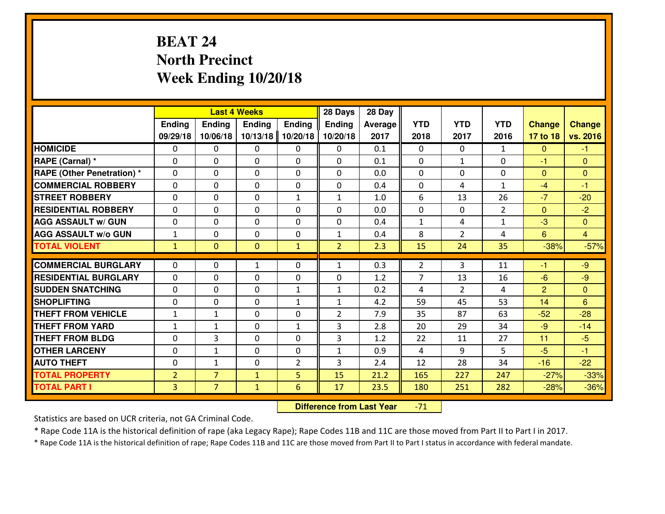# **BEAT 24 North PrecinctWeek Ending 10/20/18**

|                             |                |                | <b>Last 4 Weeks</b> |                | 28 Days        | 28 Day  |                |                |                |               |                 |
|-----------------------------|----------------|----------------|---------------------|----------------|----------------|---------|----------------|----------------|----------------|---------------|-----------------|
|                             | Ending         | Ending         | <b>Ending</b>       | <b>Ending</b>  | <b>Ending</b>  | Average | <b>YTD</b>     | <b>YTD</b>     | <b>YTD</b>     | <b>Change</b> | <b>Change</b>   |
|                             | 09/29/18       | 10/06/18       | 10/13/18            | 10/20/18       | 10/20/18       | 2017    | 2018           | 2017           | 2016           | 17 to 18      | vs. 2016        |
| <b>HOMICIDE</b>             | $\mathbf{0}$   | 0              | 0                   | 0              | 0              | 0.1     | $\mathbf{0}$   | $\Omega$       | $\mathbf{1}$   | $\mathbf{0}$  | $-1$            |
| RAPE (Carnal) *             | 0              | 0              | $\mathbf{0}$        | 0              | $\Omega$       | 0.1     | $\mathbf{0}$   | $\mathbf{1}$   | 0              | -1            | $\mathbf{0}$    |
| RAPE (Other Penetration) *  | $\Omega$       | 0              | $\mathbf{0}$        | $\Omega$       | $\Omega$       | 0.0     | $\Omega$       | 0              | 0              | $\mathbf{0}$  | $\mathbf{0}$    |
| <b>COMMERCIAL ROBBERY</b>   | $\mathbf{0}$   | 0              | $\mathbf{0}$        | 0              | $\Omega$       | 0.4     | $\mathbf{0}$   | 4              | $\mathbf{1}$   | $-4$          | $-1$            |
| <b>STREET ROBBERY</b>       | 0              | 0              | $\mathbf 0$         | $\mathbf{1}$   | $\mathbf{1}$   | 1.0     | 6              | 13             | 26             | $-7$          | $-20$           |
| <b>RESIDENTIAL ROBBERY</b>  | 0              | 0              | $\mathbf 0$         | 0              | 0              | 0.0     | 0              | $\mathbf{0}$   | $\overline{2}$ | $\mathbf{0}$  | $-2$            |
| <b>AGG ASSAULT w/ GUN</b>   | 0              | 0              | $\mathbf 0$         | 0              | 0              | 0.4     | $\mathbf{1}$   | 4              | $\mathbf{1}$   | $-3$          | $\mathbf{0}$    |
| <b>AGG ASSAULT W/o GUN</b>  | $\mathbf{1}$   | 0              | $\mathbf 0$         | 0              | $\mathbf{1}$   | 0.4     | 8              | $\overline{2}$ | 4              | 6             | $\overline{4}$  |
| <b>TOTAL VIOLENT</b>        | $\mathbf{1}$   | $\mathbf{0}$   | $\mathbf{0}$        | $\mathbf{1}$   | $\overline{2}$ | 2.3     | 15             | 24             | 35             | $-38%$        | $-57%$          |
| <b>COMMERCIAL BURGLARY</b>  | $\Omega$       | 0              |                     | 0              | $\mathbf{1}$   | 0.3     | $\overline{2}$ | 3              | 11             | -1            | $-9$            |
|                             |                |                | 1                   |                |                |         |                |                |                |               |                 |
| <b>RESIDENTIAL BURGLARY</b> | 0              | 0              | $\mathbf 0$         | 0              | 0              | 1.2     | $\overline{7}$ | 13             | 16             | $-6$          | $-9$            |
| <b>SUDDEN SNATCHING</b>     | $\mathbf{0}$   | 0              | $\mathbf{0}$        | $\mathbf{1}$   | $\mathbf{1}$   | 0.2     | 4              | $\overline{2}$ | 4              | 2             | $\mathbf{0}$    |
| <b>SHOPLIFTING</b>          | 0              | 0              | $\mathbf 0$         | $\mathbf{1}$   | $\mathbf{1}$   | 4.2     | 59             | 45             | 53             | 14            | $6\phantom{1}6$ |
| <b>THEFT FROM VEHICLE</b>   | $\mathbf{1}$   | $\mathbf{1}$   | $\mathbf{0}$        | 0              | $\overline{2}$ | 7.9     | 35             | 87             | 63             | $-52$         | $-28$           |
| <b>THEFT FROM YARD</b>      | $\mathbf{1}$   | 1              | $\mathbf 0$         | $\mathbf{1}$   | 3              | 2.8     | 20             | 29             | 34             | $-9$          | $-14$           |
| <b>THEFT FROM BLDG</b>      | 0              | 3              | $\mathbf 0$         | $\mathbf{0}$   | 3              | 1.2     | 22             | 11             | 27             | 11            | $-5$            |
| <b>OTHER LARCENY</b>        | 0              | 1              | $\mathbf 0$         | 0              | $\mathbf{1}$   | 0.9     | 4              | 9              | 5              | $-5$          | $-1$            |
| <b>AUTO THEFT</b>           | 0              | $\mathbf{1}$   | $\mathbf 0$         | $\overline{2}$ | 3              | 2.4     | 12             | 28             | 34             | $-16$         | $-22$           |
| <b>TOTAL PROPERTY</b>       | $\overline{2}$ | $\overline{7}$ | $\mathbf{1}$        | 5              | 15             | 21.2    | 165            | 227            | 247            | $-27%$        | $-33%$          |
| <b>TOTAL PART I</b>         | 3              | $\overline{7}$ | $\mathbf{1}$        | 6              | 17             | 23.5    | 180            | 251            | 282            | $-28%$        | $-36%$          |

 **Difference from Last Year**-71

Statistics are based on UCR criteria, not GA Criminal Code.

\* Rape Code 11A is the historical definition of rape (aka Legacy Rape); Rape Codes 11B and 11C are those moved from Part II to Part I in 2017.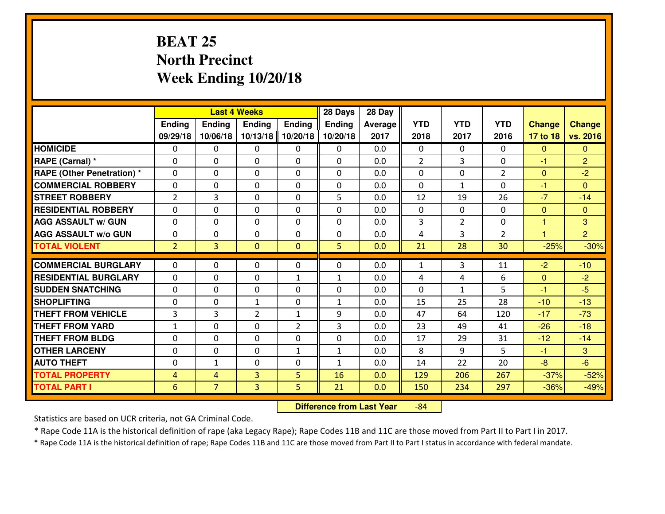# **BEAT 25 North PrecinctWeek Ending 10/20/18**

|                                  |                |                | <b>Last 4 Weeks</b> |                | 28 Days        | 28 Day  |                |                |                |                      |                |
|----------------------------------|----------------|----------------|---------------------|----------------|----------------|---------|----------------|----------------|----------------|----------------------|----------------|
|                                  | Ending         | Ending         | Ending              | <b>Ending</b>  | <b>Ending</b>  | Average | <b>YTD</b>     | <b>YTD</b>     | <b>YTD</b>     | <b>Change</b>        | <b>Change</b>  |
|                                  | 09/29/18       | 10/06/18       | 10/13/18            | 10/20/18       | 10/20/18       | 2017    | 2018           | 2017           | 2016           | 17 to 18             | vs. 2016       |
| <b>HOMICIDE</b>                  | 0              | 0              | 0                   | 0              | 0              | 0.0     | 0              | $\Omega$       | 0              | $\Omega$             | $\mathbf{0}$   |
| RAPE (Carnal) *                  | $\Omega$       | 0              | 0                   | $\Omega$       | 0              | 0.0     | $\overline{2}$ | 3              | 0              | -1                   | $\overline{2}$ |
| <b>RAPE (Other Penetration)*</b> | $\Omega$       | $\Omega$       | $\Omega$            | $\Omega$       | $\Omega$       | 0.0     | $\Omega$       | $\Omega$       | $\overline{2}$ | $\Omega$             | $-2$           |
| <b>COMMERCIAL ROBBERY</b>        | $\Omega$       | $\Omega$       | $\mathbf 0$         | $\Omega$       | 0              | 0.0     | $\Omega$       | $\mathbf{1}$   | $\Omega$       | $-1$                 | $\Omega$       |
| <b>ISTREET ROBBERY</b>           | 2              | 3              | $\mathbf{0}$        | 0              | 5              | 0.0     | 12             | 19             | 26             | $-7$                 | $-14$          |
| <b>RESIDENTIAL ROBBERY</b>       | 0              | 0              | $\mathbf 0$         | 0              | 0              | 0.0     | $\mathbf{0}$   | $\mathbf{0}$   | 0              | $\mathbf{0}$         | $\mathbf{0}$   |
| <b>AGG ASSAULT W/ GUN</b>        | 0              | 0              | $\mathbf 0$         | 0              | 0              | 0.0     | $\overline{3}$ | $\overline{2}$ | 0              | $\mathbf{1}$         | 3              |
| <b>AGG ASSAULT W/o GUN</b>       | 0              | 0              | $\mathbf{0}$        | 0              | 0              | 0.0     | 4              | 3              | $\overline{2}$ | $\blacktriangleleft$ | $\overline{2}$ |
| <b>TOTAL VIOLENT</b>             | $\overline{2}$ | $\overline{3}$ | $\mathbf{O}$        | $\mathbf{0}$   | 5 <sup>1</sup> | 0.0     | 21             | 28             | 30             | $-25%$               | $-30%$         |
| <b>COMMERCIAL BURGLARY</b>       | $\Omega$       | 0              | $\mathbf{0}$        | $\Omega$       | $\Omega$       | 0.0     | $\mathbf{1}$   | 3              | 11             | $-2$                 | $-10$          |
| <b>RESIDENTIAL BURGLARY</b>      | $\Omega$       | $\Omega$       | $\mathbf 0$         | $\mathbf{1}$   | $\mathbf{1}$   | 0.0     | 4              | 4              | 6              | $\mathbf{0}$         | $-2$           |
| <b>SUDDEN SNATCHING</b>          | 0              | $\Omega$       | $\mathbf 0$         | $\Omega$       | 0              | 0.0     | $\Omega$       | $\mathbf{1}$   | 5              | $-1$                 | $-5$           |
| <b>SHOPLIFTING</b>               | 0              | 0              | $\mathbf{1}$        | 0              | $\mathbf{1}$   | 0.0     | 15             | 25             | 28             | $-10$                | $-13$          |
| <b>THEFT FROM VEHICLE</b>        | $\overline{3}$ | 3              | $\overline{2}$      | $\mathbf{1}$   | 9              | 0.0     | 47             | 64             | 120            | $-17$                | $-73$          |
| <b>THEFT FROM YARD</b>           | $\mathbf{1}$   | 0              | $\mathbf 0$         | $\overline{2}$ | 3              | 0.0     | 23             | 49             | 41             | $-26$                | $-18$          |
| <b>THEFT FROM BLDG</b>           | $\mathbf{0}$   | 0              | 0                   | 0              | 0              | 0.0     | 17             | 29             | 31             | $-12$                | $-14$          |
| <b>OTHER LARCENY</b>             | 0              | 0              | $\mathbf 0$         | $\mathbf{1}$   | $\mathbf{1}$   | 0.0     | 8              | 9              | 5              | $-1$                 | 3              |
| <b>AUTO THEFT</b>                | 0              | $\mathbf{1}$   | 0                   | 0              | 1              | 0.0     | 14             | 22             | 20             | $-8$                 | $-6$           |
| <b>TOTAL PROPERTY</b>            | 4              | 4              | 3                   | 5              | 16             | 0.0     | 129            | 206            | 267            | $-37%$               | $-52%$         |
| <b>TOTAL PART I</b>              | 6              | $\overline{7}$ | 3                   | 5              | 21             | 0.0     | 150            | 234            | 297            | $-36%$               | $-49%$         |

 **Difference from Last Year**-84

Statistics are based on UCR criteria, not GA Criminal Code.

\* Rape Code 11A is the historical definition of rape (aka Legacy Rape); Rape Codes 11B and 11C are those moved from Part II to Part I in 2017.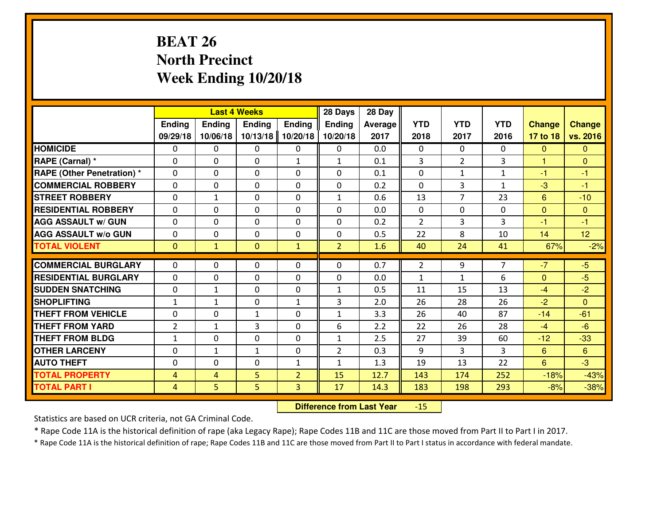# **BEAT 26 North PrecinctWeek Ending 10/20/18**

|                                  |                |               | <b>Last 4 Weeks</b> |                | 28 Days        | 28 Day  |                |                |              |                |               |
|----------------------------------|----------------|---------------|---------------------|----------------|----------------|---------|----------------|----------------|--------------|----------------|---------------|
|                                  | Ending         | <b>Ending</b> | <b>Ending</b>       | Ending         | <b>Ending</b>  | Average | <b>YTD</b>     | <b>YTD</b>     | <b>YTD</b>   | <b>Change</b>  | <b>Change</b> |
|                                  | 09/29/18       | 10/06/18      | 10/13/18            | 10/20/18       | 10/20/18       | 2017    | 2018           | 2017           | 2016         | 17 to 18       | vs. 2016      |
| <b>HOMICIDE</b>                  | $\Omega$       | 0             | 0                   | 0              | 0              | 0.0     | 0              | $\Omega$       | 0            | $\Omega$       | $\Omega$      |
| RAPE (Carnal) *                  | $\Omega$       | 0             | $\mathbf{0}$        | $\mathbf{1}$   | $\mathbf{1}$   | 0.1     | 3              | $\overline{2}$ | 3            | $\mathbf{1}$   | $\Omega$      |
| <b>RAPE (Other Penetration)*</b> | 0              | 0             | $\mathbf 0$         | 0              | 0              | 0.1     | 0              | $\mathbf{1}$   | $\mathbf{1}$ | $-1$           | $-1$          |
| <b>COMMERCIAL ROBBERY</b>        | 0              | 0             | $\mathbf 0$         | 0              | 0              | 0.2     | 0              | 3              | $\mathbf{1}$ | $-3$           | $-1$          |
| <b>STREET ROBBERY</b>            | $\mathbf{0}$   | $\mathbf{1}$  | $\mathbf 0$         | 0              | $\mathbf{1}$   | 0.6     | 13             | $\overline{7}$ | 23           | $6\phantom{1}$ | $-10$         |
| <b>RESIDENTIAL ROBBERY</b>       | 0              | 0             | $\mathbf 0$         | 0              | 0              | 0.0     | $\mathbf{0}$   | 0              | 0            | $\mathbf{0}$   | $\mathbf{0}$  |
| <b>AGG ASSAULT w/ GUN</b>        | 0              | 0             | $\mathbf 0$         | 0              | 0              | 0.2     | $\overline{2}$ | $\overline{3}$ | 3            | $-1$           | $-1$          |
| <b>AGG ASSAULT W/o GUN</b>       | 0              | 0             | 0                   | $\mathbf{0}$   | $\mathbf 0$    | 0.5     | 22             | 8              | 10           | 14             | 12            |
| <b>TOTAL VIOLENT</b>             | $\mathbf{0}$   | $\mathbf{1}$  | $\mathbf{O}$        | $\mathbf{1}$   | $\overline{2}$ | 1.6     | 40             | 24             | 41           | 67%            | $-2%$         |
| <b>COMMERCIAL BURGLARY</b>       | $\Omega$       | 0             | $\mathbf{0}$        | 0              | $\Omega$       | 0.7     | 2              | 9              | 7            | $-7$           | $-5$          |
| <b>RESIDENTIAL BURGLARY</b>      | $\mathbf{0}$   | 0             | 0                   | 0              | 0              | 0.0     | $\mathbf{1}$   | $\mathbf{1}$   | 6            | $\mathbf{0}$   | $-5$          |
| <b>SUDDEN SNATCHING</b>          | $\mathbf{0}$   | 1             | 0                   | 0              | $\mathbf{1}$   | 0.5     | 11             | 15             | 13           | $-4$           | $-2$          |
| <b>SHOPLIFTING</b>               | $\mathbf{1}$   | $\mathbf{1}$  | $\mathbf 0$         | $\mathbf{1}$   | 3              | 2.0     | 26             | 28             | 26           | $-2$           | $\Omega$      |
| <b>THEFT FROM VEHICLE</b>        | 0              | 0             | 1                   | 0              | $\mathbf{1}$   | 3.3     | 26             | 40             | 87           | $-14$          | $-61$         |
| <b>THEFT FROM YARD</b>           | $\overline{2}$ | 1             | 3                   | 0              | 6              | 2.2     | 22             | 26             | 28           | $-4$           | $-6$          |
| <b>THEFT FROM BLDG</b>           | $\mathbf{1}$   | 0             | $\mathbf 0$         | $\mathbf{0}$   | $\mathbf{1}$   | 2.5     | 27             | 39             | 60           | $-12$          | $-33$         |
| <b>OTHER LARCENY</b>             | 0              | $\mathbf{1}$  | $\mathbf{1}$        | $\mathbf 0$    | $\overline{2}$ | 0.3     | 9              | 3              | 3            | $6\phantom{1}$ | 6             |
| <b>AUTO THEFT</b>                | 0              | 0             | $\mathbf 0$         | $\mathbf{1}$   | $\mathbf{1}$   | 1.3     | 19             | 13             | 22           | 6              | $-3$          |
| <b>TOTAL PROPERTY</b>            | $\overline{4}$ | 4             | 5                   | $\overline{2}$ | 15             | 12.7    | 143            | 174            | 252          | $-18%$         | $-43%$        |
| <b>TOTAL PART I</b>              | $\overline{4}$ | 5             | 5                   | 3              | 17             | 14.3    | 183            | 198            | 293          | $-8%$          | $-38%$        |
|                                  |                |               |                     |                |                |         |                |                |              |                |               |

 **Difference from Last Year** $-15$ 

Statistics are based on UCR criteria, not GA Criminal Code.

\* Rape Code 11A is the historical definition of rape (aka Legacy Rape); Rape Codes 11B and 11C are those moved from Part II to Part I in 2017.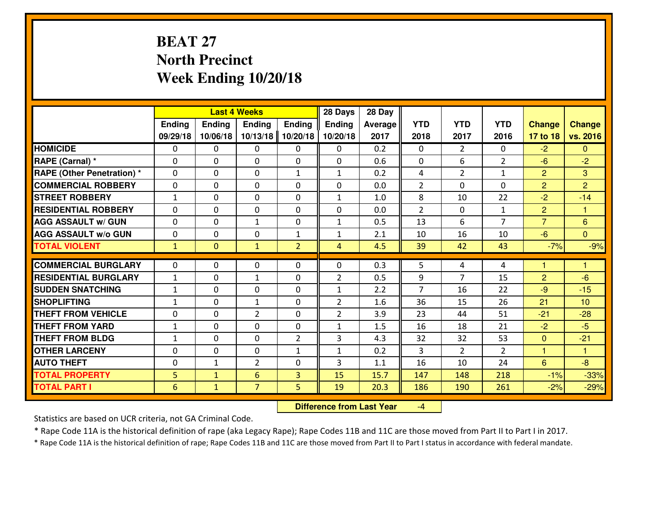# **BEAT 27 North PrecinctWeek Ending 10/20/18**

|                                  |              |                | <b>Last 4 Weeks</b> |                | 28 Days        | 28 Day  |                |                |                |                |                      |
|----------------------------------|--------------|----------------|---------------------|----------------|----------------|---------|----------------|----------------|----------------|----------------|----------------------|
|                                  | Ending       | Ending         | Ending              | <b>Ending</b>  | <b>Ending</b>  | Average | <b>YTD</b>     | <b>YTD</b>     | <b>YTD</b>     | <b>Change</b>  | <b>Change</b>        |
|                                  | 09/29/18     | 10/06/18       | 10/13/18            | 10/20/18       | 10/20/18       | 2017    | 2018           | 2017           | 2016           | 17 to 18       | vs. 2016             |
| <b>HOMICIDE</b>                  | 0            | 0              | 0                   | 0              | 0              | 0.2     | 0              | $\overline{2}$ | 0              | $-2$           | $\mathbf{0}$         |
| RAPE (Carnal) *                  | $\Omega$     | 0              | 0                   | 0              | 0              | 0.6     | 0              | 6              | $\overline{2}$ | $-6$           | $-2$                 |
| <b>RAPE (Other Penetration)*</b> | $\Omega$     | $\Omega$       | $\mathbf 0$         | $\mathbf{1}$   | $\mathbf{1}$   | 0.2     | 4              | $\overline{2}$ | $\mathbf{1}$   | $\overline{2}$ | 3                    |
| <b>COMMERCIAL ROBBERY</b>        | $\Omega$     | $\Omega$       | $\mathbf 0$         | $\Omega$       | 0              | 0.0     | $\overline{2}$ | 0              | $\Omega$       | $\overline{2}$ | $\overline{2}$       |
| <b>ISTREET ROBBERY</b>           | $\mathbf{1}$ | 0              | $\mathbf{0}$        | 0              | $\mathbf{1}$   | 1.0     | 8              | 10             | 22             | $-2$           | $-14$                |
| <b>RESIDENTIAL ROBBERY</b>       | 0            | 0              | $\mathbf 0$         | 0              | 0              | 0.0     | $\overline{2}$ | $\mathbf{0}$   | $\mathbf{1}$   | $\overline{2}$ | $\blacktriangleleft$ |
| <b>AGG ASSAULT W/ GUN</b>        | 0            | 0              | $\mathbf{1}$        | 0              | $\mathbf{1}$   | 0.5     | 13             | 6              | $\overline{7}$ | $\overline{7}$ | 6                    |
| <b>AGG ASSAULT W/o GUN</b>       | 0            | 0              | $\mathbf 0$         | $\mathbf{1}$   | $\mathbf{1}$   | 2.1     | 10             | 16             | 10             | $-6$           | $\overline{0}$       |
| <b>TOTAL VIOLENT</b>             | $\mathbf{1}$ | $\overline{0}$ | $\mathbf{1}$        | $\overline{2}$ | $\overline{4}$ | 4.5     | 39             | 42             | 43             | $-7%$          | $-9%$                |
| <b>COMMERCIAL BURGLARY</b>       | $\Omega$     | 0              | $\mathbf{0}$        | $\Omega$       | $\Omega$       | 0.3     | 5              | 4              | 4              | 1              | 1                    |
| <b>RESIDENTIAL BURGLARY</b>      | $\mathbf{1}$ | 0              | $\mathbf{1}$        | $\Omega$       | $\overline{2}$ | 0.5     | 9              | $\overline{7}$ | 15             | $\overline{2}$ | $-6$                 |
| <b>SUDDEN SNATCHING</b>          | $\mathbf{1}$ | 0              | $\mathbf 0$         | $\Omega$       | $\mathbf{1}$   | 2.2     | $\overline{7}$ | 16             | 22             | $-9$           | $-15$                |
| <b>SHOPLIFTING</b>               | $\mathbf{1}$ | 0              | $\mathbf{1}$        | 0              | $\overline{2}$ | 1.6     | 36             | 15             | 26             | 21             | 10                   |
| <b>THEFT FROM VEHICLE</b>        | 0            | 0              | $\overline{2}$      | 0              | $\overline{2}$ | 3.9     | 23             | 44             | 51             | $-21$          | $-28$                |
| <b>THEFT FROM YARD</b>           | $1\,$        | 0              | $\mathbf 0$         | 0              | $\mathbf{1}$   | 1.5     | 16             | 18             | 21             | $-2$           | $-5$                 |
| <b>THEFT FROM BLDG</b>           | $\mathbf{1}$ | 0              | 0                   | 2              | 3              | 4.3     | 32             | 32             | 53             | $\mathbf{0}$   | $-21$                |
| <b>OTHER LARCENY</b>             | 0            | 0              | $\mathbf 0$         | $\mathbf{1}$   | $\mathbf{1}$   | 0.2     | 3              | $\overline{2}$ | $\overline{2}$ | 1              | $\blacktriangleleft$ |
| <b>AUTO THEFT</b>                | 0            | $\mathbf{1}$   | $\overline{2}$      | 0              | 3              | 1.1     | 16             | 10             | 24             | $6\phantom{1}$ | $-8$                 |
| <b>TOTAL PROPERTY</b>            | 5            | $\mathbf{1}$   | 6                   | $\overline{3}$ | 15             | 15.7    | 147            | 148            | 218            | $-1%$          | $-33%$               |
| <b>TOTAL PART I</b>              | 6            | $\mathbf{1}$   | $\overline{7}$      | 5              | 19             | 20.3    | 186            | 190            | 261            | $-2%$          | $-29%$               |
|                                  |              |                |                     |                |                |         |                |                |                |                |                      |

 **Difference from Last Year**-4

Statistics are based on UCR criteria, not GA Criminal Code.

\* Rape Code 11A is the historical definition of rape (aka Legacy Rape); Rape Codes 11B and 11C are those moved from Part II to Part I in 2017.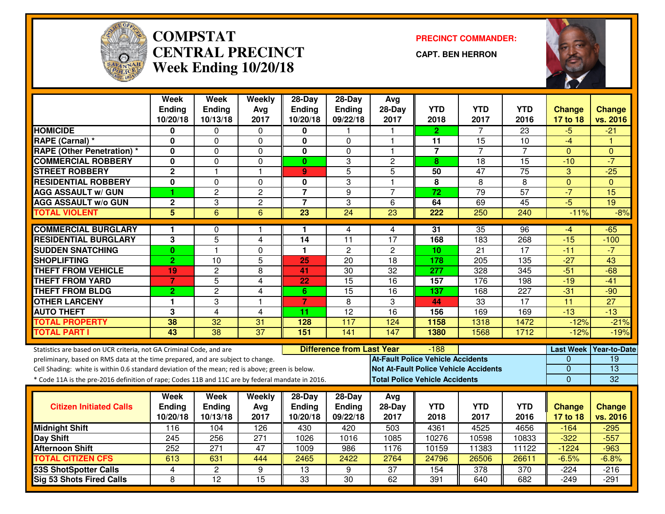

#### **COMPSTAT PRECINCT COMMANDER: CENTRAL PRECINCTWeek Ending 10/20/18**

**CAPT. BEN HERRON**



|                                                                                                  | <b>Week</b>      | <b>Week</b>      | Weekly           | $28-Day$                | $28-Day$                         | Avg                                      |                 |                                              |                  |                  |                 |
|--------------------------------------------------------------------------------------------------|------------------|------------------|------------------|-------------------------|----------------------------------|------------------------------------------|-----------------|----------------------------------------------|------------------|------------------|-----------------|
|                                                                                                  | <b>Ending</b>    | <b>Ending</b>    | Ava              | <b>Ending</b>           | Ending                           | $28-Day$                                 | <b>YTD</b>      | <b>YTD</b>                                   | <b>YTD</b>       | <b>Change</b>    | <b>Change</b>   |
|                                                                                                  | 10/20/18         | 10/13/18         | 2017             | 10/20/18                | 09/22/18                         | 2017                                     | 2018            | 2017                                         | 2016             | 17 to 18         | vs. 2016        |
| <b>HOMICIDE</b>                                                                                  | 0                | 0                | 0                | 0                       |                                  |                                          | $\mathbf{2}$    | 7                                            | $\overline{23}$  | $-5$             | $-21$           |
| RAPE (Carnal) *                                                                                  | 0                | 0                | $\Omega$         | 0                       | $\Omega$                         | 1                                        | 11              | 15                                           | 10               | $-4$             |                 |
| <b>RAPE (Other Penetration) *</b>                                                                | 0                | $\mathbf{0}$     | $\mathbf 0$      | $\overline{\mathbf{0}}$ | $\overline{0}$                   | $\overline{1}$                           | $\overline{7}$  | $\overline{7}$                               | $\overline{7}$   | $\mathbf{0}$     | $\Omega$        |
| <b>COMMERCIAL ROBBERY</b>                                                                        | 0                | 0                | $\mathbf 0$      | $\mathbf{0}$            | 3                                | $\overline{c}$                           | 8               | 18                                           | 15               | $-10$            | $-7$            |
| <b>STREET ROBBERY</b>                                                                            | $\overline{2}$   | $\mathbf{1}$     | $\overline{1}$   | 9                       | 5                                | 5                                        | 50              | $\overline{47}$                              | $\overline{75}$  | 3                | $-25$           |
| <b>RESIDENTIAL ROBBERY</b>                                                                       | 0                | 0                | $\Omega$         | $\mathbf 0$             | 3                                | $\overline{1}$                           | 8               | 8                                            | 8                | $\Omega$         | $\mathbf{0}$    |
| <b>AGG ASSAULT w/ GUN</b>                                                                        | 4                | $\overline{2}$   | $\overline{2}$   | $\overline{7}$          | $\overline{9}$                   | $\overline{7}$                           | $\overline{72}$ | 79                                           | 57               | $-7$             | 15              |
| <b>AGG ASSAULT w/o GUN</b>                                                                       | $\mathbf 2$      | 3                | $\overline{c}$   | $\overline{7}$          | 3                                | 6                                        | 64              | 69                                           | 45               | $-5$             | $\overline{19}$ |
| <b>TOTAL VIOLENT</b>                                                                             | $\overline{5}$   | $\overline{6}$   | 6                | $\overline{23}$         | $\overline{24}$                  | 23                                       | 222             | 250                                          | 240              | $-11%$           | $-8%$           |
| <b>COMMERCIAL BURGLARY</b>                                                                       | $\mathbf 1$      | 0                | -1               | 1                       | 4                                | 4                                        | 31              | 35                                           | 96               | $-4$             | $-65$           |
| <b>RESIDENTIAL BURGLARY</b>                                                                      | 3                | 5                | 4                | 14                      | 11                               | 17                                       | 168             | 183                                          | 268              | $-15$            | $-100$          |
| <b>SUDDEN SNATCHING</b>                                                                          | $\mathbf{0}$     | $\mathbf{1}$     | $\overline{0}$   | $\blacksquare$          | $\overline{2}$                   | $\overline{2}$                           | $\overline{10}$ | $\overline{21}$                              | 17               | $-11$            | $-7$            |
| <b>SHOPLIFTING</b>                                                                               | $\overline{2}$   | 10               | 5                | 25                      | 20                               | 18                                       | 178             | 205                                          | 135              | $-27$            | 43              |
| <b>THEFT FROM VEHICLE</b>                                                                        | 19               | $\overline{2}$   | $\overline{8}$   | 41                      | 30                               | $\overline{32}$                          | 277             | 328                                          | 345              | $-51$            | $-68$           |
| <b>THEFT FROM YARD</b>                                                                           | $\overline{7}$   | $\overline{5}$   | 4                | $\overline{22}$         | $\overline{15}$                  | $\overline{16}$                          | 157             | 176                                          | 198              | $-19$            | $-41$           |
| <b>THEFT FROM BLDG</b>                                                                           | $\overline{2}$   | $\overline{c}$   | $\overline{4}$   | $6\phantom{1}$          | 15                               | $\overline{16}$                          | 137             | 168                                          | $\overline{227}$ | $-31$            | $-90$           |
| <b>OTHER LARCENY</b>                                                                             | 1                | 3                | $\overline{1}$   | $\overline{7}$          | 8                                | 3                                        | 44              | 33                                           | 17               | $\overline{11}$  | $\overline{27}$ |
| <b>AUTO THEFT</b>                                                                                | 3                | $\overline{4}$   | $\overline{4}$   | 11                      | $\overline{12}$                  | $\overline{16}$                          | 156             | 169                                          | 169              | $-13$            | $-13$           |
| <b>TOTAL PROPERTY</b>                                                                            | 38               | 32               | 31               | 128                     | 117                              | 124                                      | 1158            | 1318                                         | 1472             | $-12%$           | $-21%$          |
| <b>TOTAL PART I</b>                                                                              | 43               | $\overline{38}$  | $\overline{37}$  | 151                     | $\overline{141}$                 | 147                                      | 1380            | 1568                                         | 1712             | $-12%$           | $-19%$          |
| Statistics are based on UCR criteria, not GA Criminal Code, and are                              |                  |                  |                  |                         | <b>Difference from Last Year</b> |                                          | -188            |                                              |                  | <b>Last Week</b> | Year-to-Date    |
| preliminary, based on RMS data at the time prepared, and are subject to change.                  |                  |                  |                  |                         |                                  | <b>At-Fault Police Vehicle Accidents</b> |                 |                                              |                  | $\Omega$         | $\overline{19}$ |
| Cell Shading: white is within 0.6 standard deviation of the mean; red is above; green is below.  |                  |                  |                  |                         |                                  |                                          |                 | <b>Not At-Fault Police Vehicle Accidents</b> |                  | 0                | $\overline{13}$ |
| * Code 11A is the pre-2016 definition of rape; Codes 11B and 11C are by federal mandate in 2016. |                  |                  |                  |                         |                                  | <b>Total Police Vehicle Accidents</b>    |                 |                                              |                  | $\mathbf 0$      | 32              |
|                                                                                                  |                  |                  |                  |                         |                                  |                                          |                 |                                              |                  |                  |                 |
|                                                                                                  | Week             | Week             | Weekly           | $28$ -Day               | $28-Day$                         | Avg                                      |                 |                                              |                  |                  |                 |
| <b>Citizen Initiated Calls</b>                                                                   | <b>Ending</b>    | Ending           | Avg              | <b>Ending</b>           | Ending                           | 28-Day                                   | <b>YTD</b>      | <b>YTD</b>                                   | <b>YTD</b>       | <b>Change</b>    | <b>Change</b>   |
|                                                                                                  | 10/20/18         | 10/13/18         | 2017             | 10/20/18                | 09/22/18                         | 2017                                     | 2018            | 2017                                         | 2016             | 17 to 18         | vs. 2016        |
| <b>Midnight Shift</b>                                                                            | 116              | 104              | 126              | 430                     | 420                              | 503                                      | 4361            | 4525                                         | 4656             | $-164$           | $-295$          |
| Day Shift                                                                                        | $\overline{245}$ | 256              | $\overline{271}$ | 1026                    | 1016                             | 1085                                     | 10276           | 10598                                        | 10833            | $-322$           | $-557$          |
| <b>Afternoon Shift</b>                                                                           | 252              | $\overline{271}$ | 47               | 1009                    | 986                              | 1176                                     | 10159           | 11383                                        | 11122            | $-1224$          | $-963$          |
| <b>TOTAL CITIZEN CFS</b>                                                                         | 613              | 631              | 444              | 2465                    | 2422                             | 2764                                     | 24796           | 26506                                        | 26611            | $-6.5%$          | $-6.8%$         |
| 53S ShotSpotter Calls                                                                            | 4                | $\mathbf{2}$     | 9                | $\overline{13}$         | 9                                | $\overline{37}$                          | 154             | 378                                          | 370              | $-224$           | $-216$          |
| <b>Sig 53 Shots Fired Calls</b>                                                                  | 8                | $\overline{12}$  | $\overline{15}$  | $\overline{33}$         | 30                               | 62                                       | 391             | 640                                          | 682              | $-249$           | $-291$          |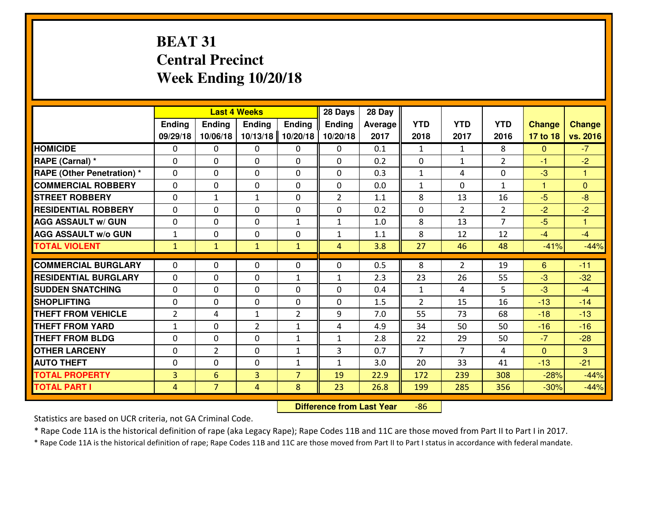# **BEAT 31 Central PrecinctWeek Ending 10/20/18**

|                                   |                |                | <b>Last 4 Weeks</b> |                | 28 Days        | 28 Day         |                |                |                |               |               |
|-----------------------------------|----------------|----------------|---------------------|----------------|----------------|----------------|----------------|----------------|----------------|---------------|---------------|
|                                   | Ending         | <b>Ending</b>  | <b>Ending</b>       | Ending         | <b>Ending</b>  | <b>Average</b> | <b>YTD</b>     | <b>YTD</b>     | <b>YTD</b>     | <b>Change</b> | <b>Change</b> |
|                                   | 09/29/18       | 10/06/18       | 10/13/18            | 10/20/18       | 10/20/18       | 2017           | 2018           | 2017           | 2016           | 17 to 18      | vs. 2016      |
| <b>HOMICIDE</b>                   | 0              | 0              | $\Omega$            | $\mathbf{0}$   | 0              | 0.1            | 1              | $\mathbf{1}$   | 8              | $\mathbf{0}$  | $-7$          |
| RAPE (Carnal) *                   | 0              | 0              | $\mathbf{0}$        | $\mathbf{0}$   | $\Omega$       | 0.2            | $\mathbf{0}$   | $\mathbf{1}$   | $\overline{2}$ | $-1$          | $-2$          |
| <b>RAPE (Other Penetration) *</b> | $\Omega$       | 0              | $\mathbf{0}$        | $\Omega$       | $\Omega$       | 0.3            | $\mathbf{1}$   | 4              | $\Omega$       | $-3$          | $\mathbf{1}$  |
| <b>COMMERCIAL ROBBERY</b>         | $\mathbf{0}$   | 0              | $\mathbf{0}$        | 0              | $\Omega$       | 0.0            | $\mathbf{1}$   | $\Omega$       | $\mathbf{1}$   | $\mathbf{1}$  | $\mathbf{0}$  |
| <b>ISTREET ROBBERY</b>            | $\mathbf{0}$   | 1              | $\mathbf{1}$        | 0              | $\overline{2}$ | 1.1            | 8              | 13             | 16             | $-5$          | $-8$          |
| <b>RESIDENTIAL ROBBERY</b>        | $\mathbf{0}$   | 0              | $\mathbf{0}$        | 0              | 0              | 0.2            | $\mathbf{0}$   | $\overline{2}$ | $\overline{2}$ | $-2$          | $-2$          |
| <b>AGG ASSAULT w/ GUN</b>         | 0              | 0              | $\mathbf 0$         | $\mathbf{1}$   | $\mathbf{1}$   | 1.0            | 8              | 13             | $\overline{7}$ | $-5$          | $\mathbf{1}$  |
| <b>AGG ASSAULT W/o GUN</b>        | $\mathbf{1}$   | 0              | 0                   | 0              | $\mathbf{1}$   | 1.1            | 8              | 12             | 12             | $-4$          | $-4$          |
| <b>TOTAL VIOLENT</b>              | $\mathbf{1}$   | $\mathbf{1}$   | $\mathbf{1}$        | $\mathbf{1}$   | $\overline{4}$ | 3.8            | 27             | 46             | 48             | $-41%$        | $-44%$        |
| <b>COMMERCIAL BURGLARY</b>        | $\Omega$       | 0              | $\mathbf{0}$        | 0              | 0              | 0.5            | 8              | $\overline{2}$ | 19             | 6             | $-11$         |
|                                   |                |                |                     |                |                |                |                |                |                |               |               |
| <b>RESIDENTIAL BURGLARY</b>       | $\Omega$       | 0              | $\mathbf 0$         | $\mathbf{1}$   | $\mathbf{1}$   | 2.3            | 23             | 26             | 55             | $-3$          | $-32$         |
| <b>SUDDEN SNATCHING</b>           | 0              | 0              | $\mathbf 0$         | $\Omega$       | 0              | 0.4            | $\mathbf{1}$   | 4              | 5              | $-3$          | $-4$          |
| <b>SHOPLIFTING</b>                | 0              | 0              | $\mathbf 0$         | 0              | 0              | 1.5            | $\overline{2}$ | 15             | 16             | $-13$         | $-14$         |
| <b>THEFT FROM VEHICLE</b>         | $\overline{2}$ | 4              | 1                   | $\overline{2}$ | 9              | 7.0            | 55             | 73             | 68             | $-18$         | $-13$         |
| <b>THEFT FROM YARD</b>            | $1\,$          | 0              | $\overline{2}$      | $\mathbf{1}$   | 4              | 4.9            | 34             | 50             | 50             | $-16$         | $-16$         |
| <b>THEFT FROM BLDG</b>            | 0              | 0              | 0                   | $\mathbf{1}$   | $\mathbf{1}$   | 2.8            | 22             | 29             | 50             | $-7$          | $-28$         |
| <b>OTHER LARCENY</b>              | 0              | $\overline{2}$ | $\mathbf 0$         | $\mathbf{1}$   | 3              | 0.7            | $\overline{7}$ | $\overline{7}$ | 4              | $\mathbf{0}$  | 3             |
| <b>AUTO THEFT</b>                 | $\mathbf{0}$   | 0              | $\mathbf{0}$        | $\mathbf{1}$   | $\mathbf{1}$   | 3.0            | 20             | 33             | 41             | $-13$         | $-21$         |
| <b>TOTAL PROPERTY</b>             | $\overline{3}$ | 6              | 3                   | $\overline{7}$ | 19             | 22.9           | 172            | 239            | 308            | $-28%$        | $-44%$        |
| <b>TOTAL PART I</b>               | $\overline{4}$ | $\overline{7}$ | 4                   | 8              | 23             | 26.8           | 199            | 285            | 356            | $-30%$        | $-44%$        |

 **Difference from Last Year**-86

Statistics are based on UCR criteria, not GA Criminal Code.

\* Rape Code 11A is the historical definition of rape (aka Legacy Rape); Rape Codes 11B and 11C are those moved from Part II to Part I in 2017.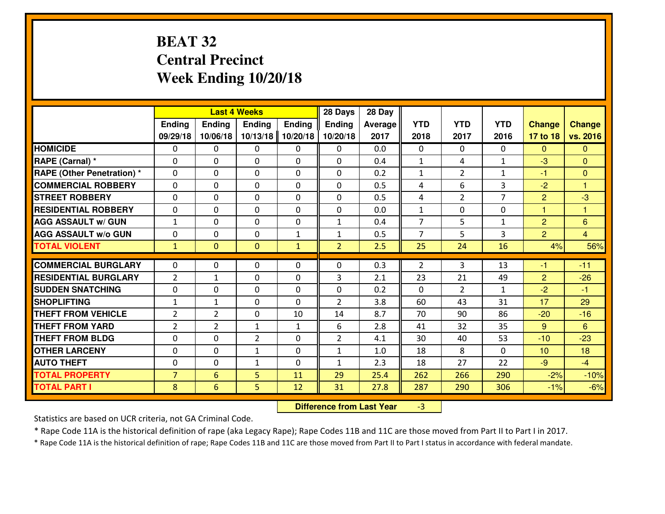# **BEAT 32 Central PrecinctWeek Ending 10/20/18**

|                                  |                |                | <b>Last 4 Weeks</b> |               | 28 Days        | 28 Day  |                |                |                |                |                |
|----------------------------------|----------------|----------------|---------------------|---------------|----------------|---------|----------------|----------------|----------------|----------------|----------------|
|                                  | Ending         | Ending         | Ending              | <b>Ending</b> | <b>Ending</b>  | Average | <b>YTD</b>     | <b>YTD</b>     | <b>YTD</b>     | <b>Change</b>  | <b>Change</b>  |
|                                  | 09/29/18       | 10/06/18       | 10/13/18            | 10/20/18      | 10/20/18       | 2017    | 2018           | 2017           | 2016           | 17 to 18       | vs. 2016       |
| <b>HOMICIDE</b>                  | 0              | 0              | 0                   | 0             | 0              | 0.0     | 0              | $\Omega$       | 0              | $\Omega$       | $\mathbf{0}$   |
| RAPE (Carnal) *                  | $\Omega$       | 0              | 0                   | $\Omega$      | 0              | 0.4     | $\mathbf{1}$   | 4              | $\mathbf{1}$   | -3             | $\mathbf{0}$   |
| <b>RAPE (Other Penetration)*</b> | $\Omega$       | $\Omega$       | $\mathbf 0$         | $\Omega$      | $\Omega$       | 0.2     | $\mathbf{1}$   | $\overline{2}$ | $\mathbf{1}$   | $-1$           | $\mathbf{0}$   |
| <b>COMMERCIAL ROBBERY</b>        | $\Omega$       | $\Omega$       | $\mathbf 0$         | $\Omega$      | $\Omega$       | 0.5     | 4              | 6              | 3              | $-2$           | $\overline{1}$ |
| <b>ISTREET ROBBERY</b>           | $\mathbf{0}$   | 0              | $\mathbf{0}$        | 0             | $\Omega$       | 0.5     | 4              | $\overline{2}$ | $\overline{7}$ | $\overline{2}$ | $-3$           |
| <b>RESIDENTIAL ROBBERY</b>       | 0              | 0              | $\mathbf 0$         | 0             | 0              | 0.0     | $\mathbf{1}$   | $\mathbf{0}$   | 0              | $\mathbf{1}$   | $\overline{1}$ |
| <b>AGG ASSAULT W/ GUN</b>        | $\mathbf{1}$   | 0              | $\mathbf 0$         | 0             | $\mathbf{1}$   | 0.4     | $\overline{7}$ | 5              | $\mathbf{1}$   | $\overline{2}$ | 6              |
| <b>AGG ASSAULT W/o GUN</b>       | 0              | 0              | $\mathbf 0$         | $\mathbf{1}$  | $\mathbf{1}$   | 0.5     | $\overline{7}$ | 5              | 3              | $\overline{2}$ | $\overline{4}$ |
| <b>TOTAL VIOLENT</b>             | $\mathbf{1}$   | $\overline{0}$ | $\mathbf{O}$        | $\mathbf{1}$  | $\overline{2}$ | 2.5     | 25             | 24             | 16             | 4%             | 56%            |
| <b>COMMERCIAL BURGLARY</b>       | $\Omega$       | 0              | $\mathbf{0}$        | $\Omega$      | $\Omega$       | 0.3     | $\overline{2}$ | 3              | 13             | -1             | $-11$          |
| <b>RESIDENTIAL BURGLARY</b>      | $\overline{2}$ | $\mathbf{1}$   | $\mathbf 0$         | $\Omega$      | 3              | 2.1     | 23             | 21             | 49             | $\overline{2}$ | $-26$          |
| <b>SUDDEN SNATCHING</b>          | 0              | 0              | $\mathbf 0$         | $\Omega$      | 0              | 0.2     | $\Omega$       | $\overline{2}$ | $\mathbf{1}$   | $-2$           | $-1$           |
| <b>SHOPLIFTING</b>               | $\mathbf{1}$   | $\mathbf{1}$   | $\mathbf 0$         | 0             | $\overline{2}$ | 3.8     | 60             | 43             | 31             | 17             | 29             |
| <b>THEFT FROM VEHICLE</b>        | 2              | $\overline{2}$ | $\mathbf 0$         | 10            | 14             | 8.7     | 70             | 90             | 86             | $-20$          | $-16$          |
| <b>THEFT FROM YARD</b>           | $\overline{2}$ | $\overline{2}$ | $\mathbf{1}$        | $\mathbf{1}$  | 6              | 2.8     | 41             | 32             | 35             | 9              | 6              |
| <b>THEFT FROM BLDG</b>           | $\mathbf{0}$   | 0              | $\overline{2}$      | 0             | $\overline{2}$ | 4.1     | 30             | 40             | 53             | $-10$          | $-23$          |
| <b>OTHER LARCENY</b>             | 0              | 0              | 1                   | 0             | $\mathbf{1}$   | 1.0     | 18             | 8              | 0              | 10             | 18             |
| <b>AUTO THEFT</b>                | 0              | 0              | 1                   | $\Omega$      | 1              | 2.3     | 18             | 27             | 22             | $-9$           | $-4$           |
| <b>TOTAL PROPERTY</b>            | $\overline{7}$ | 6              | 5                   | 11            | 29             | 25.4    | 262            | 266            | 290            | $-2%$          | $-10%$         |
| <b>TOTAL PART I</b>              | 8              | 6              | 5                   | 12            | 31             | 27.8    | 287            | 290            | 306            | $-1%$          | $-6%$          |

 **Difference from Last Year**-3

Statistics are based on UCR criteria, not GA Criminal Code.

\* Rape Code 11A is the historical definition of rape (aka Legacy Rape); Rape Codes 11B and 11C are those moved from Part II to Part I in 2017.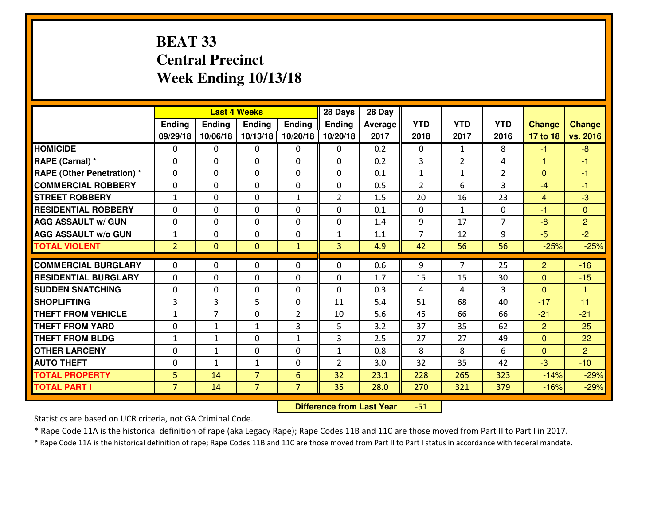# **BEAT 33 Central PrecinctWeek Ending 10/13/18**

|                                  |                |                | <b>Last 4 Weeks</b> |                | 28 Days        | 28 Day  |                |                |                |                |                |
|----------------------------------|----------------|----------------|---------------------|----------------|----------------|---------|----------------|----------------|----------------|----------------|----------------|
|                                  | Ending         | Ending         | <b>Ending</b>       | Ending         | <b>Ending</b>  | Average | <b>YTD</b>     | <b>YTD</b>     | <b>YTD</b>     | <b>Change</b>  | <b>Change</b>  |
|                                  | 09/29/18       | 10/06/18       | 10/13/18            | 10/20/18       | 10/20/18       | 2017    | 2018           | 2017           | 2016           | 17 to 18       | vs. 2016       |
| <b>HOMICIDE</b>                  | $\Omega$       | 0              | 0                   | 0              | 0              | 0.2     | 0              | $\mathbf{1}$   | 8              | $-1$           | $-8$           |
| RAPE (Carnal) *                  | $\Omega$       | 0              | $\Omega$            | $\Omega$       | $\Omega$       | 0.2     | 3              | $\overline{2}$ | 4              | $\mathbf{1}$   | -1             |
| <b>RAPE (Other Penetration)*</b> | 0              | 0              | $\mathbf 0$         | 0              | 0              | 0.1     | $\mathbf{1}$   | $\mathbf{1}$   | $\overline{2}$ | $\overline{0}$ | $-1$           |
| <b>COMMERCIAL ROBBERY</b>        | 0              | 0              | $\mathbf 0$         | 0              | 0              | 0.5     | 2              | 6              | 3              | $-4$           | $-1$           |
| <b>STREET ROBBERY</b>            | $\mathbf{1}$   | 0              | $\mathbf 0$         | $\mathbf{1}$   | $\overline{2}$ | 1.5     | 20             | 16             | 23             | $\overline{4}$ | $-3$           |
| <b>RESIDENTIAL ROBBERY</b>       | $\Omega$       | 0              | $\mathbf 0$         | 0              | 0              | 0.1     | $\mathbf{0}$   | $\mathbf{1}$   | 0              | $-1$           | $\mathbf{0}$   |
| <b>AGG ASSAULT w/ GUN</b>        | 0              | 0              | $\mathbf 0$         | 0              | 0              | 1.4     | 9              | 17             | $\overline{7}$ | $-8$           | $\overline{2}$ |
| <b>AGG ASSAULT W/o GUN</b>       | $\mathbf{1}$   | 0              | 0                   | 0              | $\mathbf{1}$   | 1.1     | $\overline{7}$ | 12             | 9              | $-5$           | $-2$           |
| <b>TOTAL VIOLENT</b>             | $\overline{2}$ | $\overline{0}$ | $\mathbf{O}$        | $\mathbf{1}$   | $\overline{3}$ | 4.9     | 42             | 56             | 56             | $-25%$         | $-25%$         |
| <b>COMMERCIAL BURGLARY</b>       | $\Omega$       | 0              | $\mathbf{0}$        | 0              | $\Omega$       | 0.6     | 9              | $\overline{7}$ | 25             | 2              | $-16$          |
| <b>RESIDENTIAL BURGLARY</b>      | $\mathbf{0}$   | 0              | 0                   | 0              | 0              | 1.7     | 15             | 15             | 30             | $\mathbf{0}$   | $-15$          |
| <b>SUDDEN SNATCHING</b>          | $\mathbf{0}$   | 0              | $\mathbf 0$         | 0              | 0              | 0.3     | 4              | 4              | 3              | $\Omega$       | $\overline{1}$ |
| <b>SHOPLIFTING</b>               | 3              | 3              | 5                   | 0              | 11             | 5.4     | 51             | 68             | 40             | $-17$          | 11             |
| <b>THEFT FROM VEHICLE</b>        | $\mathbf{1}$   | $\overline{7}$ | $\mathbf 0$         | $\overline{2}$ | 10             | 5.6     | 45             | 66             | 66             | $-21$          | $-21$          |
| <b>THEFT FROM YARD</b>           | 0              | 1              | 1                   | 3              | 5              | 3.2     | 37             | 35             | 62             | $\overline{2}$ | $-25$          |
| <b>THEFT FROM BLDG</b>           | $\mathbf{1}$   | $\mathbf{1}$   | $\mathbf 0$         | $\mathbf{1}$   | 3              | 2.5     | 27             | 27             | 49             | $\overline{0}$ | $-22$          |
| <b>OTHER LARCENY</b>             | 0              | $\mathbf{1}$   | $\mathbf 0$         | 0              | $\mathbf{1}$   | 0.8     | 8              | 8              | 6              | $\mathbf{0}$   | $\overline{2}$ |
| <b>AUTO THEFT</b>                | 0              | $\mathbf{1}$   | $\mathbf{1}$        | 0              | $\overline{2}$ | 3.0     | 32             | 35             | 42             | -3             | $-10$          |
| <b>TOTAL PROPERTY</b>            | 5              | 14             | $\overline{7}$      | 6              | 32             | 23.1    | 228            | 265            | 323            | $-14%$         | $-29%$         |
| <b>TOTAL PART I</b>              | $\overline{7}$ | 14             | $\overline{7}$      | $\overline{7}$ | 35             | 28.0    | 270            | 321            | 379            | $-16%$         | $-29%$         |
|                                  |                |                |                     |                |                |         |                |                |                |                |                |

 **Difference from Last Year**-51

Statistics are based on UCR criteria, not GA Criminal Code.

\* Rape Code 11A is the historical definition of rape (aka Legacy Rape); Rape Codes 11B and 11C are those moved from Part II to Part I in 2017.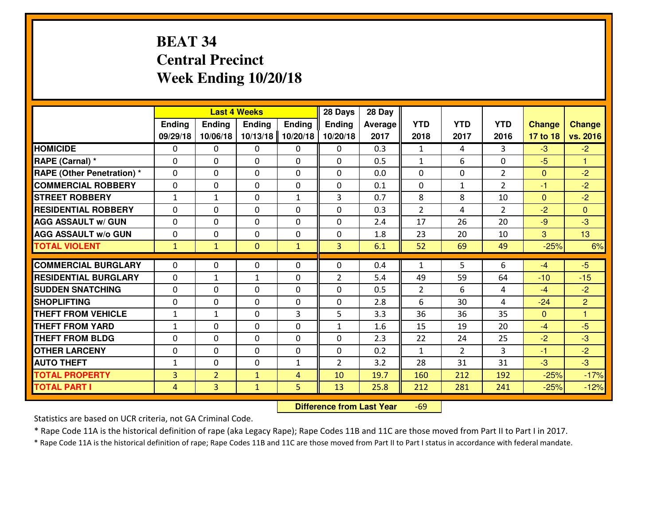# **BEAT 34 Central PrecinctWeek Ending 10/20/18**

|                                  |                |                | <b>Last 4 Weeks</b> |                | 28 Days        | 28 Day         |                |                |                |               |                |
|----------------------------------|----------------|----------------|---------------------|----------------|----------------|----------------|----------------|----------------|----------------|---------------|----------------|
|                                  | Ending         | Ending         | <b>Ending</b>       | Ending         | <b>Ending</b>  | <b>Average</b> | <b>YTD</b>     | <b>YTD</b>     | <b>YTD</b>     | <b>Change</b> | <b>Change</b>  |
|                                  | 09/29/18       | 10/06/18       | 10/13/18            | 10/20/18       | 10/20/18       | 2017           | 2018           | 2017           | 2016           | 17 to 18      | vs. 2016       |
| <b>HOMICIDE</b>                  | 0              | 0              | 0                   | $\mathbf{0}$   | 0              | 0.3            | $\mathbf{1}$   | 4              | 3              | $-3$          | $-2$           |
| RAPE (Carnal) *                  | $\mathbf{0}$   | 0              | $\mathbf{0}$        | 0              | 0              | 0.5            | 1              | 6              | 0              | $-5$          | $\mathbf{1}$   |
| <b>RAPE (Other Penetration)*</b> | $\Omega$       | 0              | $\mathbf{0}$        | $\Omega$       | $\Omega$       | 0.0            | $\Omega$       | $\Omega$       | $\overline{2}$ | $\mathbf{0}$  | $-2$           |
| <b>COMMERCIAL ROBBERY</b>        | $\mathbf{0}$   | 0              | $\mathbf{0}$        | 0              | 0              | 0.1            | $\mathbf{0}$   | $\mathbf{1}$   | $\overline{2}$ | $-1$          | $-2$           |
| <b>STREET ROBBERY</b>            | $\mathbf{1}$   | $\mathbf{1}$   | $\mathbf 0$         | $\mathbf{1}$   | 3              | 0.7            | 8              | 8              | 10             | $\mathbf{0}$  | $-2$           |
| <b>RESIDENTIAL ROBBERY</b>       | $\Omega$       | $\Omega$       | $\mathbf 0$         | 0              | 0              | 0.3            | $\overline{2}$ | 4              | $\overline{2}$ | $-2$          | $\Omega$       |
| <b>AGG ASSAULT w/ GUN</b>        | $\mathbf 0$    | 0              | $\mathbf 0$         | 0              | 0              | 2.4            | 17             | 26             | 20             | $-9$          | $-3$           |
| <b>AGG ASSAULT W/o GUN</b>       | 0              | 0              | 0                   | 0              | 0              | 1.8            | 23             | 20             | 10             | 3             | 13             |
| <b>TOTAL VIOLENT</b>             | $\mathbf{1}$   | $\mathbf{1}$   | $\mathbf{0}$        | $\mathbf{1}$   | 3              | 6.1            | 52             | 69             | 49             | $-25%$        | 6%             |
| <b>COMMERCIAL BURGLARY</b>       | $\Omega$       | 0              | $\mathbf{0}$        | $\mathbf{0}$   | $\Omega$       | 0.4            | 1              | 5              | 6              | $-4$          | $-5$           |
| <b>RESIDENTIAL BURGLARY</b>      | 0              | $\mathbf{1}$   | $\mathbf{1}$        | 0              | $\overline{2}$ | 5.4            | 49             | 59             | 64             | $-10$         | $-15$          |
| <b>SUDDEN SNATCHING</b>          | $\Omega$       | $\Omega$       | $\mathbf 0$         | $\Omega$       | $\Omega$       | 0.5            | $\overline{2}$ | 6              | 4              | $-4$          | $-2$           |
| <b>SHOPLIFTING</b>               | 0              | 0              | $\mathbf 0$         | 0              | 0              | 2.8            | 6              | 30             | 4              | $-24$         | $\overline{2}$ |
| <b>THEFT FROM VEHICLE</b>        | $\mathbf{1}$   | 1              | $\mathbf{0}$        | 3              | 5              | 3.3            | 36             | 36             | 35             | $\mathbf{0}$  | $\mathbf{1}$   |
| <b>THEFT FROM YARD</b>           | $\mathbf{1}$   | 0              | 0                   | 0              | $\mathbf{1}$   | 1.6            | 15             | 19             | 20             | $-4$          | $-5$           |
| <b>THEFT FROM BLDG</b>           | 0              | 0              | 0                   | 0              | 0              | 2.3            | 22             | 24             | 25             | $-2$          | $-3$           |
| <b>OTHER LARCENY</b>             | 0              | 0              | $\mathbf 0$         | 0              | 0              | 0.2            | $\mathbf{1}$   | $\overline{2}$ | 3              | $-1$          | $-2$           |
| <b>AUTO THEFT</b>                | $\mathbf{1}$   | 0              | $\mathbf{0}$        | $\mathbf{1}$   | $\overline{2}$ | 3.2            | 28             | 31             | 31             | $-3$          | $-3$           |
| <b>TOTAL PROPERTY</b>            | $\overline{3}$ | $\overline{2}$ |                     | $\overline{4}$ | 10             | 19.7           | 160            | 212            | 192            | $-25%$        | $-17%$         |
|                                  |                |                | $\mathbf{1}$        |                |                |                |                |                |                |               |                |
| <b>TOTAL PART I</b>              | 4              | 3              | $\mathbf{1}$        | 5              | 13             | 25.8           | 212            | 281            | 241            | $-25%$        | $-12%$         |

 **Difference from Last Year**-69

Statistics are based on UCR criteria, not GA Criminal Code.

\* Rape Code 11A is the historical definition of rape (aka Legacy Rape); Rape Codes 11B and 11C are those moved from Part II to Part I in 2017.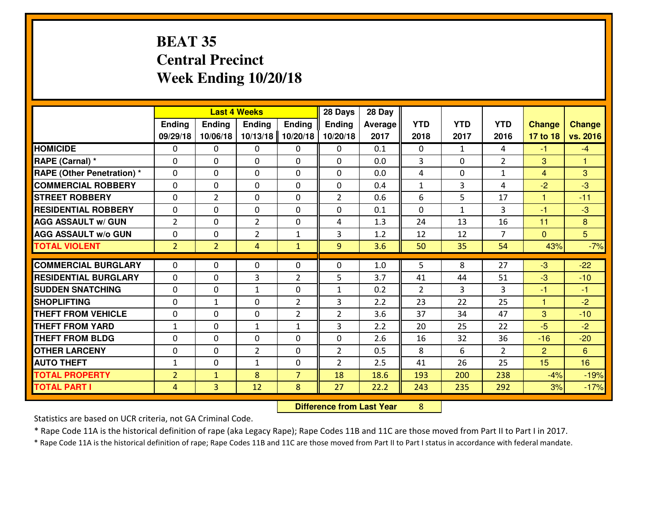# **BEAT 35 Central PrecinctWeek Ending 10/20/18**

|                                              |                                  | <b>Last 4 Weeks</b>            |                |                     | 28 Days        | 28 Day         |                |              |                |                |                  |
|----------------------------------------------|----------------------------------|--------------------------------|----------------|---------------------|----------------|----------------|----------------|--------------|----------------|----------------|------------------|
|                                              | Ending                           | <b>Ending</b>                  | <b>Ending</b>  | <b>Ending</b>       | <b>Ending</b>  | <b>Average</b> | <b>YTD</b>     | <b>YTD</b>   | <b>YTD</b>     | <b>Change</b>  | <b>Change</b>    |
|                                              | 09/29/18                         | 10/06/18                       | 10/13/18       | 10/20/18            | 10/20/18       | 2017           | 2018           | 2017         | 2016           | 17 to 18       | vs. 2016         |
| <b>HOMICIDE</b>                              | $\Omega$                         | 0                              | $\Omega$       | $\Omega$            | 0              | 0.1            | $\Omega$       | $\mathbf{1}$ | 4              | $-1$           | $-4$             |
| RAPE (Carnal) *                              | $\mathbf{0}$                     | 0                              | $\mathbf{0}$   | 0                   | $\Omega$       | 0.0            | 3              | $\Omega$     | $\overline{2}$ | 3              | $\mathbf{1}$     |
| RAPE (Other Penetration) *                   | $\Omega$                         | 0                              | $\mathbf{0}$   | $\Omega$            | $\Omega$       | 0.0            | 4              | $\Omega$     | $\mathbf{1}$   | $\overline{4}$ | 3                |
| <b>COMMERCIAL ROBBERY</b>                    | $\mathbf{0}$                     | 0                              | 0              | 0                   | 0              | 0.4            | $\mathbf{1}$   | 3            | 4              | $-2$           | $-3$             |
| <b>STREET ROBBERY</b>                        | 0                                | $\overline{2}$                 | $\mathbf 0$    | 0                   | $\overline{2}$ | 0.6            | 6              | 5            | 17             | $\mathbf{1}$   | $-11$            |
| <b>RESIDENTIAL ROBBERY</b>                   | $\Omega$                         | $\Omega$                       | $\mathbf 0$    | $\Omega$            | 0              | 0.1            | $\Omega$       | $\mathbf{1}$ | 3              | $-1$           | $-3$             |
| <b>AGG ASSAULT w/ GUN</b>                    | $\overline{2}$                   | $\Omega$                       | $\overline{2}$ | 0                   | 4              | 1.3            | 24             | 13           | 16             | 11             | 8                |
| <b>AGG ASSAULT W/o GUN</b>                   | 0                                | 0                              | $\overline{2}$ | $\mathbf{1}$        | 3              | 1.2            | 12             | 12           | $\overline{7}$ | $\mathbf{0}$   | 5 <sup>5</sup>   |
| <b>TOTAL VIOLENT</b>                         | 2 <sup>1</sup>                   | $\overline{2}$                 | 4              | $\mathbf{1}$        | 9              | 3.6            | 50             | 35           | 54             | 43%            | $-7%$            |
| <b>COMMERCIAL BURGLARY</b>                   | $\Omega$                         | 0                              | $\Omega$       | $\Omega$            | $\Omega$       | 1.0            | 5              | 8            | 27             | $-3$           | $-22$            |
| <b>RESIDENTIAL BURGLARY</b>                  | 0                                | 0                              | 3              | $\overline{2}$      | 5              | 3.7            | 41             | 44           | 51             | $-3$           | $-10$            |
| <b>SUDDEN SNATCHING</b>                      | 0                                | 0                              | $\mathbf{1}$   | 0                   | $\mathbf{1}$   | 0.2            | $\overline{2}$ | 3            | 3              | $-1$           | $-1$             |
| <b>SHOPLIFTING</b>                           | 0                                | $\mathbf{1}$                   | $\mathbf 0$    | $\overline{2}$      | 3              | 2.2            | 23             | 22           | 25             | $\mathbf{1}$   | $-2$             |
| <b>THEFT FROM VEHICLE</b>                    | $\Omega$                         | $\Omega$                       | $\mathbf 0$    | $\overline{2}$      | $\overline{2}$ | 3.6            | 37             | 34           | 47             | 3              | $-10$            |
| <b>THEFT FROM YARD</b>                       | $1\,$                            | 0                              | $\mathbf{1}$   | $\mathbf{1}$        | 3              | 2.2            | 20             | 25           | 22             | $-5$           | $-2$             |
|                                              |                                  |                                |                |                     |                |                |                |              |                |                |                  |
|                                              |                                  |                                |                |                     |                |                |                |              |                |                |                  |
| <b>THEFT FROM BLDG</b>                       | 0                                | 0                              | $\mathbf 0$    | 0                   | 0              | 2.6            | 16             | 32           | 36             | $-16$          | $-20$            |
| <b>OTHER LARCENY</b>                         | 0                                | 0                              | $\overline{2}$ | 0                   | $\overline{2}$ | 0.5            | 8              | 6            | $\overline{2}$ | $\overline{2}$ | 6                |
| <b>AUTO THEFT</b>                            | $\mathbf{1}$                     | 0                              | $\mathbf{1}$   | 0                   | $\overline{2}$ | 2.5            | 41             | 26           | 25             | 15             | 16               |
| <b>TOTAL PROPERTY</b><br><b>TOTAL PART I</b> | $\overline{2}$<br>$\overline{4}$ | $\mathbf{1}$<br>$\overline{3}$ | 8<br>12        | $\overline{7}$<br>8 | 18<br>27       | 18.6<br>22.2   | 193<br>243     | 200<br>235   | 238<br>292     | $-4%$<br>3%    | $-19%$<br>$-17%$ |

 **Difference from Last Year**<sup>8</sup>

Statistics are based on UCR criteria, not GA Criminal Code.

\* Rape Code 11A is the historical definition of rape (aka Legacy Rape); Rape Codes 11B and 11C are those moved from Part II to Part I in 2017.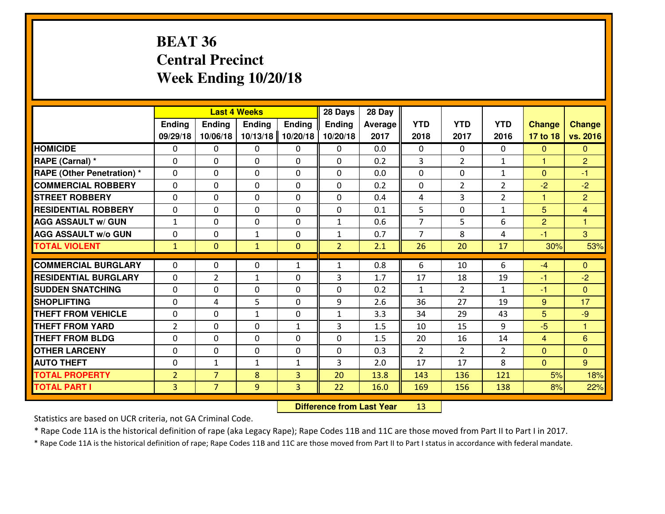# **BEAT 36 Central PrecinctWeek Ending 10/20/18**

|                                   |                |                | <b>Last 4 Weeks</b> |                | 28 Days        | 28 Day  |                |                |                |                |                 |
|-----------------------------------|----------------|----------------|---------------------|----------------|----------------|---------|----------------|----------------|----------------|----------------|-----------------|
|                                   | Ending         | Ending         | Ending              | <b>Ending</b>  | <b>Ending</b>  | Average | <b>YTD</b>     | <b>YTD</b>     | <b>YTD</b>     | <b>Change</b>  | <b>Change</b>   |
|                                   | 09/29/18       | 10/06/18       | 10/13/18            | 10/20/18       | 10/20/18       | 2017    | 2018           | 2017           | 2016           | 17 to 18       | vs. 2016        |
| <b>HOMICIDE</b>                   | $\Omega$       | 0              | 0                   | $\Omega$       | 0              | 0.0     | $\Omega$       | $\Omega$       | 0              | $\Omega$       | $\Omega$        |
| RAPE (Carnal) *                   | $\mathbf{0}$   | 0              | $\mathbf{0}$        | 0              | $\Omega$       | 0.2     | 3              | $\overline{2}$ | $\mathbf{1}$   | $\mathbf{1}$   | $\overline{2}$  |
| <b>RAPE (Other Penetration) *</b> | $\mathbf{0}$   | 0              | $\mathbf{0}$        | $\Omega$       | $\Omega$       | 0.0     | $\mathbf{0}$   | 0              | $\mathbf{1}$   | $\Omega$       | $-1$            |
| <b>COMMERCIAL ROBBERY</b>         | $\mathbf{0}$   | 0              | 0                   | $\Omega$       | $\Omega$       | 0.2     | $\mathbf{0}$   | 2              | $\overline{2}$ | $-2$           | $-2$            |
| <b>STREET ROBBERY</b>             | $\mathbf{0}$   | 0              | $\mathbf 0$         | 0              | $\Omega$       | 0.4     | 4              | 3              | $\overline{2}$ | 1              | $\overline{2}$  |
| <b>RESIDENTIAL ROBBERY</b>        | 0              | 0              | $\mathbf 0$         | 0              | 0              | 0.1     | 5              | 0              | $\mathbf{1}$   | 5              | $\overline{4}$  |
| <b>AGG ASSAULT W/ GUN</b>         | $\mathbf{1}$   | 0              | $\mathbf 0$         | 0              | $\mathbf{1}$   | 0.6     | $\overline{7}$ | 5              | 6              | $\overline{2}$ | $\overline{1}$  |
| <b>AGG ASSAULT W/o GUN</b>        | 0              | 0              | $\mathbf{1}$        | 0              | $\mathbf{1}$   | 0.7     | $\overline{7}$ | 8              | 4              | $-1$           | $\mathbf{3}$    |
| <b>TOTAL VIOLENT</b>              | $\mathbf{1}$   | $\overline{0}$ | $\mathbf{1}$        | $\overline{0}$ | $\overline{2}$ | 2.1     | 26             | 20             | 17             | 30%            | 53%             |
| <b>COMMERCIAL BURGLARY</b>        | $\mathbf{0}$   | 0              | 0                   | $\mathbf{1}$   | 1              | 0.8     | 6              | 10             | 6              | $-4$           | $\mathbf{0}$    |
| <b>RESIDENTIAL BURGLARY</b>       | $\Omega$       | $\overline{2}$ | 1                   | 0              | 3              | 1.7     | 17             | 18             | 19             | -1             | $-2$            |
| <b>SUDDEN SNATCHING</b>           | $\mathbf{0}$   | 0              | 0                   | 0              | $\Omega$       | 0.2     | $\mathbf{1}$   | $\overline{2}$ | $\mathbf{1}$   | -1             | $\Omega$        |
| <b>SHOPLIFTING</b>                | $\Omega$       | 4              | 5                   | $\Omega$       | 9              | 2.6     | 36             | 27             | 19             | 9              | 17              |
| <b>THEFT FROM VEHICLE</b>         | $\Omega$       | 0              | $\mathbf{1}$        | $\Omega$       | $\mathbf{1}$   | 3.3     | 34             | 29             | 43             | 5              | $-9$            |
| <b>THEFT FROM YARD</b>            | $\overline{2}$ | 0              | $\mathbf 0$         | $\mathbf{1}$   | 3              | 1.5     | 10             | 15             | 9              | $-5$           | $\mathbf{1}$    |
| <b>THEFT FROM BLDG</b>            | 0              | 0              | $\mathbf 0$         | 0              | 0              | 1.5     | 20             | 16             | 14             | $\overline{4}$ | $6\phantom{1}6$ |
| <b>OTHER LARCENY</b>              | 0              | 0              | $\mathbf 0$         | 0              | 0              | 0.3     | $\overline{2}$ | $\overline{2}$ | $\overline{2}$ | $\mathbf{0}$   | $\overline{0}$  |
| <b>AUTO THEFT</b>                 |                | $\mathbf{1}$   |                     |                | 3              | 2.0     | 17             | 17             | 8              |                | 9               |
| <b>TOTAL PROPERTY</b>             | 0              | $\overline{7}$ | 1                   | $\mathbf{1}$   |                |         |                |                |                | $\mathbf{0}$   |                 |
|                                   | $\overline{2}$ |                | 8                   | 3              | 20             | 13.8    | 143            | 136            | 121            | 5%             | 18%             |
| <b>TOTAL PART I</b>               | $\overline{3}$ | $\overline{7}$ | 9                   | 3              | 22             | 16.0    | 169            | 156            | 138            | 8%             | 22%             |

 **Difference from Last Year**<sup>13</sup>

Statistics are based on UCR criteria, not GA Criminal Code.

\* Rape Code 11A is the historical definition of rape (aka Legacy Rape); Rape Codes 11B and 11C are those moved from Part II to Part I in 2017.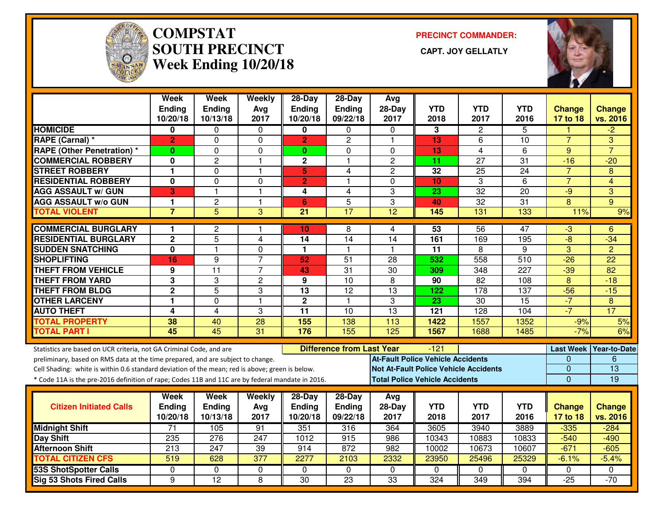

#### **COMPSTAT PRECINCT COMMANDER: SOUTH PRECINCT CAPT. JOY GELLATLYWeek Ending 10/20/18**



|                                                                                                                                                                                    | <b>Week</b><br>Ending<br>10/20/18 | <b>Week</b><br>Ending<br>10/13/18 | Weekly<br>Avg<br>2017 | 28-Day<br><b>Ending</b><br>10/20/18 | 28-Day<br>Ending<br>09/22/18     | Avg<br>$28-Day$<br>2017                  | <b>YTD</b><br>2018                    | <b>YTD</b><br>2017                           | <b>YTD</b><br>2016 | <b>Change</b><br>17 to 18     | <b>Change</b><br>vs. 2016 |
|------------------------------------------------------------------------------------------------------------------------------------------------------------------------------------|-----------------------------------|-----------------------------------|-----------------------|-------------------------------------|----------------------------------|------------------------------------------|---------------------------------------|----------------------------------------------|--------------------|-------------------------------|---------------------------|
| <b>HOMICIDE</b>                                                                                                                                                                    | 0                                 | 0                                 | 0                     | 0                                   | $\mathbf{0}$                     | $\Omega$                                 | 3                                     | $\mathbf{2}$                                 | 5                  |                               | $-2$                      |
| RAPE (Carnal) *                                                                                                                                                                    | $\overline{2}$                    | 0                                 | $\Omega$              | $\overline{2}$                      | $\overline{c}$                   | $\mathbf{1}$                             | 13                                    | 6                                            | 10                 | $\overline{7}$                | 3                         |
| <b>RAPE (Other Penetration) *</b>                                                                                                                                                  | 0                                 | 0                                 | $\mathbf 0$           | $\mathbf{0}$                        | $\Omega$                         | $\Omega$                                 | 13                                    | 4                                            | 6                  | 9                             | $\overline{7}$            |
| <b>COMMERCIAL ROBBERY</b>                                                                                                                                                          | 0                                 | $\overline{c}$                    | $\mathbf{1}$          | $\mathbf{2}$                        | 1                                | $\overline{c}$                           | 11                                    | 27                                           | 31                 | $-16$                         | $-20$                     |
| <b>STREET ROBBERY</b>                                                                                                                                                              | 1                                 | 0                                 | $\mathbf{1}$          | $5\phantom{.}$                      | 4                                | $\mathbf{2}$                             | 32                                    | 25                                           | 24                 | $\overline{7}$                | 8                         |
| <b>RESIDENTIAL ROBBERY</b>                                                                                                                                                         | 0                                 | 0                                 | $\Omega$              | $\overline{2}$                      | 1                                | $\Omega$                                 | 10                                    | 3                                            | 6                  | $\overline{7}$                | 4                         |
| <b>AGG ASSAULT w/ GUN</b>                                                                                                                                                          | 3                                 | 1                                 | $\overline{1}$        | 4                                   | 4                                | 3                                        | 23                                    | 32                                           | 20                 | $-9$                          | 3                         |
| <b>AGG ASSAULT w/o GUN</b>                                                                                                                                                         | 1                                 | $\overline{c}$                    | $\mathbf{1}$          | 6                                   | 5                                | 3                                        | 40                                    | $\overline{32}$                              | 31                 | 8                             | $9^{\circ}$               |
| <b>TOTAL VIOLENT</b>                                                                                                                                                               | $\overline{7}$                    | $\overline{5}$                    | 3                     | $\overline{21}$                     | $\overline{17}$                  | $\overline{12}$                          | 145                                   | 131                                          | 133                | 11%                           | 9%                        |
| <b>COMMERCIAL BURGLARY</b>                                                                                                                                                         |                                   |                                   |                       |                                     |                                  |                                          |                                       |                                              |                    |                               |                           |
| <b>RESIDENTIAL BURGLARY</b>                                                                                                                                                        | 1<br>$\mathbf 2$                  | 2<br>5                            | -1<br>$\overline{4}$  | 10<br>14                            | 8<br>14                          | 4<br>14                                  | 53<br>161                             | 56<br>169                                    | 47<br>195          | $-3$<br>$-\frac{1}{\sqrt{2}}$ | 6<br>$-34$                |
| <b>SUDDEN SNATCHING</b>                                                                                                                                                            | $\overline{\mathbf{0}}$           | $\blacksquare$                    | $\mathbf 0$           | $\mathbf{1}$                        | $\mathbf{1}$                     | -1                                       | $\overline{11}$                       | 8                                            | 9                  | $\overline{3}$                | $\overline{2}$            |
| <b>SHOPLIFTING</b>                                                                                                                                                                 | 16                                | 9                                 | $\overline{7}$        | 52                                  | 51                               | 28                                       | 532                                   | 558                                          | 510                | $-26$                         | 22                        |
| <b>THEFT FROM VEHICLE</b>                                                                                                                                                          | 9                                 | $\overline{11}$                   | $\overline{7}$        | 43                                  | $\overline{31}$                  | $\overline{30}$                          | 309                                   | 348                                          | $\overline{227}$   | $-39$                         | $\overline{82}$           |
| <b>THEFT FROM YARD</b>                                                                                                                                                             | $\overline{3}$                    | 3                                 | $\overline{2}$        | 9                                   | $\overline{10}$                  | $\overline{8}$                           | 90                                    | 82                                           | 108                | $\overline{8}$                | $-18$                     |
| <b>THEFT FROM BLDG</b>                                                                                                                                                             | $\mathbf 2$                       | 5                                 | 3                     | 13                                  | 12                               | 13                                       | 122                                   | 178                                          | 137                | $-56$                         | $-15$                     |
| <b>OTHER LARCENY</b>                                                                                                                                                               | 1                                 | $\Omega$                          | $\overline{1}$        | $\overline{2}$                      | $\mathbf{1}$                     | 3                                        | $\overline{23}$                       | $\overline{30}$                              | $\overline{15}$    | $-7$                          | $\overline{8}$            |
| <b>AUTO THEFT</b>                                                                                                                                                                  | 4                                 | 4                                 | 3                     | $\overline{11}$                     | 10                               | $\overline{13}$                          | $\overline{121}$                      | $\overline{128}$                             | 104                | $-7$                          | $\overline{17}$           |
| <b>TOTAL PROPERTY</b>                                                                                                                                                              | 38                                | 40                                | 28                    | 155                                 | 138                              | 113                                      | 1422                                  | 1557                                         | 1352               | $-9%$                         | 5%                        |
| <b>TOTAL PART I</b>                                                                                                                                                                | 45                                | 45                                | 31                    | 176                                 | 155                              | 125                                      | 1567                                  | 1688                                         | 1485               | $-7%$                         | 6%                        |
|                                                                                                                                                                                    |                                   |                                   |                       |                                     |                                  |                                          |                                       |                                              |                    |                               |                           |
| Statistics are based on UCR criteria, not GA Criminal Code, and are                                                                                                                |                                   |                                   |                       |                                     | <b>Difference from Last Year</b> | <b>At-Fault Police Vehicle Accidents</b> | $-121$                                |                                              |                    | <b>Last Week</b><br>0         | Year-to-Date<br>6         |
| preliminary, based on RMS data at the time prepared, and are subject to change.<br>Cell Shading: white is within 0.6 standard deviation of the mean; red is above; green is below. |                                   |                                   |                       |                                     |                                  |                                          |                                       | <b>Not At-Fault Police Vehicle Accidents</b> |                    | 0                             | $\overline{13}$           |
| * Code 11A is the pre-2016 definition of rape; Codes 11B and 11C are by federal mandate in 2016.                                                                                   |                                   |                                   |                       |                                     |                                  |                                          | <b>Total Police Vehicle Accidents</b> |                                              |                    | $\Omega$                      | 19                        |
|                                                                                                                                                                                    |                                   |                                   |                       |                                     |                                  |                                          |                                       |                                              |                    |                               |                           |
|                                                                                                                                                                                    | Week                              | Week                              | Weekly                | $28$ -Day                           | $28-Day$                         | Avg                                      |                                       |                                              |                    |                               |                           |
| <b>Citizen Initiated Calls</b>                                                                                                                                                     | <b>Ending</b>                     | <b>Ending</b>                     | Avg                   | <b>Ending</b>                       | Ending                           | $28-Day$                                 | <b>YTD</b>                            | <b>YTD</b>                                   | <b>YTD</b>         | <b>Change</b>                 | <b>Change</b>             |
|                                                                                                                                                                                    | 10/20/18                          | 10/13/18                          | 2017                  | 10/20/18                            | 09/22/18                         | 2017                                     | 2018                                  | 2017                                         | 2016               | 17 to 18                      | vs. 2016                  |
| <b>Midnight Shift</b>                                                                                                                                                              | $\overline{71}$                   | 105                               | 91                    | 351                                 | 316                              | 364                                      | 3605                                  | 3940                                         | 3889               | $-335$                        | $-284$                    |
| Day Shift                                                                                                                                                                          | 235                               | 276                               | 247                   | 1012                                | 915                              | 986                                      | 10343                                 | 10883                                        | 10833              | $-540$                        | $-490$                    |
| <b>Afternoon Shift</b>                                                                                                                                                             | 213                               | 247                               | 39                    | 914                                 | 872                              | 982                                      | 10002                                 | 10673                                        | 10607              | $-671$                        | $-605$                    |
| <b>TOTAL CITIZEN CFS</b>                                                                                                                                                           | $\overline{519}$                  | 628                               | $\overline{377}$      | 2277                                | 2103                             | 2332                                     | 23950                                 | 25496                                        | 25329              | $-6.1%$                       | $-5.4%$                   |
| <b>53S ShotSpotter Calls</b>                                                                                                                                                       | $\Omega$                          | 0                                 | $\mathbf 0$           | $\Omega$                            | $\Omega$                         | $\Omega$                                 | $\Omega$                              | $\Omega$                                     | $\Omega$           | $\Omega$                      | 0                         |
| <b>Sig 53 Shots Fired Calls</b>                                                                                                                                                    | 9                                 | $\overline{12}$                   | 8                     | $\overline{30}$                     | $\overline{23}$                  | $\overline{33}$                          | 324                                   | 349                                          | 394                | $-25$                         | $-70$                     |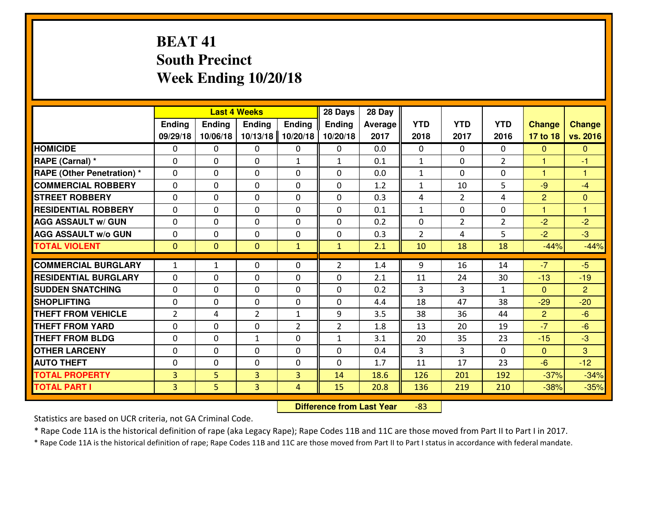# **BEAT 41 South PrecinctWeek Ending 10/20/18**

|                                   |                |                | <b>Last 4 Weeks</b> |                | 28 Days        | 28 Day  |                |                |                |                |                |
|-----------------------------------|----------------|----------------|---------------------|----------------|----------------|---------|----------------|----------------|----------------|----------------|----------------|
|                                   | Ending         | <b>Ending</b>  | Ending              | <b>Ending</b>  | <b>Ending</b>  | Average | <b>YTD</b>     | <b>YTD</b>     | <b>YTD</b>     | <b>Change</b>  | <b>Change</b>  |
|                                   | 09/29/18       | 10/06/18       | 10/13/18            | 10/20/18       | 10/20/18       | 2017    | 2018           | 2017           | 2016           | 17 to 18       | vs. 2016       |
| <b>HOMICIDE</b>                   | $\Omega$       | 0              | 0                   | $\Omega$       | 0              | 0.0     | 0              | $\Omega$       | 0              | $\Omega$       | $\Omega$       |
| RAPE (Carnal) *                   | $\mathbf{0}$   | 0              | $\mathbf{0}$        | $\mathbf{1}$   | $\mathbf{1}$   | 0.1     | $\mathbf{1}$   | $\mathbf{0}$   | $\overline{2}$ | $\mathbf{1}$   | $-1$           |
| <b>RAPE (Other Penetration) *</b> | $\mathbf{0}$   | 0              | $\mathbf{0}$        | $\Omega$       | $\Omega$       | 0.0     | $\mathbf{1}$   | 0              | 0              | $\mathbf{1}$   | 1              |
| <b>COMMERCIAL ROBBERY</b>         | $\mathbf{0}$   | 0              | 0                   | $\Omega$       | $\Omega$       | 1.2     | $\mathbf{1}$   | 10             | 5              | $-9$           | $-4$           |
| <b>STREET ROBBERY</b>             | $\mathbf{0}$   | 0              | $\mathbf{0}$        | 0              | $\Omega$       | 0.3     | 4              | 2              | 4              | $\overline{2}$ | $\mathbf{0}$   |
| <b>RESIDENTIAL ROBBERY</b>        | $\Omega$       | 0              | $\mathbf 0$         | $\Omega$       | 0              | 0.1     | $\mathbf 1$    | 0              | 0              | $\overline{1}$ | 1              |
| <b>AGG ASSAULT W/ GUN</b>         | 0              | 0              | $\mathbf 0$         | 0              | 0              | 0.2     | 0              | $\overline{2}$ | $\overline{2}$ | $-2$           | $-2$           |
| <b>AGG ASSAULT W/o GUN</b>        | 0              | 0              | $\mathbf 0$         | 0              | 0              | 0.3     | $\overline{2}$ | 4              | 5              | $-2$           | $-3$           |
| <b>TOTAL VIOLENT</b>              | $\mathbf{0}$   | $\overline{0}$ | $\overline{0}$      | $\mathbf{1}$   | $\mathbf{1}$   | 2.1     | 10             | 18             | 18             | $-44%$         | $-44%$         |
| <b>COMMERCIAL BURGLARY</b>        | 1              | $\mathbf{1}$   | 0                   | 0              | $\overline{2}$ | 1.4     | 9              | 16             | 14             | $-7$           | $-5$           |
| <b>RESIDENTIAL BURGLARY</b>       | $\Omega$       | 0              | $\mathbf{0}$        | 0              | $\Omega$       | 2.1     | 11             | 24             | 30             | $-13$          | $-19$          |
| <b>SUDDEN SNATCHING</b>           | $\mathbf{0}$   | 0              | 0                   | $\Omega$       | $\Omega$       | 0.2     | 3              | 3              | $\mathbf{1}$   | $\Omega$       | $\overline{2}$ |
| <b>SHOPLIFTING</b>                | 0              | 0              | $\mathbf 0$         | $\Omega$       | 0              | 4.4     | 18             | 47             | 38             | $-29$          | $-20$          |
| <b>THEFT FROM VEHICLE</b>         | 2              | 4              | $\overline{2}$      | $\mathbf{1}$   | 9              | 3.5     | 38             | 36             | 44             | 2              | $-6$           |
| <b>THEFT FROM YARD</b>            | 0              | 0              | $\mathbf 0$         | $\overline{2}$ | $\overline{2}$ | 1.8     | 13             | 20             | 19             | $-7$           | $-6$           |
| <b>THEFT FROM BLDG</b>            | $\mathbf{0}$   | 0              | 1                   | 0              | $\mathbf{1}$   | 3.1     | 20             | 35             | 23             | $-15$          | $-3$           |
| <b>OTHER LARCENY</b>              | 0              | 0              | $\mathbf 0$         | 0              | 0              | 0.4     | 3              | 3              | $\Omega$       | $\mathbf{0}$   | 3              |
| <b>AUTO THEFT</b>                 | $\mathbf{0}$   | 0              | 0                   | 0              | 0              | 1.7     | 11             | 17             | 23             | $-6$           | $-12$          |
| <b>TOTAL PROPERTY</b>             | 3              | 5              | $\overline{3}$      | 3              | 14             | 18.6    | 126            | 201            | 192            | $-37%$         | $-34%$         |
| <b>TOTAL PART I</b>               | $\overline{3}$ | 5              | 3                   | 4              | 15             | 20.8    | 136            | 219            | 210            | $-38%$         | $-35%$         |

 **Difference from Last Year**-83

Statistics are based on UCR criteria, not GA Criminal Code.

\* Rape Code 11A is the historical definition of rape (aka Legacy Rape); Rape Codes 11B and 11C are those moved from Part II to Part I in 2017.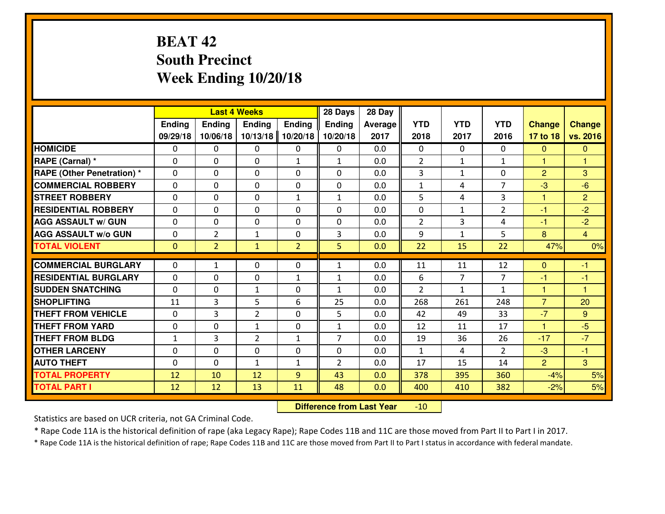# **BEAT 42 South PrecinctWeek Ending 10/20/18**

|                                              |              |                | <b>Last 4 Weeks</b> |                | 28 Days                        | 28 Day         |                |                |                |                |                |
|----------------------------------------------|--------------|----------------|---------------------|----------------|--------------------------------|----------------|----------------|----------------|----------------|----------------|----------------|
|                                              | Ending       | Ending         | <b>Ending</b>       | <b>Ending</b>  | <b>Ending</b>                  | <b>Average</b> | <b>YTD</b>     | <b>YTD</b>     | <b>YTD</b>     | <b>Change</b>  | <b>Change</b>  |
|                                              | 09/29/18     | 10/06/18       | 10/13/18            | 10/20/18       | 10/20/18                       | 2017           | 2018           | 2017           | 2016           | 17 to 18       | vs. 2016       |
| <b>HOMICIDE</b>                              | $\Omega$     | 0              | 0                   | 0              | 0                              | 0.0            | 0              | $\Omega$       | 0              | $\Omega$       | $\mathbf{0}$   |
| RAPE (Carnal) *                              | $\mathbf{0}$ | 0              | $\mathbf{0}$        | $\mathbf{1}$   | $\mathbf{1}$                   | 0.0            | 2              | $\mathbf{1}$   | $\mathbf{1}$   | $\mathbf{1}$   | 1              |
| RAPE (Other Penetration) *                   | $\Omega$     | 0              | $\mathbf{0}$        | $\Omega$       | $\Omega$                       | 0.0            | 3              | $\mathbf{1}$   | 0              | $\overline{2}$ | 3              |
| <b>COMMERCIAL ROBBERY</b>                    | $\mathbf{0}$ | 0              | 0                   | 0              | 0                              | 0.0            | $\mathbf{1}$   | 4              | $\overline{7}$ | $-3$           | $-6$           |
| <b>STREET ROBBERY</b>                        | 0            | 0              | $\mathbf 0$         | $\mathbf{1}$   | $\mathbf{1}$                   | 0.0            | 5              | 4              | 3              | 1              | $\overline{2}$ |
| <b>RESIDENTIAL ROBBERY</b>                   | $\Omega$     | $\Omega$       | $\mathbf 0$         | $\Omega$       | 0                              | 0.0            | 0              | $\mathbf{1}$   | $\overline{2}$ | $-1$           | $-2$           |
| <b>AGG ASSAULT w/ GUN</b>                    | $\Omega$     | 0              | $\mathbf 0$         | 0              | 0                              | 0.0            | $\overline{2}$ | 3              | 4              | $-1$           | $-2$           |
| <b>AGG ASSAULT W/o GUN</b>                   | 0            | $\overline{2}$ | 1                   | 0              | 3                              | 0.0            | 9              | $\mathbf{1}$   | 5              | 8              | $\overline{4}$ |
| <b>TOTAL VIOLENT</b>                         | $\mathbf{0}$ | $\overline{2}$ | $\mathbf{1}$        | $\overline{2}$ | 5 <sup>1</sup>                 | 0.0            | 22             | 15             | 22             | 47%            | 0%             |
| <b>COMMERCIAL BURGLARY</b>                   | $\Omega$     | $\mathbf{1}$   | $\mathbf{0}$        | $\Omega$       | $\mathbf{1}$                   | 0.0            | 11             | 11             | 12             | $\Omega$       | -1             |
|                                              |              |                |                     |                |                                |                |                |                |                |                |                |
|                                              |              |                |                     |                |                                |                |                |                |                |                |                |
| <b>RESIDENTIAL BURGLARY</b>                  | 0            | 0              | 0                   | $\mathbf{1}$   | $\mathbf{1}$                   | 0.0            | 6              | $\overline{7}$ | $\overline{7}$ | $-1$           | $-1$           |
| <b>SUDDEN SNATCHING</b>                      | 0            | 0              | 1                   | 0              | $\mathbf{1}$                   | 0.0            | $\overline{2}$ | $\mathbf{1}$   | $\mathbf{1}$   | $\mathbf{1}$   | $\overline{1}$ |
| <b>SHOPLIFTING</b>                           | 11           | 3              | 5                   | 6              | 25                             | 0.0            | 268            | 261            | 248            | $\overline{7}$ | 20             |
| <b>THEFT FROM VEHICLE</b>                    | 0            | 3              | $\overline{2}$      | 0              | 5                              | 0.0            | 42             | 49             | 33             | $-7$           | 9              |
| <b>THEFT FROM YARD</b>                       | 0            | 0              | 1                   | 0              | $\mathbf{1}$<br>$\overline{7}$ | 0.0            | 12             | 11             | 17             | $\overline{1}$ | $-5$           |
| <b>THEFT FROM BLDG</b>                       | $\mathbf{1}$ | 3              | $\overline{2}$      | $\mathbf{1}$   |                                | 0.0            | 19             | 36             | 26             | $-17$          | $-7$           |
| <b>OTHER LARCENY</b>                         | 0            | 0              | $\mathbf 0$         | 0              | 0                              | 0.0            | $\mathbf{1}$   | 4              | $\overline{2}$ | $-3$           | $-1$           |
| <b>AUTO THEFT</b>                            | $\mathbf{0}$ | 0              | $\mathbf{1}$        | $\mathbf{1}$   | $\overline{2}$                 | 0.0            | 17             | 15             | 14             | $\overline{2}$ | $\overline{3}$ |
| <b>TOTAL PROPERTY</b><br><b>TOTAL PART I</b> | 12<br>12     | 10<br>12       | 12<br>13            | 9<br>11        | 43<br>48                       | 0.0<br>0.0     | 378<br>400     | 395<br>410     | 360<br>382     | $-4%$<br>$-2%$ | 5%<br>5%       |

 **Difference from Last Year**-10

Statistics are based on UCR criteria, not GA Criminal Code.

\* Rape Code 11A is the historical definition of rape (aka Legacy Rape); Rape Codes 11B and 11C are those moved from Part II to Part I in 2017.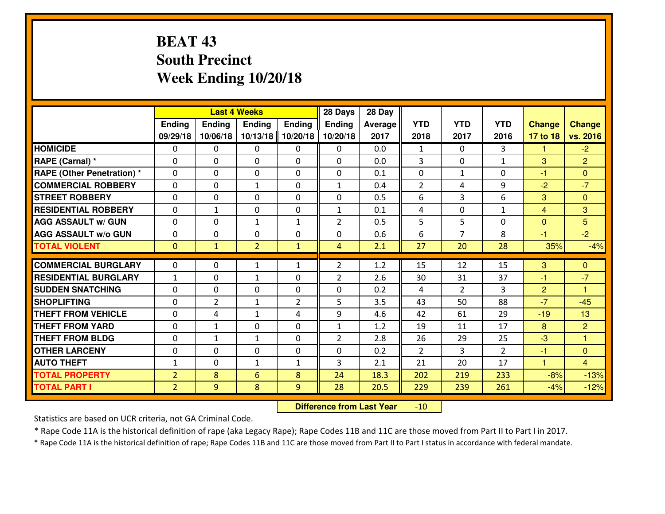# **BEAT 43 South PrecinctWeek Ending 10/20/18**

|                                               |                |                            | <b>Last 4 Weeks</b> |                | 28 Days        | 28 Day         |                |                      |                |                        |                     |
|-----------------------------------------------|----------------|----------------------------|---------------------|----------------|----------------|----------------|----------------|----------------------|----------------|------------------------|---------------------|
|                                               | Ending         | Ending                     | <b>Ending</b>       | Ending         | <b>Ending</b>  | <b>Average</b> | <b>YTD</b>     | <b>YTD</b>           | <b>YTD</b>     | <b>Change</b>          | <b>Change</b>       |
|                                               | 09/29/18       | 10/06/18                   | 10/13/18            | 10/20/18       | 10/20/18       | 2017           | 2018           | 2017                 | 2016           | 17 to 18               | vs. 2016            |
| <b>HOMICIDE</b>                               | 0              | 0                          | 0                   | $\mathbf{0}$   | 0              | 0.0            | $\mathbf{1}$   | $\Omega$             | 3              | 1.                     | $-2$                |
| RAPE (Carnal) *                               | $\mathbf{0}$   | 0                          | $\mathbf{0}$        | 0              | $\Omega$       | 0.0            | 3              | $\Omega$             | $\mathbf{1}$   | 3                      | $\overline{2}$      |
| <b>RAPE (Other Penetration)*</b>              | $\Omega$       | 0                          | $\mathbf{0}$        | $\Omega$       | $\Omega$       | 0.1            | 0              | $\mathbf{1}$         | $\Omega$       | -1                     | $\Omega$            |
| <b>COMMERCIAL ROBBERY</b>                     | $\mathbf{0}$   | 0                          | $\mathbf{1}$        | 0              | $\mathbf{1}$   | 0.4            | $\overline{2}$ | 4                    | 9              | $-2$                   | $-7$                |
| <b>STREET ROBBERY</b>                         | 0              | 0                          | $\mathbf 0$         | 0              | 0              | 0.5            | 6              | 3                    | 6              | 3                      | $\overline{0}$      |
| <b>RESIDENTIAL ROBBERY</b>                    | $\Omega$       | 1                          | $\mathbf 0$         | 0              | $\mathbf{1}$   | 0.1            | 4              | $\Omega$             | $\mathbf{1}$   | $\overline{4}$         | 3                   |
| <b>AGG ASSAULT w/ GUN</b>                     | $\mathbf 0$    | 0                          | $\mathbf{1}$        | $\mathbf{1}$   | $\overline{2}$ | 0.5            | 5              | 5                    | 0              | $\mathbf{0}$           | 5 <sup>5</sup>      |
| <b>AGG ASSAULT W/o GUN</b>                    | 0              | 0                          | 0                   | 0              | 0              | 0.6            | 6              | $\overline{7}$       | 8              | $-1$                   | $-2$                |
| <b>TOTAL VIOLENT</b>                          | $\mathbf{0}$   | $\mathbf{1}$               | $\overline{2}$      | $\mathbf{1}$   | $\overline{4}$ | 2.1            | 27             | 20                   | 28             | 35%                    | $-4%$               |
| <b>COMMERCIAL BURGLARY</b>                    | $\mathbf{0}$   | 0                          | $\mathbf{1}$        | $\mathbf{1}$   | $\overline{2}$ | 1.2            | 15             | 12                   | 15             | 3                      | $\mathbf{0}$        |
| <b>RESIDENTIAL BURGLARY</b>                   |                |                            |                     |                |                |                |                |                      | 37             |                        | $-7$                |
|                                               | $\mathbf{1}$   | 0                          | $\mathbf{1}$        | 0              | $\overline{2}$ | 2.6            | 30             | 31                   |                | -1                     | $\mathbf{1}$        |
| <b>SUDDEN SNATCHING</b><br><b>SHOPLIFTING</b> | $\Omega$       | $\Omega$<br>$\overline{2}$ | $\mathbf 0$         | 0              | 0<br>5         | 0.2<br>3.5     | 4              | $\overline{2}$<br>50 | 3<br>88        | $\overline{2}$<br>$-7$ | $-45$               |
| <b>THEFT FROM VEHICLE</b>                     | 0              |                            | $\mathbf{1}$        | $\overline{2}$ |                |                | 43             |                      | 29             |                        |                     |
| <b>THEFT FROM YARD</b>                        | $\mathbf{0}$   | 4                          | $\mathbf{1}$        | 4              | 9              | 4.6            | 42             | 61                   | 17             | $-19$                  | 13                  |
| <b>THEFT FROM BLDG</b>                        | 0              | 1                          | 0                   | 0              | $\mathbf{1}$   | 1.2            | 19             | 11                   |                | 8                      | $\overline{2}$<br>1 |
|                                               | 0              | 1                          | $\mathbf{1}$        | 0              | $\overline{2}$ | 2.8            | 26             | 29                   | 25             | $-3$                   |                     |
| <b>OTHER LARCENY</b>                          | 0              | 0                          | 0                   | 0              | 0              | 0.2            | $\overline{2}$ | 3                    | $\overline{2}$ | $-1$                   | $\overline{0}$      |
| <b>AUTO THEFT</b>                             | $\mathbf{1}$   | 0                          | $\mathbf{1}$        | $\mathbf{1}$   | 3              | 2.1            | 21             | 20                   | 17             | $\mathbf{1}$           | $\overline{4}$      |
| <b>TOTAL PROPERTY</b>                         | $\overline{2}$ | 8                          | 6                   | 8              | 24             | 18.3           | 202            | 219                  | 233            | $-8%$                  | $-13%$              |
| <b>TOTAL PART I</b>                           | $\overline{2}$ | 9                          | 8                   | 9              | 28             | 20.5           | 229            | 239                  | 261            | $-4%$                  | $-12%$              |

 **Difference from Last Year**-10

Statistics are based on UCR criteria, not GA Criminal Code.

\* Rape Code 11A is the historical definition of rape (aka Legacy Rape); Rape Codes 11B and 11C are those moved from Part II to Part I in 2017.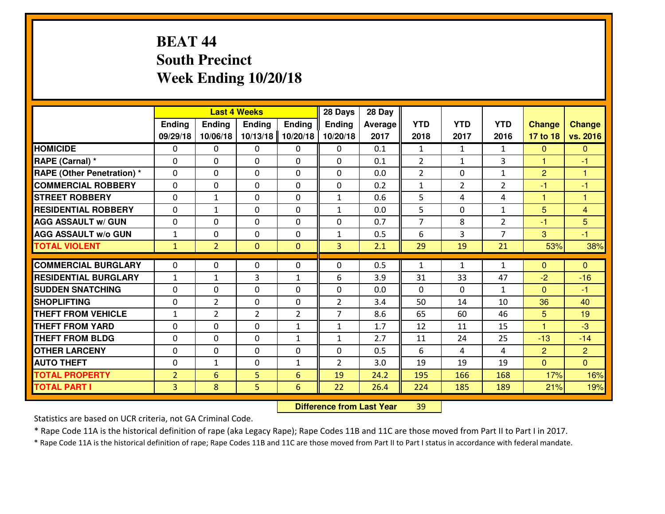# **BEAT 44 South PrecinctWeek Ending 10/20/18**

|                                  |                |                | <b>Last 4 Weeks</b> |                | 28 Days        | 28 Day         |                |                |                |                |                |
|----------------------------------|----------------|----------------|---------------------|----------------|----------------|----------------|----------------|----------------|----------------|----------------|----------------|
|                                  | Ending         | <b>Ending</b>  | <b>Ending</b>       | Ending         | <b>Ending</b>  | <b>Average</b> | <b>YTD</b>     | <b>YTD</b>     | <b>YTD</b>     | <b>Change</b>  | <b>Change</b>  |
|                                  | 09/29/18       | 10/06/18       | 10/13/18            | 10/20/18       | 10/20/18       | 2017           | 2018           | 2017           | 2016           | 17 to 18       | vs. 2016       |
| <b>HOMICIDE</b>                  | $\Omega$       | 0              | 0                   | 0              | 0              | 0.1            | 1              | $\mathbf{1}$   | $\mathbf{1}$   | $\Omega$       | $\mathbf{0}$   |
| RAPE (Carnal) *                  | $\Omega$       | 0              | $\Omega$            | $\Omega$       | $\Omega$       | 0.1            | 2              | $\mathbf{1}$   | 3              | $\mathbf{1}$   | -1             |
| <b>RAPE (Other Penetration)*</b> | 0              | 0              | $\mathbf 0$         | 0              | 0              | 0.0            | 2              | 0              | $\mathbf{1}$   | 2              | -1             |
| <b>COMMERCIAL ROBBERY</b>        | 0              | 0              | $\mathbf 0$         | 0              | 0              | 0.2            | $\mathbf{1}$   | $\overline{2}$ | $\overline{2}$ | $-1$           | $-1$           |
| <b>STREET ROBBERY</b>            | 0              | $\mathbf{1}$   | $\mathbf 0$         | 0              | $\mathbf{1}$   | 0.6            | 5              | 4              | 4              | 1              | $\mathbf{1}$   |
| <b>RESIDENTIAL ROBBERY</b>       | 0              | 1              | $\mathbf 0$         | 0              | $\mathbf{1}$   | 0.0            | 5              | $\mathbf{0}$   | $\mathbf{1}$   | 5              | $\overline{4}$ |
| <b>AGG ASSAULT w/ GUN</b>        | 0              | 0              | $\mathbf 0$         | 0              | 0              | 0.7            | $\overline{7}$ | 8              | $\overline{2}$ | $-1$           | 5              |
| <b>AGG ASSAULT W/o GUN</b>       | $\mathbf{1}$   | 0              | 0                   | 0              | $\mathbf{1}$   | 0.5            | 6              | 3              | $\overline{7}$ | 3              | $-1$           |
| <b>TOTAL VIOLENT</b>             | $\mathbf{1}$   | $\overline{2}$ | $\mathbf{O}$        | $\mathbf{0}$   | 3              | 2.1            | 29             | 19             | 21             | 53%            | 38%            |
| <b>COMMERCIAL BURGLARY</b>       | $\mathbf{0}$   | 0              | $\mathbf{0}$        | 0              | $\Omega$       | 0.5            | $\mathbf{1}$   | $\mathbf{1}$   | $\mathbf{1}$   | $\Omega$       | $\mathbf{0}$   |
| <b>RESIDENTIAL BURGLARY</b>      | $\mathbf{1}$   | 1              | 3                   | $\mathbf{1}$   | 6              | 3.9            | 31             | 33             | 47             | $-2$           | $-16$          |
| <b>SUDDEN SNATCHING</b>          | $\mathbf{0}$   | 0              | $\mathbf 0$         | 0              | 0              | 0.0            | $\mathbf{0}$   | $\mathbf{0}$   | $\mathbf{1}$   | $\Omega$       | $-1$           |
| <b>SHOPLIFTING</b>               | 0              | $\overline{2}$ | $\mathbf 0$         | 0              | $\overline{2}$ | 3.4            | 50             | 14             | 10             | 36             | 40             |
| <b>THEFT FROM VEHICLE</b>        | $\mathbf{1}$   | $\overline{2}$ | $\overline{2}$      | $\overline{2}$ | $\overline{7}$ | 8.6            | 65             | 60             | 46             | 5              | 19             |
| <b>THEFT FROM YARD</b>           | 0              | 0              | $\mathbf 0$         | $\mathbf{1}$   | $\mathbf{1}$   | 1.7            | 12             | 11             | 15             | 1              | $-3$           |
| <b>THEFT FROM BLDG</b>           | 0              | 0              | $\mathbf 0$         | $\mathbf{1}$   | $\mathbf{1}$   | 2.7            | 11             | 24             | 25             | $-13$          | $-14$          |
| <b>OTHER LARCENY</b>             | 0              | 0              | $\mathbf 0$         | 0              | 0              | 0.5            | 6              | 4              | 4              | $\overline{2}$ | $\overline{2}$ |
| <b>AUTO THEFT</b>                | 0              | $\mathbf{1}$   | $\mathbf 0$         | $\mathbf{1}$   | $\overline{2}$ | 3.0            | 19             | 19             | 19             | $\overline{0}$ | $\overline{0}$ |
| <b>TOTAL PROPERTY</b>            | $\overline{2}$ | 6              | 5                   | 6              | 19             | 24.2           | 195            | 166            | 168            | 17%            | 16%            |
| <b>TOTAL PART I</b>              | $\overline{3}$ | 8              | 5                   | 6              | 22             | 26.4           | 224            | 185            | 189            | 21%            | 19%            |
|                                  |                |                |                     |                |                |                |                |                |                |                |                |

 **Difference from Last Year**<sup>39</sup>

Statistics are based on UCR criteria, not GA Criminal Code.

\* Rape Code 11A is the historical definition of rape (aka Legacy Rape); Rape Codes 11B and 11C are those moved from Part II to Part I in 2017.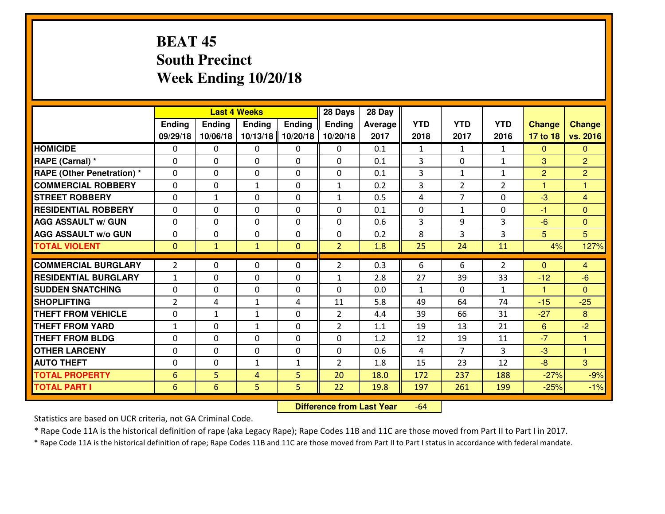# **BEAT 45 South PrecinctWeek Ending 10/20/18**

|                                  |                 |              | <b>Last 4 Weeks</b> |                | 28 Days        | 28 Day         |              |                |                |                |                |
|----------------------------------|-----------------|--------------|---------------------|----------------|----------------|----------------|--------------|----------------|----------------|----------------|----------------|
|                                  | Ending          | Ending       | <b>Ending</b>       | <b>Ending</b>  | <b>Ending</b>  | <b>Average</b> | <b>YTD</b>   | <b>YTD</b>     | <b>YTD</b>     | <b>Change</b>  | <b>Change</b>  |
|                                  | 09/29/18        | 10/06/18     | 10/13/18            | 10/20/18       | 10/20/18       | 2017           | 2018         | 2017           | 2016           | 17 to 18       | vs. 2016       |
| <b>HOMICIDE</b>                  | 0               | 0            | 0                   | $\mathbf{0}$   | 0              | 0.1            | 1            | $\mathbf{1}$   | $\mathbf{1}$   | $\mathbf{0}$   | $\Omega$       |
| RAPE (Carnal) *                  | $\Omega$        | 0            | $\mathbf 0$         | 0              | $\Omega$       | 0.1            | 3            | $\Omega$       | $\mathbf{1}$   | 3              | $\overline{2}$ |
| <b>RAPE (Other Penetration)*</b> | $\Omega$        | 0            | $\mathbf 0$         | $\Omega$       | $\Omega$       | 0.1            | 3            | $\mathbf{1}$   | $\mathbf{1}$   | $\overline{2}$ | $\overline{2}$ |
| <b>COMMERCIAL ROBBERY</b>        | $\Omega$        | $\Omega$     | $\mathbf{1}$        | $\Omega$       | $\mathbf{1}$   | 0.2            | 3            | $\overline{2}$ | $\overline{2}$ | 1              | 1              |
| <b>ISTREET ROBBERY</b>           | $\mathbf{0}$    | 1            | $\mathbf{0}$        | 0              | $\mathbf{1}$   | 0.5            | 4            | $\overline{7}$ | $\Omega$       | $-3$           | $\overline{4}$ |
| <b>RESIDENTIAL ROBBERY</b>       | 0               | 0            | $\mathbf 0$         | 0              | 0              | 0.1            | $\mathbf 0$  | $\mathbf{1}$   | 0              | $-1$           | $\mathbf{0}$   |
| <b>AGG ASSAULT w/ GUN</b>        | 0               | 0            | $\mathbf 0$         | 0              | 0              | 0.6            | 3            | 9              | 3              | $-6$           | $\overline{0}$ |
| <b>AGG ASSAULT W/o GUN</b>       | 0               | 0            | 0                   | 0              | 0              | 0.2            | 8            | 3              | 3              | 5              | 5              |
| <b>TOTAL VIOLENT</b>             | $\mathbf{0}$    | $\mathbf{1}$ | $\mathbf{1}$        | $\overline{0}$ | $\overline{2}$ | 1.8            | 25           | 24             | 11             | 4%             | 127%           |
| <b>COMMERCIAL BURGLARY</b>       | $\overline{2}$  | 0            | $\mathbf{0}$        | $\Omega$       | $\overline{2}$ | 0.3            | 6            | 6              | $\overline{2}$ | $\Omega$       | $\overline{4}$ |
| <b>RESIDENTIAL BURGLARY</b>      | $\mathbf{1}$    | 0            | $\mathbf 0$         | 0              | $\mathbf{1}$   | 2.8            | 27           | 39             | 33             | $-12$          | $-6$           |
| <b>SUDDEN SNATCHING</b>          | 0               | $\Omega$     | $\mathbf 0$         | 0              | $\Omega$       | 0.0            | $\mathbf{1}$ | $\Omega$       | $\mathbf{1}$   | $\mathbf{1}$   | $\Omega$       |
| <b>SHOPLIFTING</b>               | $\overline{2}$  | 4            | $\mathbf{1}$        | 4              | 11             | 5.8            | 49           | 64             | 74             | $-15$          | $-25$          |
| <b>THEFT FROM VEHICLE</b>        | 0               | 1            | $\mathbf{1}$        | 0              | $\overline{2}$ | 4.4            | 39           | 66             | 31             | $-27$          | 8              |
| <b>THEFT FROM YARD</b>           | $1\,$           | 0            | $\mathbf{1}$        | 0              | $\overline{2}$ | 1.1            | 19           | 13             | 21             | 6              | $-2$           |
| <b>THEFT FROM BLDG</b>           | $\mathbf{0}$    | 0            | $\mathbf{0}$        | 0              | $\Omega$       | 1.2            | 12           | 19             | 11             | $-7$           | $\mathbf{1}$   |
| <b>OTHER LARCENY</b>             | 0               | 0            | 0                   | 0              | 0              | 0.6            | 4            | $\overline{7}$ | 3              | $-3$           | $\mathbf{1}$   |
| <b>AUTO THEFT</b>                | $\mathbf{0}$    | 0            | $\mathbf{1}$        | $\mathbf{1}$   | $\overline{2}$ | 1.8            | 15           | 23             | 12             | $-8$           | 3              |
| <b>TOTAL PROPERTY</b>            | $6\phantom{1}6$ | 5            | 4                   | 5              | 20             | 18.0           | 172          | 237            | 188            | $-27%$         | $-9%$          |
| <b>TOTAL PART I</b>              | $6\phantom{1}6$ | 6            | 5                   | 5              | 22             | 19.8           | 197          | 261            | 199            | $-25%$         | $-1%$          |

 **Difference from Last Year**-64

Statistics are based on UCR criteria, not GA Criminal Code.

\* Rape Code 11A is the historical definition of rape (aka Legacy Rape); Rape Codes 11B and 11C are those moved from Part II to Part I in 2017.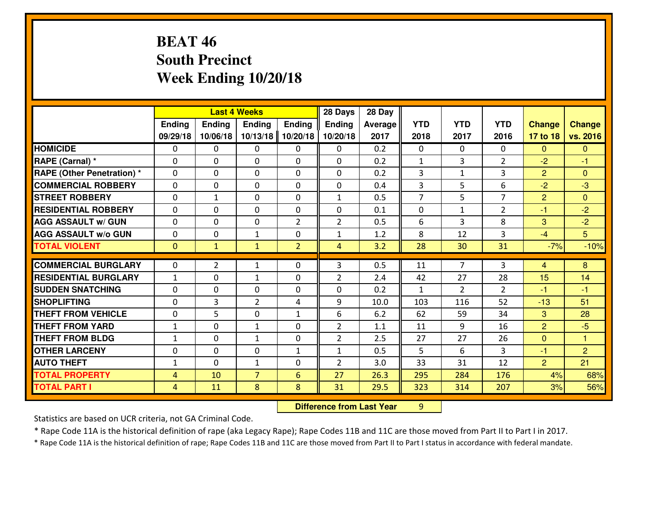# **BEAT 46 South PrecinctWeek Ending 10/20/18**

|                                  |              |              | <b>Last 4 Weeks</b> |                | 28 Days        | 28 Day  |                |                |                |                |                 |
|----------------------------------|--------------|--------------|---------------------|----------------|----------------|---------|----------------|----------------|----------------|----------------|-----------------|
|                                  | Ending       | Ending       | <b>Ending</b>       | <b>Ending</b>  | <b>Ending</b>  | Average | <b>YTD</b>     | <b>YTD</b>     | <b>YTD</b>     | <b>Change</b>  | <b>Change</b>   |
|                                  | 09/29/18     | 10/06/18     | 10/13/18            | 10/20/18       | 10/20/18       | 2017    | 2018           | 2017           | 2016           | 17 to 18       | vs. 2016        |
| <b>HOMICIDE</b>                  | 0            | 0            | $\mathbf{0}$        | 0              | 0              | 0.2     | $\mathbf{0}$   | $\Omega$       | 0              | $\Omega$       | $\Omega$        |
| RAPE (Carnal) *                  | 0            | 0            | $\mathbf{0}$        | 0              | $\Omega$       | 0.2     | 1              | 3              | $\overline{2}$ | $-2$           | -1              |
| <b>RAPE (Other Penetration)*</b> | $\Omega$     | 0            | $\mathbf{0}$        | $\Omega$       | $\Omega$       | 0.2     | 3              | $\mathbf{1}$   | 3              | $\overline{2}$ | $\Omega$        |
| <b>COMMERCIAL ROBBERY</b>        | $\Omega$     | $\Omega$     | $\mathbf 0$         | $\Omega$       | 0              | 0.4     | $\overline{3}$ | 5              | 6              | $-2$           | $-3$            |
| <b>ISTREET ROBBERY</b>           | 0            | $\mathbf{1}$ | $\mathbf 0$         | 0              | $\mathbf{1}$   | 0.5     | $\overline{7}$ | 5              | $\overline{7}$ | $\overline{2}$ | $\overline{0}$  |
| <b>RESIDENTIAL ROBBERY</b>       | $\Omega$     | 0            | $\mathbf 0$         | 0              | 0              | 0.1     | $\mathbf{0}$   | $\mathbf{1}$   | $\overline{2}$ | $-1$           | $-2$            |
| <b>AGG ASSAULT W/ GUN</b>        | 0            | 0            | $\mathbf 0$         | $\overline{2}$ | $\overline{2}$ | 0.5     | 6              | 3              | 8              | 3              | $-2$            |
| <b>AGG ASSAULT W/o GUN</b>       | 0            | 0            | 1                   | 0              | $\mathbf{1}$   | 1.2     | 8              | 12             | $\overline{3}$ | $-4$           | $5\overline{)}$ |
| <b>TOTAL VIOLENT</b>             | $\mathbf{0}$ | $\mathbf{1}$ | $\mathbf{1}$        | $\overline{2}$ | $\overline{4}$ | 3.2     | 28             | 30             | 31             | $-7%$          | $-10%$          |
| <b>COMMERCIAL BURGLARY</b>       | $\mathbf{0}$ | 2            | 1                   | 0              | 3              | 0.5     | 11             | $\overline{7}$ | 3              | $\overline{4}$ | 8               |
| <b>RESIDENTIAL BURGLARY</b>      | $\mathbf{1}$ | 0            | 1                   | 0              | $\overline{2}$ | 2.4     | 42             | 27             | 28             | 15             | 14              |
| <b>SUDDEN SNATCHING</b>          | $\Omega$     | 0            | $\mathbf 0$         | $\Omega$       | $\Omega$       | 0.2     | $\mathbf{1}$   | $\mathcal{L}$  | $\mathcal{P}$  | -1             | $-1$            |
| <b>SHOPLIFTING</b>               | $\Omega$     | 3            | $\overline{2}$      | 4              | 9              | 10.0    | 103            | 116            | 52             | $-13$          | 51              |
| <b>THEFT FROM VEHICLE</b>        | $\mathbf{0}$ | 5            | $\mathbf 0$         | $\mathbf{1}$   | 6              | 6.2     | 62             | 59             | 34             | 3              | 28              |
| <b>THEFT FROM YARD</b>           | $\mathbf{1}$ | 0            | $\mathbf{1}$        | 0              | $\overline{2}$ | 1.1     | 11             | 9              | 16             | $\overline{2}$ | $-5$            |
| <b>THEFT FROM BLDG</b>           | $\mathbf{1}$ | 0            | $\mathbf{1}$        | 0              | $\overline{2}$ | 2.5     | 27             | 27             | 26             | $\overline{0}$ | $\mathbf{1}$    |
| <b>OTHER LARCENY</b>             | 0            | 0            | $\mathbf 0$         | $\mathbf{1}$   | $\mathbf{1}$   | 0.5     | 5              | 6              | 3              | $-1$           | $\overline{2}$  |
| <b>AUTO THEFT</b>                | $\mathbf{1}$ | 0            | 1                   | 0              | $\overline{2}$ | 3.0     | 33             | 31             | 12             | $\overline{2}$ | 21              |
| <b>TOTAL PROPERTY</b>            | 4            | 10           | $\overline{7}$      | 6              | 27             | 26.3    | 295            | 284            | 176            | 4%             | 68%             |
| <b>TOTAL PART I</b>              | 4            | 11           | 8                   | 8              | 31             | 29.5    | 323            | 314            | 207            | 3%             | 56%             |

 **Difference from Last Year**<sup>9</sup>

Statistics are based on UCR criteria, not GA Criminal Code.

\* Rape Code 11A is the historical definition of rape (aka Legacy Rape); Rape Codes 11B and 11C are those moved from Part II to Part I in 2017.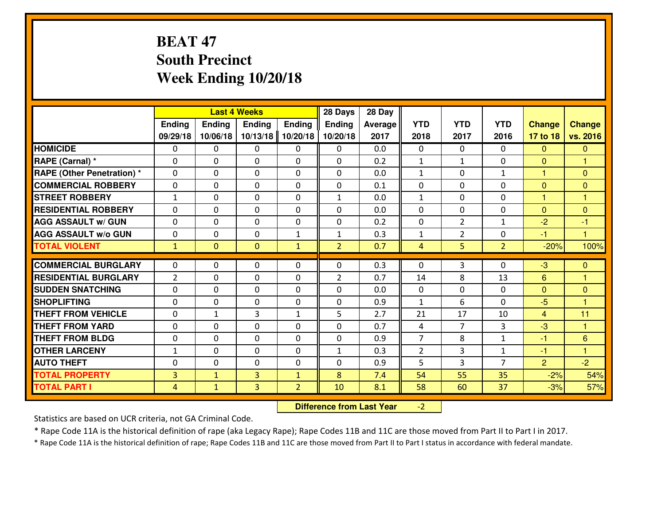# **BEAT 47 South PrecinctWeek Ending 10/20/18**

|                                              |                       |                              | <b>Last 4 Weeks</b>         |                                | 28 Days           | 28 Day     |                |                |                                |                |                      |
|----------------------------------------------|-----------------------|------------------------------|-----------------------------|--------------------------------|-------------------|------------|----------------|----------------|--------------------------------|----------------|----------------------|
|                                              | Ending                | Ending                       | <b>Ending</b>               | <b>Ending</b>                  | Ending            | Average    | <b>YTD</b>     | <b>YTD</b>     | <b>YTD</b>                     | <b>Change</b>  | <b>Change</b>        |
|                                              | 09/29/18              | 10/06/18                     | 10/13/18                    | 10/20/18                       | 10/20/18          | 2017       | 2018           | 2017           | 2016                           | 17 to 18       | vs. 2016             |
| <b>HOMICIDE</b>                              | $\Omega$              | 0                            | 0                           | 0                              | $\Omega$          | 0.0        | 0              | $\Omega$       | 0                              | $\Omega$       | $\Omega$             |
| RAPE (Carnal) *                              | $\mathbf{0}$          | 0                            | $\mathbf{0}$                | 0                              | $\Omega$          | 0.2        | $\mathbf{1}$   | $\mathbf{1}$   | 0                              | $\Omega$       | $\blacktriangleleft$ |
| <b>RAPE (Other Penetration) *</b>            | $\Omega$              | 0                            | $\mathbf{0}$                | $\Omega$                       | $\Omega$          | 0.0        | $\mathbf{1}$   | 0              | $\mathbf{1}$                   | $\mathbf{1}$   | $\mathbf{0}$         |
| <b>COMMERCIAL ROBBERY</b>                    | 0                     | 0                            | $\mathbf 0$                 | 0                              | 0                 | 0.1        | $\mathbf{0}$   | 0              | 0                              | $\mathbf{0}$   | $\mathbf{0}$         |
| <b>STREET ROBBERY</b>                        | $\mathbf{1}$          | 0                            | $\mathbf 0$                 | 0                              | $\mathbf{1}$      | 0.0        | $\mathbf{1}$   | 0              | 0                              | $\mathbf{1}$   | $\overline{1}$       |
| <b>RESIDENTIAL ROBBERY</b>                   | $\Omega$              | $\Omega$                     | $\mathbf 0$                 | $\Omega$                       | 0                 | 0.0        | 0              | $\Omega$       | 0                              | $\mathbf{0}$   | $\Omega$             |
| <b>AGG ASSAULT w/ GUN</b>                    | $\Omega$              | 0                            | $\mathbf 0$                 | 0                              | 0                 | 0.2        | 0              | $\overline{2}$ | $\mathbf{1}$                   | $-2$           | $-1$                 |
| <b>AGG ASSAULT W/o GUN</b>                   | 0                     | 0                            | $\mathbf 0$                 | $\mathbf{1}$                   | $\mathbf{1}$      | 0.3        | $\mathbf{1}$   | $\overline{2}$ | 0                              | $-1$           | $\overline{1}$       |
| <b>TOTAL VIOLENT</b>                         | $\mathbf{1}$          | $\overline{0}$               | $\mathbf{O}$                | $\mathbf{1}$                   | $\overline{2}$    | 0.7        | $\overline{4}$ | 5              | $\overline{2}$                 | $-20%$         | 100%                 |
| <b>COMMERCIAL BURGLARY</b>                   | $\Omega$              | 0                            | $\mathbf{0}$                | $\Omega$                       | $\Omega$          | 0.3        | $\Omega$       | 3              | 0                              | -3             | $\mathbf{0}$         |
| <b>RESIDENTIAL BURGLARY</b>                  | $\overline{2}$        | 0                            | 0                           | 0                              | $\overline{2}$    | 0.7        | 14             | 8              | 13                             | 6              | 1                    |
| <b>SUDDEN SNATCHING</b>                      | 0                     | 0                            | $\mathbf 0$                 | 0                              | 0                 | 0.0        | 0              | 0              | 0                              | $\overline{0}$ | $\mathbf{0}$         |
| <b>SHOPLIFTING</b>                           | 0                     | 0                            | $\mathbf 0$                 | 0                              | 0                 | 0.9        | $\mathbf{1}$   | 6              | $\Omega$                       | $-5$           | 1                    |
| <b>THEFT FROM VEHICLE</b>                    | 0                     | $\mathbf{1}$                 | 3                           | $\mathbf{1}$                   | 5                 | 2.7        | 21             | 17             | 10                             | $\overline{4}$ | 11                   |
| <b>THEFT FROM YARD</b>                       | 0                     | 0                            | $\mathbf 0$                 | 0                              | 0                 | 0.7        | 4              | $\overline{7}$ | 3                              | $-3$           | $\overline{1}$       |
| <b>THEFT FROM BLDG</b>                       | 0                     | 0                            | $\mathbf 0$                 | 0                              | 0                 | 0.9        | $\overline{7}$ | 8              | $\mathbf{1}$                   | $-1$           | 6                    |
|                                              |                       |                              |                             |                                |                   |            |                |                |                                |                |                      |
|                                              |                       |                              |                             |                                |                   |            |                |                |                                |                | $\overline{1}$       |
| <b>OTHER LARCENY</b>                         | $1\,$<br>$\mathbf{0}$ | 0<br>0                       | $\mathbf 0$<br>$\mathbf{0}$ | 0<br>0                         | $\mathbf{1}$<br>0 | 0.3        | $\overline{2}$ | 3              | $\mathbf{1}$<br>$\overline{7}$ | $-1$           |                      |
| <b>AUTO THEFT</b>                            |                       |                              |                             |                                |                   | 0.9        | 5              | 3              |                                | $\overline{2}$ | $-2$                 |
| <b>TOTAL PROPERTY</b><br><b>TOTAL PART I</b> | 3<br>$\overline{4}$   | $\mathbf{1}$<br>$\mathbf{1}$ | $\overline{3}$<br>3         | $\mathbf{1}$<br>$\overline{2}$ | 8<br>10           | 7.4<br>8.1 | 54<br>58       | 55<br>60       | 35<br>37                       | $-2%$<br>$-3%$ | 54%<br>57%           |

 **Difference from Last Year** $-2$  |

Statistics are based on UCR criteria, not GA Criminal Code.

\* Rape Code 11A is the historical definition of rape (aka Legacy Rape); Rape Codes 11B and 11C are those moved from Part II to Part I in 2017.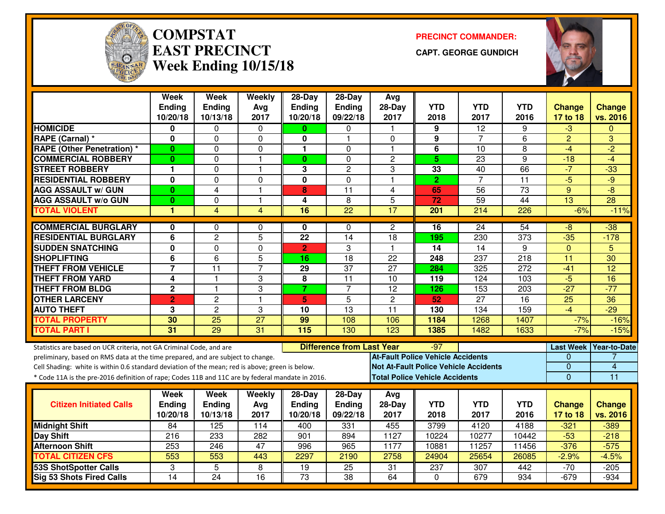

#### **COMPSTATEAST PRECINCTWeek Ending 10/15/18**

**PRECINCT COMMANDER:**

**CAPT. GEORGE GUNDICH**



|                                                                                                  | <b>Week</b><br><b>Ending</b> | <b>Week</b><br><b>Ending</b> | Weekly<br>Avg   | $28-Day$<br><b>Ending</b>               | $28-Day$<br>Ending | Avg<br>28-Day                                | <b>YTD</b>                            | <b>YTD</b>       | <b>YTD</b>       | <b>Change</b>   | <b>Change</b>          |
|--------------------------------------------------------------------------------------------------|------------------------------|------------------------------|-----------------|-----------------------------------------|--------------------|----------------------------------------------|---------------------------------------|------------------|------------------|-----------------|------------------------|
|                                                                                                  | 10/20/18                     | 10/13/18                     | 2017            | 10/20/18                                | 09/22/18           | 2017                                         | 2018                                  | 2017             | 2016             | 17 to 18        | vs. 2016               |
| <b>HOMICIDE</b>                                                                                  | 0                            | 0                            | $\mathbf 0$     | 0                                       | 0                  | $\mathbf{1}$                                 | 9                                     | $\overline{12}$  | 9                | $-3$            | $\mathbf{0}$           |
| RAPE (Carnal) *                                                                                  | 0                            | 0                            | 0               | 0                                       | 1                  | $\Omega$                                     | 9                                     | $\overline{7}$   | 6                | $\overline{2}$  | 3                      |
| <b>RAPE (Other Penetration) *</b>                                                                | 0                            | 0                            | 0               | 1.                                      | $\Omega$           | $\mathbf 1$                                  | 6                                     | 10               | 8                | $-4$            | $\overline{2}$         |
| <b>COMMERCIAL ROBBERY</b>                                                                        | $\bf{0}$                     | 0                            | $\overline{1}$  | $\bf{0}$                                | $\mathbf 0$        | $\overline{c}$                               | 5 <sup>5</sup>                        | 23               | 9                | $-18$           | $-4$                   |
| <b>STREET ROBBERY</b>                                                                            | 1                            | 0                            | $\mathbf{1}$    | 3                                       | $\overline{c}$     | 3                                            | 33                                    | 40               | 66               | $-7$            | $-33$                  |
| <b>RESIDENTIAL ROBBERY</b>                                                                       | $\overline{\mathbf{0}}$      | $\overline{0}$               | $\mathbf 0$     | $\overline{\mathbf{0}}$                 | $\overline{0}$     | $\overline{1}$                               | $\overline{2}$                        | $\overline{7}$   | $\overline{11}$  | $-5$            | $-9$                   |
| <b>AGG ASSAULT w/ GUN</b>                                                                        | $\bf{0}$                     | $\overline{4}$               | $\mathbf{1}$    | 8                                       | 11                 | $\overline{4}$                               | 65                                    | 56               | 73               | 9               | $-8$                   |
| <b>AGG ASSAULT w/o GUN</b>                                                                       | $\bf{0}$                     | 0                            | $\mathbf{1}$    | $\overline{\mathbf{4}}$                 | 8                  | 5                                            | $\overline{72}$                       | $\overline{59}$  | $\overline{44}$  | $\overline{13}$ | $\overline{28}$        |
| <b>TOTAL VIOLENT</b>                                                                             | 1                            | $\overline{4}$               | 4               | 16                                      | $\overline{22}$    | $\overline{17}$                              | $\overline{201}$                      | $\overline{214}$ | 226              | $-6%$           | $-11%$                 |
| <b>COMMERCIAL BURGLARY</b>                                                                       | 0<br>0<br>$\Omega$           |                              |                 |                                         |                    |                                              | $\overline{16}$                       | $\overline{24}$  | 54               | -8              | $-38$                  |
| <b>RESIDENTIAL BURGLARY</b>                                                                      | 6                            | $\overline{c}$               | 5               | $\overline{22}$                         | 14                 | $\overline{18}$                              | 195                                   | 230              | $\overline{373}$ | $-35$           | $-178$                 |
| <b>SUDDEN SNATCHING</b>                                                                          | $\overline{\mathbf{0}}$      | 0                            | $\mathbf 0$     | $\overline{2}$                          | 3                  | $\overline{1}$                               | $\overline{14}$                       | $\overline{14}$  | 9                | $\mathbf{0}$    | 5                      |
| <b>SHOPLIFTING</b>                                                                               | 6                            | 6                            | 5               | 16                                      | 18                 | 22                                           | 248                                   | 237              | 218              | 11              | 30                     |
| <b>THEFT FROM VEHICLE</b>                                                                        |                              | $\overline{11}$              | $\overline{7}$  | $\overline{29}$                         | $\overline{37}$    | $\overline{27}$                              | 284                                   | 325              | 272              | $-41$           | $\overline{12}$        |
| <b>THEFT FROM YARD</b>                                                                           | 4                            | $\mathbf{1}$                 | 3               | $\overline{\mathbf{8}}$                 | $\overline{11}$    | 10                                           | 119                                   | 124              | 103              | $-5$            | 16                     |
| <b>THEFT FROM BLDG</b>                                                                           | $\overline{2}$               | $\mathbf{1}$                 | 3               | $\overline{7}$                          | $\overline{7}$     | $\overline{12}$                              | 126                                   | 153              | 203              | $-27$           | $-77$                  |
| <b>OTHER LARCENY</b>                                                                             | $\overline{2}$               | $\overline{2}$               | $\overline{1}$  | 5 <sup>1</sup>                          | 5                  | $\mathbf{2}$                                 | 52                                    | $\overline{27}$  | $\overline{16}$  | $\overline{25}$ | $\overline{36}$        |
| <b>AUTO THEFT</b>                                                                                | 3                            | $\overline{c}$               | 3               | 10                                      | 13                 | 11                                           | 130                                   | 134              | 159              | $-4$            | $-29$                  |
| <b>TOTAL PROPERTY</b>                                                                            | 30                           | 25                           | $\overline{27}$ | 99                                      | 108                | 106                                          | 1184                                  | 1268             | 1407             | $-7%$           | $-16%$                 |
| <b>TOTAL PART I</b>                                                                              | $\overline{31}$              | 29                           | 31              | 115                                     | 130                | 123                                          | 1385                                  | 1482             | 1633             | $-7%$           | $-15%$                 |
| Statistics are based on UCR criteria, not GA Criminal Code, and are                              |                              |                              |                 | <b>Difference from Last Year</b><br>-97 |                    |                                              |                                       |                  |                  |                 | Last Week Year-to-Date |
| preliminary, based on RMS data at the time prepared, and are subject to change.                  |                              |                              |                 |                                         |                    | <b>At-Fault Police Vehicle Accidents</b>     |                                       |                  |                  | 0               |                        |
| Cell Shading: white is within 0.6 standard deviation of the mean; red is above; green is below.  |                              |                              |                 |                                         |                    | <b>Not At-Fault Police Vehicle Accidents</b> |                                       |                  |                  | 0               | $\overline{4}$         |
| * Code 11A is the pre-2016 definition of rape; Codes 11B and 11C are by federal mandate in 2016. |                              |                              |                 |                                         |                    |                                              | <b>Total Police Vehicle Accidents</b> |                  |                  | $\overline{0}$  | $\overline{11}$        |
|                                                                                                  | Week                         | <b>Week</b>                  | Weekly          | $28-Day$                                | $28$ -Day          | Avg                                          |                                       |                  |                  |                 |                        |
| <b>Citizen Initiated Calls</b>                                                                   | <b>Ending</b>                | Ending                       | Avg             | <b>Ending</b>                           | <b>Ending</b>      | $28-Day$                                     | <b>YTD</b>                            | <b>YTD</b>       | <b>YTD</b>       | <b>Change</b>   | <b>Change</b>          |
|                                                                                                  | 10/20/18                     | 10/13/18                     | 2017            | 10/20/18                                | 09/22/18           | 2017                                         | 2018                                  | 2017             | 2016             | 17 to 18        | vs. 2016               |
| <b>Midnight Shift</b>                                                                            | 84                           | 125                          | 114             | 400                                     | 331                | 455                                          | 3799                                  | 4120             | 4188             | $-321$          | $-389$                 |
| Day Shift                                                                                        | 216                          | 233                          | 282             | 901                                     | 894                | 1127                                         | 10224                                 | 10277            | 10442            | $-53$           | $-218$                 |
| <b>Afternoon Shift</b>                                                                           | 253                          | 246                          | 47              | 996                                     | 965                | 1177                                         | 10881                                 | 11257            | 11456            | $-376$          | $-575$                 |
| <b>TOTAL CITIZEN CFS</b>                                                                         | 553                          | 553                          | 443             | 2297                                    | 2190               | 2758                                         | 24904                                 | 25654            | 26085            | $-2.9%$         | $-4.5%$                |
| <b>53S ShotSpotter Calls</b>                                                                     | 3                            | 5                            | 8               | $\overline{19}$                         | $\overline{25}$    | 31                                           | 237                                   | 307              | 442              | $-70$           | $-205$                 |
| <b>Sig 53 Shots Fired Calls</b>                                                                  | $\overline{14}$              | $\overline{24}$              | 16              | 73                                      | $\overline{38}$    | 64                                           | $\Omega$                              | 679              | 934              | $-679$          | $-934$                 |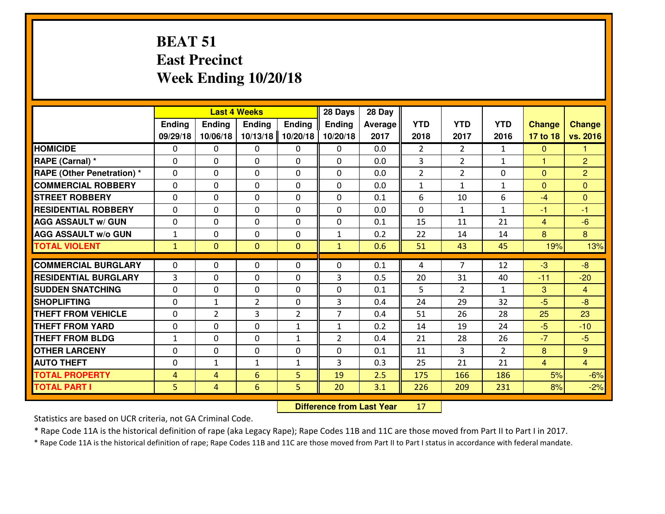### **BEAT 51 East PrecinctWeek Ending 10/20/18**

|                                   | <b>Last 4 Weeks</b> |                |                |                | 28 Days        | 28 Day  |                |                |                |                |                |
|-----------------------------------|---------------------|----------------|----------------|----------------|----------------|---------|----------------|----------------|----------------|----------------|----------------|
|                                   | Ending              | Ending         | <b>Ending</b>  | <b>Ending</b>  | Ending         | Average | <b>YTD</b>     | <b>YTD</b>     | <b>YTD</b>     | <b>Change</b>  | <b>Change</b>  |
|                                   | 09/29/18            | 10/06/18       | 10/13/18       | 10/20/18       | 10/20/18       | 2017    | 2018           | 2017           | 2016           | 17 to 18       | vs. 2016       |
| <b>HOMICIDE</b>                   | $\Omega$            | 0              | $\Omega$       | 0              | $\Omega$       | 0.0     | $\mathfrak{D}$ | $\overline{2}$ | $\mathbf{1}$   | $\mathbf{0}$   | 1.             |
| RAPE (Carnal) *                   | $\Omega$            | 0              | $\Omega$       | $\Omega$       | 0              | 0.0     | 3              | $\overline{2}$ | $\mathbf{1}$   | $\mathbf{1}$   | $\overline{2}$ |
| <b>RAPE (Other Penetration) *</b> | $\mathbf 0$         | 0              | $\mathbf 0$    | 0              | $\Omega$       | 0.0     | $\overline{2}$ | $\overline{2}$ | 0              | $\mathbf{0}$   | $\overline{2}$ |
| <b>COMMERCIAL ROBBERY</b>         | $\mathbf 0$         | 0              | $\mathbf 0$    | 0              | 0              | 0.0     | $\mathbf{1}$   | $\mathbf{1}$   | $\mathbf{1}$   | $\mathbf{0}$   | $\overline{0}$ |
| <b>STREET ROBBERY</b>             | $\mathbf 0$         | 0              | $\mathbf 0$    | 0              | 0              | 0.1     | 6              | 10             | 6              | $-4$           | $\overline{0}$ |
| <b>RESIDENTIAL ROBBERY</b>        | $\mathbf 0$         | 0              | $\mathbf 0$    | 0              | 0              | 0.0     | $\mathbf 0$    | $\mathbf{1}$   | $\mathbf{1}$   | $-1$           | $-1$           |
| <b>AGG ASSAULT W/ GUN</b>         | $\mathbf 0$         | 0              | $\mathbf 0$    | 0              | 0              | 0.1     | 15             | 11             | 21             | $\overline{4}$ | $-6$           |
| <b>AGG ASSAULT W/o GUN</b>        | $\mathbf 1$         | 0              | 0              | 0              | $\mathbf{1}$   | 0.2     | 22             | 14             | 14             | 8              | 8              |
| <b>TOTAL VIOLENT</b>              | $\mathbf{1}$        | $\overline{0}$ | $\overline{0}$ | $\mathbf{0}$   | $\mathbf{1}$   | 0.6     | 51             | 43             | 45             | 19%            | 13%            |
|                                   |                     |                |                |                |                |         |                |                |                |                |                |
| <b>COMMERCIAL BURGLARY</b>        | $\Omega$            | 0              | $\mathbf{0}$   | $\Omega$       | 0              | 0.1     | 4              | $\overline{7}$ | 12             | $-3$           | $-8$           |
| <b>RESIDENTIAL BURGLARY</b>       | 3                   | 0              | $\mathbf{0}$   | 0              | 3              | 0.5     | 20             | 31             | 40             | $-11$          | $-20$          |
| <b>SUDDEN SNATCHING</b>           | $\mathbf 0$         | 0              | $\mathbf{0}$   | 0              | 0              | 0.1     | 5              | $\overline{2}$ | $\mathbf{1}$   | 3              | $\overline{4}$ |
| <b>SHOPLIFTING</b>                | $\mathbf 0$         | $\mathbf{1}$   | $\overline{2}$ | 0              | 3              | 0.4     | 24             | 29             | 32             | $-5$           | $-8$           |
| <b>THEFT FROM VEHICLE</b>         | $\mathbf 0$         | $\overline{2}$ | 3              | $\overline{2}$ | $\overline{7}$ | 0.4     | 51             | 26             | 28             | 25             | 23             |
| <b>THEFT FROM YARD</b>            | $\mathbf 0$         | 0              | $\mathbf 0$    | $\mathbf{1}$   | $\mathbf{1}$   | 0.2     | 14             | 19             | 24             | $-5$           | $-10$          |
| <b>THEFT FROM BLDG</b>            | $\mathbf{1}$        | 0              | $\mathbf 0$    | $\mathbf{1}$   | $\overline{2}$ | 0.4     | 21             | 28             | 26             | $-7$           | $-5$           |
| <b>OTHER LARCENY</b>              | $\mathbf 0$         | 0              | $\mathbf 0$    | 0              | 0              | 0.1     | 11             | 3              | $\overline{2}$ | 8              | 9 <sup>°</sup> |
| <b>AUTO THEFT</b>                 | 0                   | $\mathbf{1}$   | $\mathbf{1}$   | $\mathbf{1}$   | 3              | 0.3     | 25             | 21             | 21             | $\overline{4}$ | $\overline{4}$ |
| <b>TOTAL PROPERTY</b>             | $\overline{4}$      | 4              | 6              | 5              | 19             | 2.5     | 175            | 166            | 186            | 5%             | $-6%$          |
| <b>TOTAL PART I</b>               | 5                   | 4              | 6              | 5              | 20             | 3.1     | 226            | 209            | 231            | 8%             | $-2%$          |

 **Difference from Last Year**<sup>17</sup>

Statistics are based on UCR criteria, not GA Criminal Code.

\* Rape Code 11A is the historical definition of rape (aka Legacy Rape); Rape Codes 11B and 11C are those moved from Part II to Part I in 2017.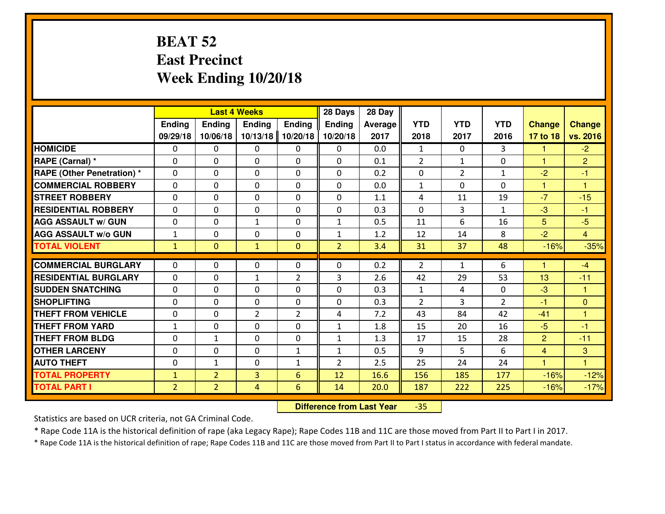#### **BEAT 52 East PrecinctWeek Ending 10/20/18**

|                                  |                | <b>Last 4 Weeks</b> |                |                |                | 28 Day  |                |                |                |                      |                      |
|----------------------------------|----------------|---------------------|----------------|----------------|----------------|---------|----------------|----------------|----------------|----------------------|----------------------|
|                                  | <b>Ending</b>  | <b>Ending</b>       | <b>Ending</b>  | <b>Ending</b>  | <b>Ending</b>  | Average | <b>YTD</b>     | <b>YTD</b>     | <b>YTD</b>     | <b>Change</b>        | <b>Change</b>        |
|                                  | 09/29/18       | 10/06/18            | 10/13/18       | 10/20/18       | 10/20/18       | 2017    | 2018           | 2017           | 2016           | 17 to 18             | vs. 2016             |
| <b>HOMICIDE</b>                  | $\Omega$       | 0                   | 0              | 0              | 0              | 0.0     | 1              | $\Omega$       | 3              | 1                    | $-2$                 |
| RAPE (Carnal) *                  | $\Omega$       | 0                   | $\mathbf{0}$   | 0              | $\Omega$       | 0.1     | 2              | $\mathbf{1}$   | 0              | $\blacktriangleleft$ | $\overline{2}$       |
| <b>RAPE (Other Penetration)*</b> | $\Omega$       | $\Omega$            | $\mathbf 0$    | $\Omega$       | $\Omega$       | 0.2     | 0              | $\overline{2}$ | $\mathbf{1}$   | $-2$                 | $-1$                 |
| <b>COMMERCIAL ROBBERY</b>        | $\Omega$       | 0                   | $\mathbf 0$    | $\Omega$       | 0              | 0.0     | $\mathbf{1}$   | $\Omega$       | 0              | $\mathbf{1}$         | $\blacktriangleleft$ |
| <b>STREET ROBBERY</b>            | $\Omega$       | $\Omega$            | $\mathbf 0$    | $\Omega$       | 0              | 1.1     | 4              | 11             | 19             | $-7$                 | $-15$                |
| <b>RESIDENTIAL ROBBERY</b>       | $\Omega$       | $\Omega$            | $\mathbf 0$    | $\Omega$       | 0              | 0.3     | $\Omega$       | 3              | $\mathbf{1}$   | $-3$                 | $-1$                 |
| <b>AGG ASSAULT w/ GUN</b>        | 0              | 0                   | $\mathbf{1}$   | $\Omega$       | $\mathbf{1}$   | 0.5     | 11             | 6              | 16             | 5                    | $-5$                 |
| <b>AGG ASSAULT w/o GUN</b>       | $\mathbf{1}$   | 0                   | $\mathbf 0$    | 0              | $\mathbf{1}$   | 1.2     | 12             | 14             | 8              | $-2$                 | $\overline{4}$       |
| <b>TOTAL VIOLENT</b>             | $\mathbf{1}$   | $\mathbf{0}$        | $\mathbf{1}$   | $\mathbf{0}$   | $\overline{2}$ | 3.4     | 31             | 37             | 48             | $-16%$               | $-35%$               |
| <b>COMMERCIAL BURGLARY</b>       | $\Omega$       | 0                   | 0              | 0              | $\Omega$       | 0.2     | $\overline{2}$ | $\mathbf{1}$   | 6              | $\blacktriangleleft$ | $-4$                 |
| <b>RESIDENTIAL BURGLARY</b>      | 0              | 0                   | 1              | $\overline{2}$ | 3              | 2.6     | 42             | 29             | 53             | 13                   | $-11$                |
| <b>SUDDEN SNATCHING</b>          | 0              | 0                   | $\mathbf 0$    | $\Omega$       | 0              | 0.3     | $\mathbf{1}$   | 4              | 0              | $-3$                 | 1                    |
| <b>SHOPLIFTING</b>               | 0              | 0                   | $\mathbf 0$    | 0              | 0              | 0.3     | $\overline{2}$ | 3              | $\overline{2}$ | $-1$                 | $\overline{0}$       |
| <b>THEFT FROM VEHICLE</b>        | 0              | 0                   | $\overline{2}$ | $\overline{2}$ | 4              | 7.2     | 43             | 84             | 42             | $-41$                | $\overline{1}$       |
| <b>THEFT FROM YARD</b>           | $\mathbf{1}$   | 0                   | $\mathbf 0$    | 0              | $\mathbf{1}$   | 1.8     | 15             | 20             | 16             | $-5$                 | $-1$                 |
| <b>THEFT FROM BLDG</b>           | 0              | 1                   | $\mathbf 0$    | $\mathbf 0$    | $\mathbf{1}$   | 1.3     | 17             | 15             | 28             | $\overline{2}$       | $-11$                |
| <b>OTHER LARCENY</b>             | 0              | 0                   | $\mathbf 0$    | $\mathbf{1}$   | $\mathbf{1}$   | 0.5     | 9              | 5              | 6              | $\overline{4}$       | 3                    |
| <b>AUTO THEFT</b>                | 0              | $\mathbf{1}$        | $\mathbf 0$    | $\mathbf{1}$   | $\overline{2}$ | 2.5     | 25             | 24             | 24             | $\mathbf{1}$         | $\overline{1}$       |
| <b>TOTAL PROPERTY</b>            | $\mathbf{1}$   | $\overline{2}$      | 3              | 6              | 12             | 16.6    | 156            | 185            | 177            | $-16%$               | $-12%$               |
| <b>TOTAL PART I</b>              | $\overline{2}$ | 2 <sup>1</sup>      | $\overline{4}$ | 6              | 14             | 20.0    | 187            | 222            | 225            | $-16%$               |                      |
|                                  |                |                     |                |                |                |         |                |                |                |                      | $-17%$               |

 **Difference from Last Year**-35

Statistics are based on UCR criteria, not GA Criminal Code.

\* Rape Code 11A is the historical definition of rape (aka Legacy Rape); Rape Codes 11B and 11C are those moved from Part II to Part I in 2017.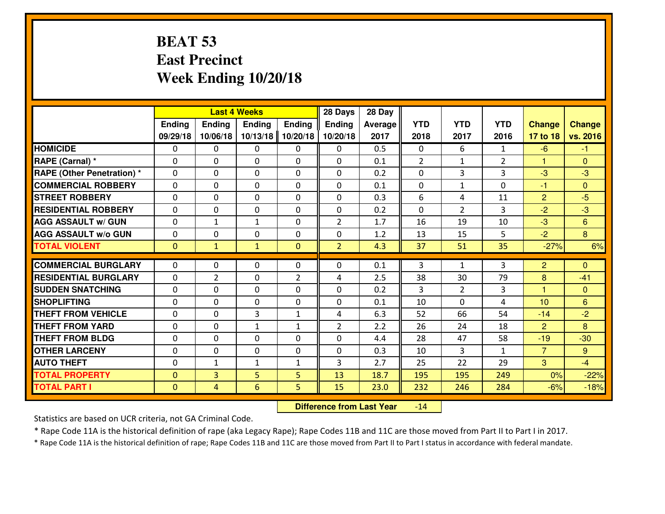### **BEAT 53 East PrecinctWeek Ending 10/20/18**

|                                   | <b>Last 4 Weeks</b>        |                  |               |                  | 28 Days        | 28 Day  |             |                            |                |                      |                   |
|-----------------------------------|----------------------------|------------------|---------------|------------------|----------------|---------|-------------|----------------------------|----------------|----------------------|-------------------|
|                                   | <b>Ending</b>              | Ending           | <b>Ending</b> | <b>Ending</b>    | <b>Ending</b>  | Average | <b>YTD</b>  | <b>YTD</b>                 | <b>YTD</b>     | <b>Change</b>        | <b>Change</b>     |
|                                   | 09/29/18                   | 10/06/18         | 10/13/18      | 10/20/18         | 10/20/18       | 2017    | 2018        | 2017                       | 2016           | 17 to 18             | vs. 2016          |
| <b>HOMICIDE</b>                   | $\Omega$                   | 0                | $\Omega$      | 0                | $\Omega$       | 0.5     | $\Omega$    | 6                          | $\mathbf{1}$   | $-6$                 | $-1$              |
| RAPE (Carnal) *                   | $\Omega$                   | 0                | $\Omega$      | $\Omega$         | 0              | 0.1     | 2           | $\mathbf{1}$               | $\overline{2}$ | $\blacktriangleleft$ | $\Omega$          |
| <b>RAPE (Other Penetration) *</b> | $\Omega$                   | 0                | $\Omega$      | $\Omega$         | $\Omega$       | 0.2     | $\Omega$    | 3                          | 3              | $-3$                 | $-3$              |
| <b>COMMERCIAL ROBBERY</b>         | $\Omega$                   | 0                | $\mathbf 0$   | 0                | $\Omega$       | 0.1     | $\mathbf 0$ | $\mathbf{1}$               | 0              | $-1$                 | $\Omega$          |
| <b>STREET ROBBERY</b>             | $\Omega$                   | 0                | $\Omega$      | $\Omega$         | $\Omega$       | 0.3     | 6           | 4                          | 11             | $\overline{2}$       | $-5$              |
| <b>RESIDENTIAL ROBBERY</b>        | $\mathbf{0}$               | 0                | $\Omega$      | 0                | $\Omega$       | 0.2     | $\Omega$    | $\overline{2}$             | 3              | $-2$                 | $-3$              |
| <b>AGG ASSAULT w/ GUN</b>         | $\mathbf{0}$               | $\mathbf{1}$     | $\mathbf{1}$  | 0                | $\overline{2}$ | 1.7     | 16          | 19                         | 10             | $-3$                 | 6                 |
| <b>AGG ASSAULT W/o GUN</b>        | $\mathbf 0$                | 0                | $\mathbf 0$   | 0                | 0              | 1.2     | 13          | 15                         | 5              | $-2$                 | 8                 |
| <b>TOTAL VIOLENT</b>              | $\overline{0}$             | $\mathbf{1}$     | $\mathbf{1}$  | $\mathbf{0}$     | $\overline{2}$ | 4.3     | 37          | 51                         | 35             | $-27%$               | 6%                |
| <b>COMMERCIAL BURGLARY</b>        | $\mathbf{0}$               | 0                | $\mathbf{0}$  | 0                | $\Omega$       | 0.1     | 3           | $\mathbf{1}$               | 3              | $\overline{2}$       | $\Omega$          |
| <b>RESIDENTIAL BURGLARY</b>       |                            | $\overline{2}$   |               | $\overline{2}$   |                | 2.5     | 38          | 30                         | 79             |                      | $-41$             |
| <b>SUDDEN SNATCHING</b>           | $\mathbf 0$<br>$\mathbf 0$ |                  | $\mathbf 0$   |                  | 4              | 0.2     | 3           |                            |                | 8<br>$\mathbf{1}$    |                   |
| <b>SHOPLIFTING</b>                | $\mathbf 0$                | 0<br>$\mathbf 0$ | $\mathbf 0$   | 0<br>$\mathbf 0$ | 0              | 0.1     | 10          | $\overline{2}$<br>$\Omega$ | 3<br>4         | 10                   | $\mathbf{0}$<br>6 |
|                                   |                            |                  | $\mathbf 0$   |                  | 0              |         |             |                            |                |                      |                   |
| <b>THEFT FROM VEHICLE</b>         | $\Omega$                   | 0                | 3             | $\mathbf{1}$     | 4              | 6.3     | 52          | 66                         | 54             | $-14$                | $-2$              |
| <b>THEFT FROM YARD</b>            | $\mathbf 0$                | 0                | $\mathbf{1}$  | $\mathbf{1}$     | $\overline{2}$ | 2.2     | 26          | 24                         | 18             | 2                    | 8                 |
| <b>THEFT FROM BLDG</b>            | $\mathbf 0$                | 0                | $\mathbf 0$   | 0                | 0              | 4.4     | 28          | 47                         | 58             | $-19$                | $-30$             |
| <b>OTHER LARCENY</b>              | $\mathbf 0$                | 0                | $\mathbf 0$   | 0                | 0              | 0.3     | 10          | 3                          | $\mathbf{1}$   | $\overline{7}$       | $9^{\circ}$       |
| <b>AUTO THEFT</b>                 | $\mathbf 0$                | $\mathbf{1}$     | $\mathbf{1}$  | $\mathbf{1}$     | 3              | 2.7     | 25          | 22                         | 29             | 3                    | $-4$              |
| <b>TOTAL PROPERTY</b>             | $\mathbf{0}$               | 3                | 5             | 5                | 13             | 18.7    | 195         | 195                        | 249            | 0%                   | $-22%$            |
| <b>TOTAL PART I</b>               | $\mathbf{0}$               | $\overline{4}$   | 6             | 5                | 15             | 23.0    | 232         | 246                        | 284            | $-6%$                | $-18%$            |

 **Difference from Last Year**-14

Statistics are based on UCR criteria, not GA Criminal Code.

\* Rape Code 11A is the historical definition of rape (aka Legacy Rape); Rape Codes 11B and 11C are those moved from Part II to Part I in 2017.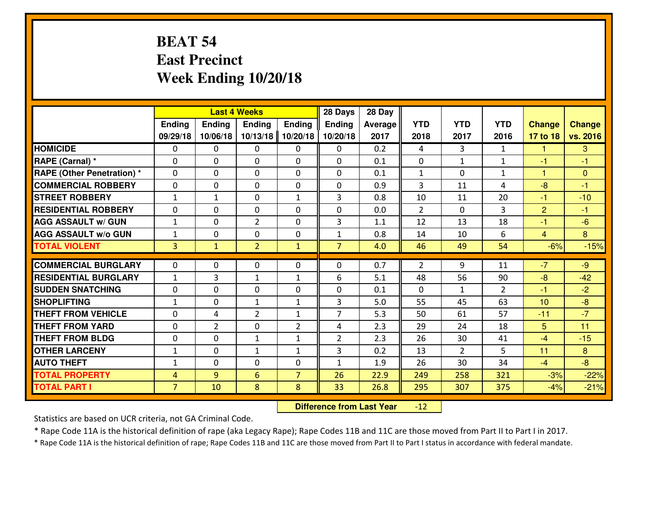### **BEAT 54 East PrecinctWeek Ending 10/20/18**

|                                   |                |                | <b>Last 4 Weeks</b> |                |                |         |                |                |               |                |               |
|-----------------------------------|----------------|----------------|---------------------|----------------|----------------|---------|----------------|----------------|---------------|----------------|---------------|
|                                   | <b>Ending</b>  | Ending         | <b>Endina</b>       | <b>Ending</b>  | <b>Ending</b>  | Average | <b>YTD</b>     | <b>YTD</b>     | <b>YTD</b>    | <b>Change</b>  | <b>Change</b> |
|                                   | 09/29/18       | 10/06/18       | 10/13/18            | 10/20/18       | 10/20/18       | 2017    | 2018           | 2017           | 2016          | 17 to 18       | vs. 2016      |
| <b>HOMICIDE</b>                   | $\Omega$       | 0              | $\mathbf{0}$        | 0              | 0              | 0.2     | 4              | 3              | $\mathbf{1}$  | -1             | 3             |
| RAPE (Carnal) *                   | $\Omega$       | 0              | $\mathbf{0}$        | 0              | $\Omega$       | 0.1     | $\mathbf{0}$   | $\mathbf{1}$   | $\mathbf{1}$  | $-1$           | -1            |
| <b>RAPE (Other Penetration) *</b> | $\Omega$       | 0              | $\mathbf 0$         | $\Omega$       | 0              | 0.1     | 1              | $\Omega$       | $\mathbf{1}$  | $\mathbf{1}$   | $\Omega$      |
| <b>COMMERCIAL ROBBERY</b>         | 0              | 0              | $\mathbf 0$         | 0              | 0              | 0.9     | $\overline{3}$ | 11             | 4             | $-8$           | $-1$          |
| <b>STREET ROBBERY</b>             | $\mathbf{1}$   | $\mathbf{1}$   | $\mathbf 0$         | $\mathbf{1}$   | 3              | 0.8     | 10             | 11             | 20            | $-1$           | $-10$         |
| <b>RESIDENTIAL ROBBERY</b>        | 0              | 0              | $\mathbf 0$         | $\Omega$       | 0              | 0.0     | $\overline{2}$ | $\Omega$       | 3             | $\overline{2}$ | $-1$          |
| <b>AGG ASSAULT W/ GUN</b>         | $\mathbf{1}$   | 0              | $\overline{2}$      | 0              | 3              | 1.1     | 12             | 13             | 18            | $-1$           | $-6$          |
| <b>AGG ASSAULT W/o GUN</b>        | $\mathbf{1}$   | 0              | $\mathbf 0$         | $\mathbf{0}$   | 1              | 0.8     | 14             | 10             | 6             | $\overline{4}$ | 8             |
| <b>TOTAL VIOLENT</b>              | $\overline{3}$ | $\mathbf{1}$   | $\overline{2}$      | $\mathbf{1}$   | $\overline{7}$ | 4.0     | 46             | 49             | 54            | $-6%$          | $-15%$        |
| <b>COMMERCIAL BURGLARY</b>        | $\Omega$       | $\Omega$       | 0                   | $\Omega$       | 0              | 0.7     | 2              | 9              | 11            | $-7$           | $-9$          |
| <b>RESIDENTIAL BURGLARY</b>       | $1\,$          | 3              | 1                   | $\mathbf{1}$   | 6              | 5.1     | 48             | 56             | 90            | $-8$           | $-42$         |
| <b>SUDDEN SNATCHING</b>           | 0              | 0              | $\mathbf 0$         | $\Omega$       | 0              | 0.1     | $\Omega$       | $\mathbf{1}$   | $\mathcal{P}$ | $-1$           | $-2$          |
| <b>SHOPLIFTING</b>                | $\mathbf{1}$   | $\Omega$       | $\mathbf{1}$        | $\mathbf{1}$   | 3              | 5.0     | 55             | 45             | 63            | 10             | $-8$          |
| <b>THEFT FROM VEHICLE</b>         | 0              | 4              | $\overline{2}$      | $\mathbf{1}$   | $\overline{7}$ | 5.3     | 50             | 61             | 57            | $-11$          | $-7$          |
| <b>THEFT FROM YARD</b>            | $\mathbf 0$    | $\overline{2}$ | $\mathbf 0$         | $\overline{2}$ | 4              | 2.3     | 29             | 24             | 18            | 5              | 11            |
| <b>THEFT FROM BLDG</b>            | 0              | 0              | $\mathbf{1}$        | $\mathbf{1}$   | $\overline{2}$ | 2.3     | 26             | 30             | 41            | $-4$           | $-15$         |
| <b>OTHER LARCENY</b>              | $1\,$          | 0              | $\mathbf{1}$        | $\mathbf{1}$   | 3              | 0.2     | 13             | $\overline{2}$ | 5             | 11             | 8             |
| <b>AUTO THEFT</b>                 | $\mathbf{1}$   | $\Omega$       | $\mathbf 0$         | $\Omega$       | $\mathbf{1}$   | 1.9     | 26             | 30             | 34            | $-4$           | $-8$          |
| <b>TOTAL PROPERTY</b>             | $\overline{4}$ | 9              | 6                   | $\overline{7}$ | 26             | 22.9    | 249            | 258            | 321           | $-3%$          | $-22%$        |
| <b>TOTAL PART I</b>               | $\overline{7}$ | 10             | 8                   | 8              | 33             | 26.8    | 295            | 307            | 375           | $-4%$          | $-21%$        |
|                                   |                |                |                     |                |                |         |                |                |               |                |               |

 **Difference from Last Year** $-12$ 

Statistics are based on UCR criteria, not GA Criminal Code.

\* Rape Code 11A is the historical definition of rape (aka Legacy Rape); Rape Codes 11B and 11C are those moved from Part II to Part I in 2017.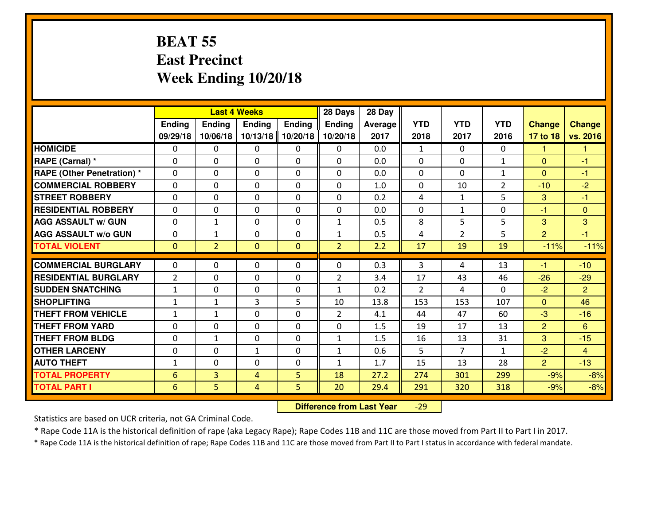#### **BEAT 55 East PrecinctWeek Ending 10/20/18**

|                                  |                | <b>Last 4 Weeks</b> |                |              |                | 28 Day  |              |                |                |                |                |
|----------------------------------|----------------|---------------------|----------------|--------------|----------------|---------|--------------|----------------|----------------|----------------|----------------|
|                                  | Ending         | Ending              | <b>Ending</b>  | Ending       | <b>Ending</b>  | Average | <b>YTD</b>   | <b>YTD</b>     | <b>YTD</b>     | <b>Change</b>  | <b>Change</b>  |
|                                  | 09/29/18       | 10/06/18            | 10/13/18       | 10/20/18     | 10/20/18       | 2017    | 2018         | 2017           | 2016           | 17 to 18       | vs. 2016       |
| <b>HOMICIDE</b>                  | $\Omega$       | 0                   | 0              | 0            | $\Omega$       | 0.0     | $\mathbf{1}$ | $\Omega$       | 0              | 1              | 1              |
| RAPE (Carnal) *                  | $\Omega$       | 0                   | $\Omega$       | $\Omega$     | $\Omega$       | 0.0     | $\Omega$     | $\Omega$       | $\mathbf{1}$   | $\Omega$       | -1             |
| <b>RAPE (Other Penetration)*</b> | 0              | 0                   | $\mathbf 0$    | 0            | 0              | 0.0     | 0            | $\Omega$       | $\mathbf{1}$   | $\overline{0}$ | $-1$           |
| <b>COMMERCIAL ROBBERY</b>        | 0              | 0                   | $\mathbf 0$    | 0            | 0              | 1.0     | 0            | 10             | $\overline{2}$ | $-10$          | $-2$           |
| <b>STREET ROBBERY</b>            | 0              | 0                   | $\mathbf 0$    | 0            | 0              | 0.2     | 4            | $\mathbf{1}$   | 5              | 3              | $-1$           |
| <b>RESIDENTIAL ROBBERY</b>       | 0              | 0                   | $\mathbf 0$    | 0            | 0              | 0.0     | 0            | $\mathbf{1}$   | 0              | $-1$           | $\mathbf{0}$   |
| <b>AGG ASSAULT W/ GUN</b>        | 0              | $\mathbf{1}$        | $\mathbf 0$    | 0            | $\mathbf{1}$   | 0.5     | 8            | 5              | 5              | 3              | 3              |
| <b>AGG ASSAULT W/o GUN</b>       | 0              | 1                   | 0              | 0            | $\mathbf{1}$   | 0.5     | 4            | $\overline{2}$ | 5              | $\overline{2}$ | $-1$           |
| <b>TOTAL VIOLENT</b>             | $\mathbf{0}$   | $\overline{2}$      | $\overline{0}$ | $\mathbf{0}$ | $\overline{2}$ | 2.2     | 17           | 19             | 19             | $-11%$         | $-11%$         |
| <b>COMMERCIAL BURGLARY</b>       | $\Omega$       | 0                   | $\mathbf{0}$   | 0            | $\Omega$       | 0.3     | 3            | 4              | 13             | $-1$           | $-10$          |
| <b>RESIDENTIAL BURGLARY</b>      | $\overline{2}$ | 0                   | 0              | 0            | $\overline{2}$ | 3.4     | 17           | 43             | 46             | $-26$          | $-29$          |
| <b>SUDDEN SNATCHING</b>          | $\mathbf{1}$   | 0                   | $\mathbf 0$    | 0            | $\mathbf{1}$   | 0.2     | 2            | 4              | 0              | $-2$           | $\overline{2}$ |
| <b>SHOPLIFTING</b>               | $\mathbf{1}$   | $\mathbf{1}$        | 3              | 5            | 10             | 13.8    | 153          | 153            | 107            | $\Omega$       | 46             |
| <b>THEFT FROM VEHICLE</b>        | $\mathbf{1}$   | $\mathbf{1}$        | $\mathbf 0$    | $\Omega$     | $\overline{2}$ | 4.1     | 44           | 47             | 60             | $-3$           | $-16$          |
| <b>THEFT FROM YARD</b>           | 0              | 0                   | $\mathbf 0$    | 0            | 0              | 1.5     | 19           | 17             | 13             | $\overline{2}$ | 6              |
| <b>THEFT FROM BLDG</b>           | 0              | $\mathbf{1}$        | $\mathbf 0$    | $\mathbf{0}$ | $\mathbf{1}$   | 1.5     | 16           | 13             | 31             | 3              | $-15$          |
| <b>OTHER LARCENY</b>             | 0              | 0                   | $\mathbf{1}$   | 0            | $\mathbf{1}$   | 0.6     | 5            | $\overline{7}$ | $\mathbf{1}$   | $-2$           | $\overline{4}$ |
| <b>AUTO THEFT</b>                | $\mathbf{1}$   | 0                   | $\mathbf 0$    | 0            | $\mathbf{1}$   | 1.7     | 15           | 13             | 28             | $\overline{2}$ | $-13$          |
| <b>TOTAL PROPERTY</b>            | 6              | 3                   | 4              | 5            | 18             | 27.2    | 274          | 301            | 299            | $-9%$          | $-8%$          |
| <b>TOTAL PART I</b>              | 6              | 5                   | $\overline{4}$ | 5            | 20             | 29.4    | 291          | 320            | 318            | $-9%$          | $-8%$          |

 **Difference from Last Year**-29

Statistics are based on UCR criteria, not GA Criminal Code.

\* Rape Code 11A is the historical definition of rape (aka Legacy Rape); Rape Codes 11B and 11C are those moved from Part II to Part I in 2017.